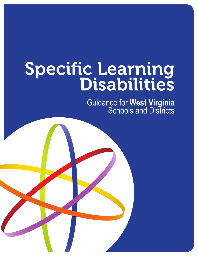# Specific Learning<br>Disabilities

Guidance for **West Virginia** Schools and Districts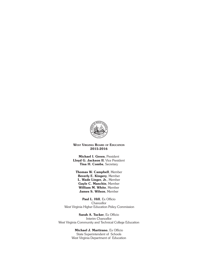

WEST VIRGINIA BOARD OF EDUCATION 2015-2016

Michael I. Green, President Lloyd G. Jackson II, Vice President Tina H. Combs, Secretary

Thomas W. Campbell, Member Beverly E. Kingery, Member L. Wade Linger, Jr., Member Gayle C. Manchin, Member William M. White, Member James S. Wilson, Member

Paul L. Hill, Ex Officio **Chancellor** West Virginia Higher Education Policy Commission

Sarah A. Tucker, Ex Officio Interim Chancellor West Virginia Community and Technical College Education

> Michael J. Martirano, Ex Officio State Superintendent of Schools West Virginia Department of Education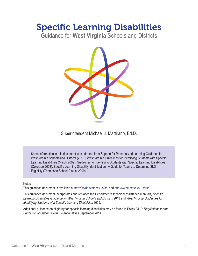# Specific Learning Disabilities

Guidance for **West Virginia** Schools and Districts



Superintendent Michael J. Martirano, Ed.D.

Some information in this document was adapted from Support for Personalized Learning Guidance for West Virginia Schools and Districts (2013); West Virginia Guidelines for Identifying Students with Specific Learning Disabilities (March 2009); Guidelines for Identifying Students with Specific Learning Disabilities (Colorado 2008); Specific Learning Disability Identification: A Guide for Teams to Determine SLD Eligibility (Thompson School District 2009).

### Notes:

This guidance document is available at http://wvde.state.wv.us/spl and http://wvde.state.wv.us/osp.

This guidance document incorporates and replaces the Department's technical assistance manuals, *Specific Learning Disabilities Guidance for West Virginia Schools and Districts* 2013 and *West Virginia Guidelines for Identifying Students with Specific Learning Disabilities* 2009.

Additional guidance on eligibility for specific learning disabilities may be found in Policy 2419: *Regulations for the Education of Students with Exceptionalities* September 2014.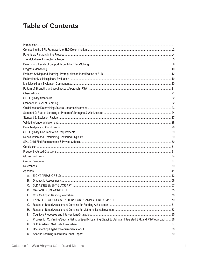# **Table of Contents**

| А. |                                                                                                                 |  |
|----|-----------------------------------------------------------------------------------------------------------------|--|
| В. |                                                                                                                 |  |
| C. |                                                                                                                 |  |
| D. |                                                                                                                 |  |
| Ε. |                                                                                                                 |  |
| F. |                                                                                                                 |  |
| G. |                                                                                                                 |  |
| Η. |                                                                                                                 |  |
| Ι. |                                                                                                                 |  |
| J. | Process for Confirming/Substantiating a Specific Learning Disability Using an Integrated SPL and PSW Approach86 |  |
| Κ. |                                                                                                                 |  |
| L. |                                                                                                                 |  |
| M. |                                                                                                                 |  |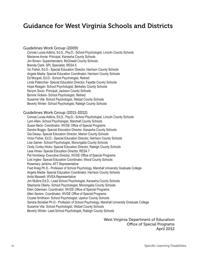## Guidance for West Virginia Schools and Districts

### Guidelines Work Group (2009)

Conrae Lucas-Adkins, Ed.S., Psy.D.- School Psychologist, Lincoln County Schools Marianne Annie- Principal, Kanawha County Schools Jim Brown- Superintendent, McDowell County Schools Brenda Clark- SPL Specialist, RESA 5 Vic Fisher, Ed.D.- Special Education Director, Harrison County Schools Angela Madia- Special Education Coordinator, Harrison County Schools Ed Morgret, Ed.D.- School Psychologist, Retired Linda Palenchar- Special Education Director, Fayette County Schools Hope Reagan- School Psychologist, Berkeley County Schools Kerynn Sovic- Principal, Jackson County Schools Bonnie Vickers- School Psychologist, Retired Susanne Vila- School Psychologist, Wetzel County Schools Beverly Winter- School Psychologist, Raleigh County Schools

### Guidelines Work Group (2011-2012)

Conrae Lucas-Adkins, Ed.S., Psy.D.- School Psychologist, Lincoln County Schools Lynn Allen- School Psychologist, Marshall County Schools Susan Beck- Coordinator, WVDE Office of Special Programs Sandra Boggs- Special Education Director, Kanawha County Schools Gia Deasy- Special Education Director, Marion County Schools Victor Fisher, Ed.D.- Special Education Director, Harrison County Schools Lisa Gainer- School Psychologist, Monongalia County Schools Cindy Corley-Hicks- Special Education Director, Raleigh County Schools Lesa Hines- Special Education Director, RESA 7 Pat Homberg- Executive Director, WVDE Office of Special Programs Lois Ingles- Special Education Coordinator, Wood County Schools Rosemary Jenkins- AFT Representative Fred Krieg Ph.D.- Professor of School Psychology, Marshall University Graduate College Angela Madia- Special Education Coordinator, Harrison County Schools Anita Maxwell- WVEA Representative Jim Mullins Ed.D.- Lead School Psychologist, Kanawha County Schools Stephanie Oberly- School Psychologist, Monongalia County Schools Ellen Oderman- Coordinator, WVDE Office of Special Programs Allen Sexton- Coordinator, WVDE Office of Special Programs Crystal Smithson- School Psychologist, Upshur County Schools Sandra Stroebel Ph.D.- Professor of School Psychology, Marshall University Graduate College Susanne Vila- School Psychologist, Wetzel County Schools Beverly Winter- Lead School Psychologist, Raleigh County Schools

> West Virginia Department of Education Office of Special Programs April 2012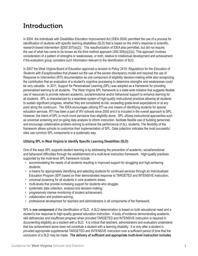# Introduction

In 2004, the Individuals with Disabilities Education Improvement Act (IDEA 2004) permitted the use of a process for identification of students with specific learning disabilities (SLD) that is based on the child's response to scientific, research-based intervention (§300.307(a)(2)). This reauthorization of IDEA also permitted, but did not require, the use of what has come to be known as the third method approach (300.309(a)(2)(ii). This approach involves consideration of a pattern of strengths or weaknesses, or both, relative to intellectual development and achievement if the evaluation group considers such information relevant to the identification of SLD.

In 2007 the West Virginia Board of Education approved a revision to Policy 2419: *Regulations for the Education of Students with Exceptionalities* that phased out the use of the severe discrepancy model and required the use of Response to Intervention (RTI) documentation as one component of eligibility decision-making while also recognizing the contribution that an evaluation of a student's cognitive processing to determine strengths and weaknesses could be very valuable. In 2011, Support for Personalized Learning (SPL) was adopted as a framework for providing personalized learning to all students. The West Virginia SPL framework is a state-wide initiative that suggests flexible use of resources to provide relevant academic, social/emotional and/or behavioral support to enhance learning for all students. SPL is characterized by a seamless system of high-quality instructional practices allowing all students to sustain significant progress, whether they are considered at-risk, exceeding grade-level expectations or at any point along the continuum. The IDEA encourages utilizing RTI as one means of identifying students for special education services. RTI has been a part of WV schools since 2005 and it is included in the overall approach to SPL. However, the intent of SPL is much more pervasive than eligibility alone. SPL utilizes instructional approaches such as universal screening and on-going data analysis to inform instruction, facilitate flexible use of building personnel, and encourage collaborative problem-solving to enhance the performance of ALL students. The flexibility of the framework allows schools to customize their implementation of SPL. Data collection indicates the most successful sites use common SPL components in a systematic way.

### **Utilizing SPL in West Virginia to identify Specific Learning Disabilities (SLD)**

One of the ways SPL supports student learning is by addressing the prevention of academic, social/emotional and behavioral difficulties through the establishment of a multi-level instruction framework. High-quality practices supported by the multi-level SPL framework include

- accommodating the needs of all students resulting in improved support for struggling and high-achieving students;
- a means for appropriately identifying and selecting students for continued services through an Individualized Education Program (IEP) based on their demonstrated response to TARGETED and INTENSIVE instruction;
- universal screening for all students in core academic areas;
- multi-levels that provide increasing support for students who struggle;
- systematic data collection, analysis and decision-making;
- progressively intense monitoring of student achievement;
- collaboration and problem-solving;
- professional development for teachers and administrators in all components of the framework.

SPL is **one component** of the identification of SLD. A SLD determination is based on both educational need and a student's low response to high-quality general education instruction. A body of evidence demonstrating academic skill deficiencies and insufficient progress when provided TARGETED and INTENSIVE instruction is required in documenting eligibility as a student with a SLD. It is critical that teachers, administrators and evaluators understand that low achievement alone does not constitute a student with a learning disability. It is only after a student is provided appropriate supplemental TARGETED and INTENSIVE instruction over a sufficient period of time that the conclusion of a SLD may be made. **The delivery of sufficient and appropriate multi-level instruction includes**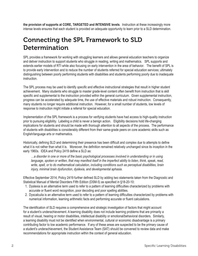**the provision of supports at CORE, TARGETED and INTENSIVE levels**. Instruction at these increasingly more intense levels ensures that each student is provided an adequate opportunity to learn prior to a SLD determination.

# Connecting the SPL Framework to SLD **Determination**

SPL provides a framework for working with struggling learners and allows general education teachers to organize and deliver instruction to support students who struggle in reading, writing and mathematics. SPL supports and extends earlier models of RTI while also focusing on early intervention in the area of behavior. The benefit of SPL is to provide early intervention and to reduce the number of students referred for special education services; ultimately distinguishing between poorly performing students with disabilities and students performing poorly due to inadequate instruction.

The SPL process may be used to identify *specific* and effective instructional strategies that result in higher student achievement. Many students who struggle to master grade-level content often benefit from instruction that is skill specific and supplemental to the instruction provided within the general curriculum. Given supplemental instruction, progress can be accelerated by adequate time, the use of effective materials and robust instruction. Consequently, many students no longer require additional instruction. However, for a small number of students, low levels of response to instruction might initiate a referral for special education.

Implementation of the SPL framework is a process for verifying students have had access to high-quality instruction prior to pursuing eligibility. Labeling a child is never a benign action. Eligibility decisions hold life-changing implications for students and should be made with thorough attention to all aspects of the process. The performance of students with disabilities is considerably different from their same-grade peers on core academic skills such as English/language arts or mathematics.

Historically, defining SLD and determining their presence has been difficult and complex due to attempts to define what it is not rather than what it is. Moreover, the definition remained relatively unchanged since its inception in the early 1960s. IDEA and Policy 2419 define a SLD as:

*…a disorder in one or more of the basic psychological processes involved in understanding or in using*  language, spoken or written, that may manifest itself in the imperfect ability to listen, think, speak, read, *write, spell, or to do mathematical calculation, including conditions such as perceptual disabilities, brain injury, minimal brain dysfunction, dyslexia, and developmental aphasia.* 

Effective September 2014, Policy 2419 further defined SLD by adding two statements taken from the Diagnostic and Statistical Manual of Mental Disorders Fifth Edition (DSM-5) as specified in §18-20-10:

- 1. Dyslexia is an alternative term used to refer to a pattern of learning difficulties characterized by problems with accurate or fluent word recognition, poor decoding and poor spelling abilities.
- 2. Dyscalculia is an alternative term used to refer to a pattern of learning difficulties characterized by problems with numerical information, learning arithmetic facts and performing accurate or fluent calculations.

The identification of SLD requires a comprehensive and strategic investigation of factors that might account for a student's underachievement. A learning disability does not include learning problems that are primarily a result of visual, hearing or motor disabilities, intellectual disability or emotional/behavioral disorders. Similarly, a learning disability must not be identified when environmental, cultural or economic disadvantage is a primary contributing factor to low academic performance. If any of these areas are suspected to be the primary cause of a student's underachievement, the Student Assistance Team (SAT) should be convened to review data and make recommendations for appropriate instruction within the context of general education.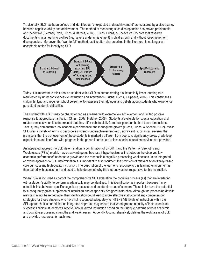Traditionally, SLD has been defined and identified as "unexpected underachievement" as measured by a discrepancy between cognitive ability and achievement. The method of measuring such discrepancies has proven problematic and ineffective (Fletcher, Lyon, Fuchs, & Barnes, 2007). Fuchs, Fuchs, & Speece (2002) note that research documents similar learning profiles (i.e., severe underachievement) in children with and without IQ-achievement discrepancies. Moreover, the "wait-to-fail" method, as it is often characterized in the literature, is no longer an acceptable option for identifying SLD.



Today, it is important to think about a student with a SLD as demonstrating a substantially lower learning rate manifested by unresponsiveness to instruction and intervention (Fuchs, Fuchs, & Speece, 2002). This constitutes a shift in thinking and requires school personnel to reassess their attitudes and beliefs about students who experience persistent academic difficulties.

The student with a SLD may be characterized as a learner with extreme low achievement and limited positive response to appropriate instruction (Shinn, 2007; Fletcher, 2008). Students are eligible for special education and related services when it is determined that they differ substantially from their peers on both of these dimensions. That is, they demonstrate low academic performance and inadequate growth (Fuchs, Fuchs, & Speece, 2002). While SPL uses a variety of terms to describe a student's underachievement (e.g., significant, substantial, severe), the premise is that the achievement of these students is markedly different from peers, is significantly below grade-level expectations and interferes with progress in the general curriculum unless special education services are provided.

An integrated approach to SLD determination, a combination of SPL/RTI and the Pattern of Strengths and Weaknesses (PSW) model, may be advantageous because it hypothesizes a link between the observed low academic performance/ inadequate growth and the responsible cognitive processing weaknesses. In an integrated or hybrid approach to SLD determination it is important to first document the provision of relevant scientifically-based core curricula and high-quality instruction. The description of the learner's response to this learning environment is then paired with assessment and used to help determine why the student was not responsive to this instruction.

When PSW is included as part of the comprehensive SLD evaluation the cognitive process (es) that are interfering with a student's ability to perform academically may be identified. This identification is important because it may establish links between specific cognitive processes and academic areas of concern. These links have the potential to subsequently guide supplemental instruction and/or specially designed instruction. Although the processing deficits may or may not be remediable, their identification could lead to more effective instructional and compensatory strategies for those students who have not responded adequately to INTENSIVE levels of instruction within the SPL approach. It is hoped that an integrated approach may ensure that when greater intensity of instruction is not successful eligible students will receive individualized instruction based on their unique patterns of both academic and cognitive processing strengths and weaknesses. Appendix A comprehensively defines the eight areas of SLD and provides resources for each area.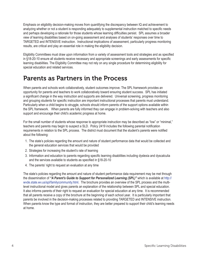Emphasis on eligibility decision-making moves from quantifying the discrepancy between IQ and achievement to analyzing whether or not a student is responding adequately to supplemental instruction matched to specific needs and perhaps developing a rationale for those students whose learning difficulties persist. SPL assumes a broader view of learning disabilities based on on-going assessment and analyses of students' responses over time to TARGETED and INTENSIVE instruction. Instructional implications of assessment, particularly progress monitoring results, are critical and play an essential role in making the eligibility decision.

Eligibility Committees must draw upon information from a variety of assessment tools and strategies and as specified in §18-20-10 ensure all students receive necessary and appropriate screenings and early assessments for specific learning disabilities. The Eligibility Committee may not rely on any single procedure for determining eligibility for special education and related services.

# Parents as Partners in the Process

When parents and schools work collaboratively, student outcomes improve. The SPL framework provides an opportunity for parents and teachers to work collaboratively toward ensuring student success. SPL has initiated a significant change in the way instruction and supports are delivered. Universal screening, progress monitoring and grouping students for specific instruction are important instructional processes that parents must understand. Particularly when a child begins to struggle, schools should inform parents of the support options available within the SPL framework. When parents are fully informed they can engage in problem-solving with teachers and also support and encourage their child's academic progress at home.

For the small number of students whose response to appropriate instruction may be described as "low" or "minimal," teachers and parents may begin to suspect a SLD. Policy 2419 includes the following parental notification requirements in relation to the SPL process. The district must document that the student's parents were notified about the following:

- 1. The state's policies regarding the amount and nature of student performance data that would be collected and the general education services that would be provided
- 2. Strategies for increasing the student's rate of learning
- 3. Information and education to parents regarding specific learning disabilities including dyslexia and dyscalculia and the services available to students as specified in §18-20-10
- 4. The parents' right to request an evaluation at any time

The state's policies regarding the amount and nature of student performance data requirement may be met through the dissemination of *"A Parent's Guide to Support for Personalized Learning (SPL)"* which is available at http:// wvde.state.wv.us/spl/familycommunity.html. The brochure provides an overview of the SPL process and the multilevel instructional model and gives parents an explanation of the relationship between SPL and special education. It also informs parents of their right to request an evaluation for special education at any time. It is recommended that all parents receive a copy of the brochure at the beginning of each school year. It is particularly important that parents be involved in the decision-making processes related to providing TARGETED and INTENSIVE instruction. When parents know the type and format of instruction, they are better prepared to support their child's learning needs at home.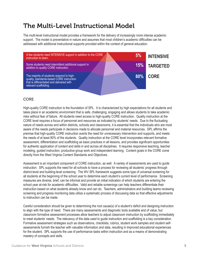# The Multi-Level Instructional Model

The multi-level instructional model provides a framework for the delivery of increasingly more intense academic support. The model is preventative in nature and assumes that most children's academic difficulties can be addressed with additional instructional supports provided within the context of general education.



### **CORE**

High-quality CORE instruction is the foundation of SPL. It is characterized by high expectations for all students and takes place in an academic environment that is safe, challenging, engaging and allows students to take academic risks without fear of failure. All students need access to high-quality CORE instruction. Quality instruction at the CORE level requires a focus of personnel and resources as indicated by students' needs. Due to the fluctuating nature of needs across and within districts, schools and classrooms, it is essential that the individuals who are most aware of the needs participate in decisions made to allocate personnel and material resources. SPL affirms the premise that high-quality CORE instruction averts the need for unnecessary intervention and supports, and meets the needs of at least 80% of the students. Quality instruction at the CORE level incorporates relevant formative assessment, differentiation and scaffolding as basic practices in all lessons, and provides significant opportunities for authentic application of content and skills in and across all disciplines. It requires responsive teaching, teacher modeling, guided instruction, productive group work and independent learning. Content goals in the CORE come directly from the West Virginia Content Standards and Objectives.

Assessment is an important component of CORE instruction, as well. A variety of assessments are used to guide instruction. SPL supports the need for all schools to have a process for reviewing all students' progress through district-level and building-level screening. The WV SPL framework suggests some type of universal screening for all students at the beginning of the school year to determine each student's current level of performance. Screening measures are diverse, brief, can be informal and provide an initial indication of which students are entering the school year at-risk for academic difficulties. Valid and reliable screenings can help teachers differentiate their instruction based on what students already know and can do. Teachers, administrators and building teams reviewing screening and progress monitoring data utilize a systematic process of discussing data so that effective adjustments to instruction can be made.

Careful consideration should be given to determining the root cause(s) of a student's deficit and designing instruction to align with the type of need. There are many assessments and diagnostic tools available and of value, but classroom formative assessment processes allow teachers to adjust classroom instruction by scaffolding immediately to meet students' needs. The relevancy of the data used to guide instruction and scaffolding is a key consideration. Formative assessment strategies such as observations, checklists, rubrics, student work samples and student selfassessments furnish the teacher with valuable information and data, resulting in improved educational experiences for the student. SPL supports the use of performance tasks within instruction and as a means of demonstrating mastery of concepts and skills.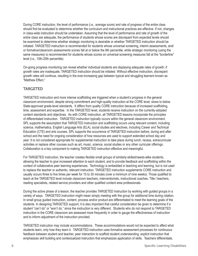During CORE instruction, the level of performance (i.e., average score) and rate of progress of the entire class should first be evaluated to determine whether the curriculum and instructional practices are effective. If not, changes in class-wide instruction should be undertaken. Assuming that the level of performance and rate of growth of the entire class are adequate, the performance of students whose scores are discrepant from expected levels should be examined to determine whether strategic monitoring is desirable or whether TARGETED instruction should be initiated. TARGETED instruction is recommended for students whose universal screening, interim assessments, and/ or formative/classroom assessments scores fall at or below the 8th percentile, while strategic monitoring (using the same measures) is recommended for students whose scores on universal screening measures fall at the "borderline" level (i.e., 10th-25th percentile).

On-going progress monitoring can reveal whether individual students are displaying adequate rates of growth; if growth rates are inadequate, TARGETED instruction should be initiated. Without effective instruction, discrepant growth rates will continue, resulting in the ever-increasing gap between typical and struggling learners known as "Matthew Effect."

### **TARGETED**

TARGETED instruction and more intense scaffolding are triggered when a student's progress in the general classroom environment, despite strong commitment and high-quality instruction at the CORE level, slows to below State-approved grade-level standards. It differs from quality CORE instruction because of increased scaffolding, time, assessment and expertise. In the TARGETED level, students receive instruction on the currently-adopted content standards and objectives. As with CORE instruction, all TARGETED lessons incorporate the principles of differentiated instruction. TARGETED instruction typically occurs within the general classroom environment. SPL supports the assumption that TARGETED instruction and scaffolding occurs using relevant content, including science, mathematics, English Language Arts (ELA), social studies and electives, including Career and Technical Education (CTE) and arts courses. SPL supports the occurrence of TARGETED instruction before, during and after school and the need for ongoing consideration of how resources are used to support extended school day and year. It is not considered appropriate for supplemental instruction to take place during lunch, recess, extracurricular activities or replace other courses such as art, music, science, social studies or any other curricular offerings. Collaboration is a key component to making TARGETED instruction effective and meaningful.

For TARGETED instruction, the teacher creates flexible small groups of similarly-skilled/needs-alike students, allowing the teacher to give increased attention to each student, and to provide feedback and scaffolding within the context of collaborative peer learning experiences. Technology is embedded in teaching and learning, but is not used to replace the teacher or authentic, relevant instruction. TARGETED instruction supplements CORE instruction and usually occurs three to five times per week for 15 to 30 minutes (over a minimum of nine weeks). Those qualified to teach at the TARGETED level include classroom teachers, interventionists, instructional coaches, Title I teachers, reading specialists, related service providers and other qualified content area professionals.

During the active phase of a lesson, the teacher provides TARGETED instruction by working with guided groups in a variety of ways. TARGETED instruction might mean simply meeting with the group for additional time during rotation. In small group guided instruction, content, process and/or product are differentiated to meet the learning goals of the students. In designing TARGETED support, it is also important that careful consideration be given to determine if a student "can't do" or "won't do," since the instruction is very different. Students who do not respond to TARGETED instruction in the CORE classroom are assessed more frequently in order to gauge the effectiveness of instruction and to inform adjustment of the instruction provided.

TARGETED instruction may include accommodations. These accommodations would not be expected to affect what students learn, only how they learn it. TARGETED instruction uses formative assessment processes for continuous feedback between student and teacher, peer interaction to scaffold student understanding, explicit instruction that emphasizes skill building and contextualized instruction that emphasizes application of skills. Teachers differentiate,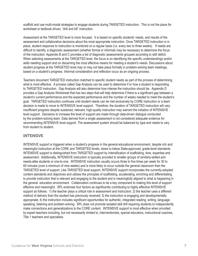scaffold and use multi-modal strategies to engage students during TARGETED instruction. This is not the place for worksheet or textbook driven, "drill and kill" instruction.

Assessment at the TARGETED level is more focused. It is based on specific students' needs, and results of the assessment and collaborative decisions about the most appropriate instruction. Once TARGETED instruction is in place, student response to instruction is monitored on a regular basis (i.e. every two to three weeks). If needs are difficult to identify, a diagnostic assessment (whether formal or informal) may be necessary to determine the focus of the instruction. Appendix B and C provides a list of diagnostic assessments grouped according to skill deficit. When selecting assessments at the TARGETED level, the focus is on identifying the specific understandings and/or skills needing support and on discerning the most effective means for meeting a student's needs. Discussions about student progress at the TARGETED level may or may not take place formally in problem-solving team meetings, based on a student's progress. Informal consideration and reflection occur as an ongoing process.

Teachers document TARGETED instruction matched to specific student needs as part of the process of determining what is most effective. A process called Gap Analysis can be used to determine if or how a student is responding to TARGETED instruction. Gap Analysis will also determine how intense the instruction should be. Appendix D provides a Gap Analysis Worksheet that has two steps that will help determine if there is a significant gap between a student's current performance and the expected performance and the number of weeks needed to meet the student's goal. TARGETED instruction continues until student needs can be met exclusively by CORE instruction or a team decision is made to move to INTENSIVE level support. Therefore, the duration of TARGETED instruction will vary. Insufficient progress despite sustained, relevant, high-quality instruction may warrant the initiation of INTENSIVE level support. Decisions to increase the level of support are made through data-driven dialogue conducted by the problem-solving team. Data derived from a single assessment is not considered adequate evidence for recommending INTENSIVE level support. The assessment system should be balanced by type and needs to vary from student to student.

### INTENSIVE

INTENSIVE support is triggered when a student's progress in the general educational environment, despite rich and meaningful instruction at the CORE and TARGETED levels, slows to below State-approved, grade-level standards. INTENSIVE support is distinguished from TARGETED support by intensification of scaffolding, time, expertise and assessment. Additionally, INTENSIVE instruction is typically provided to smaller groups of similarly-skilled and needs-alike students or one-to-one. INTENSIVE instruction usually occurs three to five times per week for 30 to 60 minutes (over a minimum of nine weeks) and is more likely to occur outside the general classroom than the TARGETED level of support. Like TARGETED level support, INTENSIVE support incorporates the currently-adopted content standards and objectives and utilizes the principles of scaffolding, accelerating, enriching and differentiating to provide instruction that is relevant and engaging to the student and is meaningfully aligned to what is happening in the general education environment. Collaboration continues to be a key component to making this level of support effective and meaningful. SPL endorses four factors as significantly contributing to highly effective INTENSIVE support as follows: 1) the teacher plays a critical role in assessment and instruction; 2) the teacher uses a different method of delivery than the student has previously received; 3) the instruction is engaging and developmentally appropriate; 4) the instruction includes significant opportunities for authentic, integrated reading, writing, language, speaking, listening and problem-solving. SPL does not promote isolated skill drill requiring students to independently make connections and generalizations to the CORE content. INTENSIVE support is most effective when provided by expert teachers including, but not necessarily limited to, interventionists, special educators, instructional coaches, Title 1 teachers and specialists.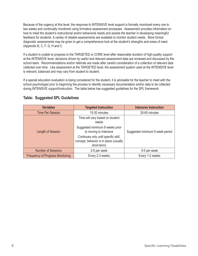Because of the urgency at this level, the response to INTENSIVE level support is formally monitored every one to two weeks and continually monitored using formative assessment processes. Assessment provides information on how to meet the student's instructional and/or behavioral needs and assists the teacher in developing meaningful feedback for students. A variety of reliable assessments are available to monitor student needs. More formal diagnostic assessments may be given to get a comprehensive look at the student's strengths and areas of need. (Appendix B, C, F, G, H and I)

If a student is unable to progress to the TARGETED or CORE level after reasonable duration of high-quality support at the INTENSIVE level, decisions driven by useful and relevant assessment data are reviewed and discussed by the school team. Recommendations and/or referrals are made after careful consideration of a collection of relevant data collected over time. Like assessment at the TARGETED level, the assessment system used at the INTENSIVE level is relevant, balanced and may vary from student to student.

If a special education evaluation is being considered for the student, it is advisable for the teacher to meet with the school psychologist prior to beginning the process to identify necessary documentation and/or data to be collected during INTENSIVE support/instruction. The table below has suggested guidelines for the SPL framework.

| <b>Variables</b>                                           | <b>Targeted Instruction</b>                                                                   | <b>Intensive Instruction</b>    |  |
|------------------------------------------------------------|-----------------------------------------------------------------------------------------------|---------------------------------|--|
| <b>Time Per Session</b>                                    | 15-30 minutes                                                                                 | 30-60 minutes                   |  |
|                                                            | Time will vary based on student<br>needs                                                      |                                 |  |
| Length of Session                                          | Suggested minimum 9 weeks prior<br>to moving to Intensive                                     | Suggested minimum 9 week period |  |
|                                                            | Continues only until specific skill,<br>concept, behavior is in place (usually<br>short-term) |                                 |  |
| <b>Number of Sessions</b>                                  | 3-5 per week                                                                                  | 3-5 per week                    |  |
| <b>Frequency of Progress Monitoring</b><br>Every 2-3 weeks |                                                                                               | Every 1-2 weeks                 |  |

### **Table: Suggested SPL Guidelines**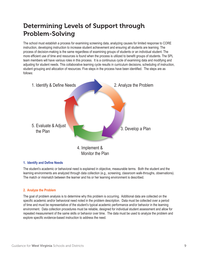# Determining Levels of Support through Problem-Solving

The school must establish a process for examining screening data, analyzing causes for limited response to CORE instruction, developing instruction to increase student achievement and ensuring all students are learning. The process of decision-making is the same regardless of examining groups of students or an individual student. The more efficient use of time and resources is found when the process is utilized to benefit groups of students. The SPL team members will have various roles in this process. It is a continuous cycle of examining data and modifying and adjusting for student needs. This collaborative learning cycle results in curriculum decisions, scheduling of instruction, student grouping and allocation of resources. Five steps in the process have been identified. The steps are as follows:



### **1. Identify and Define Needs**

The student's academic or behavioral need is explained in objective, measurable terms. Both the student and the learning environments are analyzed through data collection (e.g., screening, classroom walk-throughs, observations). The match or mismatch between the learner and his or her learning environment is described.

### **2. Analyze the Problem**

The goal of problem analysis is to determine why this problem is occurring. Additional data are collected on the specific academic and/or behavioral need noted in the problem description. Data must be collected over a period of time and must be representative of the student's typical academic performance and/or behavior in the learning environment. Data collection procedures must be reliable, designed for individual student assessment and allow for repeated measurement of the same skills or behavior over time. The data must be used to analyze the problem and explore specific evidence-based instruction to address the need.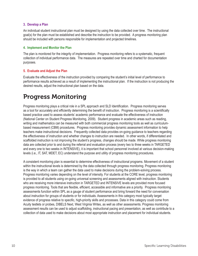### **3. Develop a Plan**

An individual student instructional plan must be designed by using the data collected over time. The instructional goal(s) for the plan must be established and describe the instruction to be provided. A progress monitoring plan should be included with persons responsible for implementation and projected timelines.

### **4. Implement and Monitor the Plan**

The plan is monitored for the integrity of implementation. Progress monitoring refers to a systematic, frequent collection of individual performance data. The measures are repeated over time and charted for documentation purposes.

### **5. Evaluate and Adjust the Plan**

Evaluate the effectiveness of the instruction provided by comparing the student's initial level of performance to performance results achieved as a result of implementing the instructional plan. If the instruction is not producing the desired results, adjust the instructional plan based on the data.

# Progress Monitoring

Progress monitoring plays a critical role in a SPL approach and SLD Identification. Progress monitoring serves as a tool for accurately and efficiently determining the benefit of instruction. Progress monitoring is a scientifically based practice used to assess students' academic performance and evaluate the effectiveness of instruction (National Center on Student Progress Monitoring, 2009). Student progress in academic areas such as reading, writing and mathematics can be measured with both commercial progress monitoring tools as well as curriculumbased measurement (CBM) procedures. Progress monitoring provides dynamic assessment information to help teachers make instructional decisions. Frequently collected data provides on-going guidance to teachers regarding the effectiveness of instruction and whether changes to instruction are needed. In other words, if differentiated and scaffolded instruction is not improving the student's progress, changes should be made. While progress monitoring data are collected prior to and during the referral and evaluation process (every two to three weeks in TARGETED and every one to two weeks in INTENSIVE), it is important that school personnel involved at various decision-making levels (i.e., IT, SAT, MDET, EC) understand the purpose and utility of progress monitoring procedures.

A consistent monitoring plan is essential to determine effectiveness of instructional programs. Movement of a student within the instructional levels is determined by the data collected through progress monitoring. Progress monitoring is the way in which a team can gather the data used to make decisions during the problem-solving process. Progress monitoring varies depending on the level of intensity. For students at the CORE level, progress monitoring is provided to all students using on-going universal screening and assessments aligned with instruction. Students who are receiving more intensive instruction in TARGETED and INTENSIVE levels are provided more focused progress monitoring. Tools that are flexible, efficient, accessible and informative are a priority. Progress monitoring assessments function within SPL as a gauge of student performance and bring forward the need for conversation about instruction for groups of students or for individuals. Assessments in this category most typically target evidence of progress relative to specific, high-priority skills and processes. Data in this category could come from Acuity testlets or probes, DIBELS Next, West Virginia Writes, as well as other assessments. Progress monitoring assessment results can be used to adjust scaffolding, instructional pacing and presentation, as well as contribute to a collection of data used to make decisions about most appropriate instruction and placement for individual students.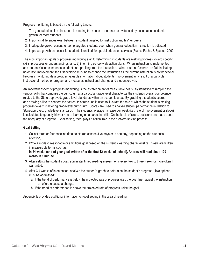Progress monitoring is based on the following tenets:

- 1. The general education classroom is meeting the needs of students as evidenced by acceptable academic growth for most students
- 2. Important differences exist between a student targeted for instruction and his/her peers
- 3. Inadequate growth occurs for some targeted students even when general education instruction is adjusted
- 4. Improved growth can occur for students identified for special education services (Fuchs, Fuchs, & Speece, 2002)

The most important goals of progress monitoring are: 1) determining if students are making progress toward specific skills, processes or understandings; and, 2) informing school-wide action plans. When instruction is implemented and students' scores increase, students are profiting from the instruction. When students' scores are flat, indicating no or little improvement, the first decision must be to change the instruction as the current instruction is not beneficial. Progress monitoring data provides valuable information about students' improvement as a result of a particular instructional method or program and measures instructional change and student growth.

An important aspect of progress monitoring is the establishment of measurable goals. Systematically sampling the various skills that comprise the curriculum at a particular grade level characterize the student's overall competence related to the State-approved, grade-level standards within an academic area. By graphing a student's scores and drawing a line to connect the scores, this trend line is used to illustrate the rate at which the student is making progress toward mastering grade-level curriculum. Scores are used to analyze student performance in relation to State-approved, grade-level standards. The student's average increase per week (i.e., rate of improvement or slope) is calculated to quantify his/her rate of learning on a particular skill. On the basis of slope, decisions are made about the adequacy of progress. Goal setting, then, plays a critical role in the problem-solving process.

### **Goal Setting**

- 1. Collect three or four baseline data points (on consecutive days or in one day, depending on the student's attention).
- 2. Write a modest, reasonable or ambitious goal based on the student's learning characteristics. Goals are written in measurable terms such as:

### **In 24 weeks (end-of-year goal written after the first 12 weeks of school), Andrew will read aloud 100 words in 1 minute.**

- 3. After setting the student's goal, administer timed reading assessments every two to three weeks or more often if warranted.
- 4. After 3-4 weeks of intervention, analyze the student's graph to determine the student's progress. Two options must be addressed:
	- a. If the trend of performance is below the projected rate of progress (i.e., the goal line), adjust the instruction in an effort to cause a change.
	- b. If the trend of performance is above the projected rate of progress, raise the goal.

Appendix E provides additional information on goal setting in the area of reading.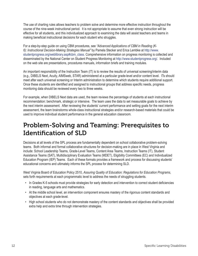The use of charting rules allows teachers to problem solve and determine more effective instruction throughout the course of the nine-week instructional period. It is not appropriate to assume that even strong instruction will be effective for all students, and this individualized approach to examining the data will assist teachers and teams in making beneficial instructional decisions for each student who struggles.

For a step-by-step guide on using CBM procedures, see *"Advanced Applications of CBM in Reading (K-6): Instructional Decision-Making Strategies Manual"* by Pamela Stecker and Erica Lembke at http://www. studentprogress.org/weblibrary.asp#cbm\_class. Comprehensive information on progress monitoring is collected and disseminated by the National Center on Student Progress Monitoring at http://www.studentprogress.org/. Included on the web site are presentations, procedures manuals, information briefs and training modules.

An important responsibility of the Instruction Team (IT) is to review the results of universal screening/interim data (e.g., DIBELS Next, Acuity, AIMSweb, STAR) administered at a particular grade-level and/or content level. ITs should meet after each universal screening or Interim administration to determine which students require additional support. Once these students are identified and assigned to instructional groups that address specific needs, progress monitoring data should be reviewed every two to three weeks.

For example, when DIBELS Next data are used, the team reviews the percentage of students at each instructional recommendation: benchmark, strategic or intensive. The team uses the data to set measurable goals to achieve by the next interim assessment. After reviewing the students' current performance and setting goals for the next interim assessment, the team brainstorms whole-class instructional strategies and/or research-based materials that could be used to improve individual student performance in the general education classroom.

# Problem-Solving and Teaming: Prerequisites to Identification of SLD

Decisions at all levels of the SPL process are fundamentally dependent on school collaborative problem-solving teams. Both informal and formal collaborative structures for decision-making are in place in West Virginia and include: School Leadership Teams, Grade-Level Teams, Content Area Teams, Instruction Teams (IT), Student Assistance Teams (SAT), Multidisciplinary Evaluation Teams (MDET), Eligibility Committees (EC) and Individualized Education Program (IEP) Teams. Each of these formats provides a framework and process for discussing students' educational concerns and ultimately informs the SPL process for determining SLD.

West Virginia Board of Education Policy 2510, *Assuring Quality of Education: Regulations for Education Programs*, sets forth requirements at each programmatic level to address the needs of struggling students.

- In Grades K-5 schools must provide strategies for early detection and intervention to correct student deficiencies in reading, language arts and mathematics.
- At the middle school level, an intervention component ensures mastery of the rigorous content standards and objectives at each grade-level.
- High school students who do not demonstrate mastery of the content standards and objectives shall be provided extra help and extra time through intervention strategies.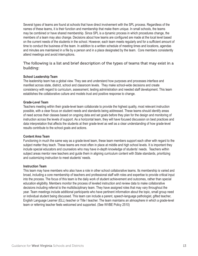Several types of teams are found at schools that have direct involvement with the SPL process. Regardless of the names of these teams, it is their function and membership that make them unique. In small schools, the teams may be combined or have shared membership. Since SPL is a dynamic process in which procedures change, the members of a team may also change. Decisions about how teams are configured are made at the local level based on the current needs of the students in the school. However, each team meets regularly and for a sufficient amount of time to conduct the business of the team. In addition to a written schedule of meeting times and locations, agendas and minutes are maintained in a file by a person and in a place designated by the team. Core members consistently attend meetings and avoid interruptions.

### The following is a list and brief description of the types of teams that may exist in a building:

### **School Leadership Team**

The leadership team has a global view. They see and understand how purposes and processes interface and manifest across state, district, school and classroom levels. They make school-wide decisions and create consistency with regard to curriculum, assessment, testing administration and needed staff development. This team establishes the collaborative culture and models trust and positive response to change.

### **Grade-Level Team**

Teachers meeting within their grade-level team collaborate to provide the highest quality, most relevant instruction possible, with a clear focus on student needs and standards being addressed. These teams should identify areas of need across their classes based on ongoing data and set goals before they plan for the design and monitoring of instruction across the levels of support. As a horizontal team, they will have focused discussion on best practices and data interpretation that affects the students at their grade-level as well as a clear understanding of how grade-level results contribute to the school goals and actions.

### **Content Area Team**

Functioning in much the same way as a grade-level team, these team members support each other with regard to the subject matter they teach. These teams are most often in place at middle and high school levels. It is important they include special educators and counselors who may have in-depth knowledge of students' needs. Teachers within subject areas mentor new teachers and guide them in aligning curriculum content with State standards, prioritizing and customizing instruction to meet students' needs.

### **Instruction Team**

This team may have members who also have a role in other school collaborative teams. Its membership is varied and broad, including a core membership of teachers and professional staff with roles and expertise to provide critical input into the process. The focus of this team is the daily work of student achievement and outcomes, rather than special education eligibility. Members monitor the process of leveled instruction and review data to make collaborative decisions including referral to the multidisciplinary team. They have assigned roles that may vary throughout the year. Team meetings include additional participants who have pertinent information about the topic, small group need or individual student being discussed. This team can include a parent, speech-language pathologist, gifted teacher, English Language Learner (ELL) teacher or Title I teacher. The team maintains an atmosphere in which a grade-level team or referring teacher feels welcomed and supported. (See WVBE Policy 2510)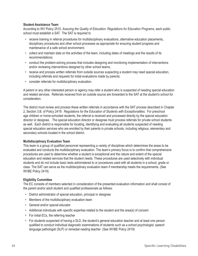### **Student Assistance Team**

According to WV Policy 2510, *Assuring the Quality of Education: Regulations for Education Programs*, each public school must establish a SAT. The SAT is required to

- receive training in referral procedures for multidisciplinary evaluations, alternative education placements, disciplinary procedures and other school processes as appropriate for ensuring student progress and maintenance of a safe school environment;
- collect and maintain data on the activities of the team, including dates of meetings and the results of its recommendations;
- conduct the problem-solving process that includes designing and monitoring implementation of interventions and/or reviewing interventions designed by other school teams;
- receive and process written referrals from outside sources suspecting a student may need special education, including referrals and requests for initial evaluations made by parents;
- consider referrals for multidisciplinary evaluation.

A parent or any other interested person or agency may refer a student who is suspected of needing special education and related services. Referrals received from an outside source are forwarded to the SAT at the student's school for consideration.

The district must review and process these written referrals in accordance with the SAT process described in Chapter 2, Section 3.B. of Policy 2419: *Regulations for the Education of Students with Exceptionalities*. For preschool age children or home-schooled students, the referral is received and processed directly by the special education director or designee. The special education director or designee must process referrals for private school students as well. Each district is responsible for locating, identifying and evaluating all students suspected of needing special education services who are enrolled by their parents in private schools, including religious, elementary and secondary schools located in the school district.

### **Multidisciplinary Evaluation Team**

This team is a group of qualified personnel representing a variety of disciplines which determines the areas to be evaluated and conducts the multidisciplinary evaluation. The team's primary focus is to confirm that comprehensive procedures are used to determine whether a student is exceptional and the nature and extent of the special education and related services that the student needs. These procedures are used selectively with individual students and do not include basic tests administered to or procedures used with all students in a school, grade or class. The SAT can serve as the multidisciplinary evaluation team if membership meets the requirements. (See WVBE Policy 2419)

### **Eligibility Committee**

The EC consists of members selected in consideration of the presented evaluation information and shall consist of the parent and/or adult student and qualified professionals as follows:

- District administrator of special education, principal or designee
- Members of the multidisciplinary evaluation team
- General and/or special educator
- Additional individuals with specific expertise related to the student and the area(s) of concern
- For initial ECs, the referring teacher
- For students suspected of having a SLD, the student's general education teacher and at least one person qualified to conduct individual diagnostic examinations of students such as a school psychologist, speech language pathologist (SLP) or remedial reading teacher (See WVBE Policy 2419)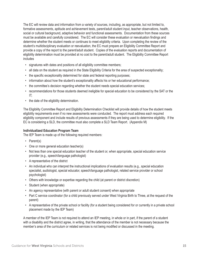The EC will review data and information from a variety of sources, including, as appropriate, but not limited to, formative assessments, aptitude and achievement tests, parent/adult student input, teacher observations, health, social or cultural background, adaptive behavior and functional assessments. Documentation from these sources must be available and carefully considered. The EC will consider these evaluation or reevaluation findings and determine whether the student meets or continues to meet eligibility criteria. Upon completing the review of the student's multidisciplinary evaluation or reevaluation, the EC must prepare an Eligibility Committee Report and provide a copy of the report to the parent/adult student. Copies of the evaluation reports and documentation of eligibility determination must be provided at no cost to the parent/adult student. The Eligibility Committee Report includes

- signatures with dates and positions of all eligibility committee members;
- all data on the student as required in the State Eligibility Criteria for the area of suspected exceptionality;
- the specific exceptionality determined for state and federal reporting purposes;
- information about how the student's exceptionality affects his or her educational performance;
- the committee's decision regarding whether the student needs special education services;
- recommendations for those students deemed ineligible for special education to be considered by the SAT or the IT;
- the date of the eligibility determination.

The Eligibility Committee Report and Eligibility Determination Checklist will provide details of how the student meets eligibility requirements even if no new assessments were conducted. The report must address each required eligibility component and include results of previous assessments if they are being used to determine eligibility. If the EC is considering a SLD, the committee must also complete a SLD Team Report. (Appendix M)

### **Individualized Education Program Team**

The IEP Team is made up of the following required members:

- Parent(s)
- One or more general education teacher(s)
- Not less than one special education teacher of the student or, when appropriate, special education service provider (e.g., speech/language pathologist)
- A representative of the district
- An individual who can interpret the instructional implications of evaluation results (e.g., special education specialist, audiologist, special educator, speech/language pathologist, related service provider or school psychologist)
- Others with knowledge or expertise regarding the child (at parent or district discretion)
- Student (when appropriate)
- An agency representative (with parent or adult student consent) when appropriate
- Part C service coordinator (for a child previously served under West Virginia Birth to Three, at the request of the parent)
- A representative of the private school or facility (for a student being considered for or currently in a private school placement made by the IEP Team)

A member of the IEP Team is not required to attend an IEP meeting, in whole or in part, if the parent of a student with a disability and the district agree, in writing, that the attendance of the member is not necessary because the member's area of the curriculum or related services is not being modified or discussed in the meeting.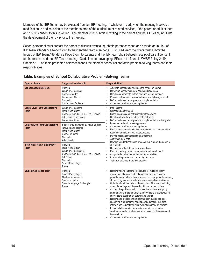Members of the IEP Team may be excused from an IEP meeting, in whole or in part, when the meeting involves a modification to or discussion of the member's area of the curriculum or related services, if the parent or adult student and district consent to this in writing. The member must submit, in writing to the parent and the IEP Team, input into the development of the IEP prior to the meeting.

School personnel must contact the parent to discuss excusal(s), obtain parent consent, and provide an In-Lieu-of IEP Team Attendance Report form to the identified team member(s). Excused team members must submit the In-Lieu of IEP Team Attendance Report form to parents and the IEP Team chair between receipt of parent consent for the excusal and the IEP Team meeting. Guidelines for developing IEPs can be found in WVBE Policy 2419, Chapter 5. The table presented below describes the different school collaborative problem-solving teams and their responsibilities.

| <b>Types of Teams</b>                                 | <b>Suggested Membership</b>                                                                                                                                                        | <b>Responsibilities</b>                                                                                                                                                                                                                                                                                                                                                                                                                                                                                                                                                                                                                                                                                                                                                                                                                                                                                                                                                                                 |  |
|-------------------------------------------------------|------------------------------------------------------------------------------------------------------------------------------------------------------------------------------------|---------------------------------------------------------------------------------------------------------------------------------------------------------------------------------------------------------------------------------------------------------------------------------------------------------------------------------------------------------------------------------------------------------------------------------------------------------------------------------------------------------------------------------------------------------------------------------------------------------------------------------------------------------------------------------------------------------------------------------------------------------------------------------------------------------------------------------------------------------------------------------------------------------------------------------------------------------------------------------------------------------|--|
| <b>School Leadership Team</b>                         | Principal<br>Grade-level facilitator<br>Specialist leader<br><b>Instructional Coach</b><br>Counselor<br>Content area facilitator                                                   | Articulate school goals and keep the school on course<br>Determine staff development needs and resources<br>$\bullet$<br>Decide on appropriate instructional and testing materials<br>$\bullet$<br>Monitor best practice implementation review school/grade data<br>Define multi-level development and implementation<br>$\bullet$<br>Communicate within and among teams<br>$\bullet$                                                                                                                                                                                                                                                                                                                                                                                                                                                                                                                                                                                                                   |  |
| <b>Grade-Level Team/Collaborative</b><br><b>Team</b>  | Grade-level teachers<br><b>Instructional Coach</b><br>Specialist reps (SLP, ESL, Title I, Special<br>Ed, Gifted) as necessary<br><b>Instructional Aides</b>                        | Plan lessons<br>$\bullet$<br>Collect and analyze data<br>$\bullet$<br>Share resources and instructional methodologies<br>$\bullet$<br>Decide and plan how to differentiate instruction<br>Define multi-level development and implementation in the grade<br>$\bullet$                                                                                                                                                                                                                                                                                                                                                                                                                                                                                                                                                                                                                                                                                                                                   |  |
| <b>Content Area Team/Collaborative</b><br><b>Team</b> | Subject area teachers (i.e., math, English/<br>language arts, science)<br>Instructional Coach<br>Special educator<br>Counselor<br>Administrator                                    | Implement a decision-making process<br>$\bullet$<br>Communicate within and among teams<br>$\bullet$<br>Ensure consistency of effective instructional practices and share<br>$\bullet$<br>resources and instructional methodologies<br>Provide assistance/support to other teachers<br>Analyze student data<br>$\bullet$<br>Develop standard instruction protocols that support the needs of<br>all students<br>Conduct individual student problem-solving<br>Provide coaching, resource materials, mentoring to staff<br>$\bullet$<br>Assign and monitor team roles and responsibilities<br>$\bullet$<br>Interact with parents and community resources<br>Train new teachers in the SPL process<br>$\bullet$                                                                                                                                                                                                                                                                                            |  |
| <b>Instruction Team/Collaborative</b><br><b>Team</b>  | Principal<br><b>Instructional Coach</b><br>Grade-level facilitator (s)<br>Specialist reps (SLP, ESL, Title I, Special<br>Ed. Gifted)<br>Counselor<br>School Psychologist<br>Parent |                                                                                                                                                                                                                                                                                                                                                                                                                                                                                                                                                                                                                                                                                                                                                                                                                                                                                                                                                                                                         |  |
| <b>Student Assistance Team</b>                        | Principal<br>School Psychologist<br>Grade-level teacher(s)<br>Special educator<br>Speech-Language Pathologist<br>Parent                                                            | Receive training in referral procedures for multidisciplinary<br>evaluations, alternative education placements, disciplinary<br>procedures and other school processes as appropriate for ensuring<br>student progress and maintenance of a safe school environment<br>Collect and maintain data on the activities of the team, including<br>dates of meetings and the results of its recommendations<br>Conduct the problem-solving process that includes designing<br>$\bullet$<br>and monitoring implementation of interventions and/or reviewing<br>interventions designed by other school teams<br>Receive and process written referrals from outside sources<br>suspecting a student may need special education, including<br>referrals and requests for initial evaluations made by parents<br>Initiate initial evaluation for special education and related<br>$\bullet$<br>services for students, when warranted based on the outcome of<br>interventions<br>Communicate within and among teams |  |

### **Table: Examples of School Collaborative Problem-Solving Teams**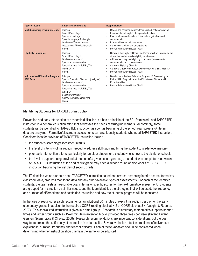| <b>Types of Teams</b>                                 | <b>Suggested Membership</b>                                                                                                                                                                                                              | <b>Responsibilities</b>                                                                                                                                                                                                                                                                                                                                                   |
|-------------------------------------------------------|------------------------------------------------------------------------------------------------------------------------------------------------------------------------------------------------------------------------------------------|---------------------------------------------------------------------------------------------------------------------------------------------------------------------------------------------------------------------------------------------------------------------------------------------------------------------------------------------------------------------------|
| <b>Multidisciplinary Evaluation Team</b>              | Principal<br>School Psychologist<br>Special educator(s)<br>Speech-Language Pathologist<br>Grade-level/Content teacher<br>Occupational /Physical therapist<br>Parent                                                                      | Review and consider requests for special education evaluation<br>٠<br>Evaluate student eligibility for special education<br>Ensure adherence to state policies, federal guidelines and<br>documentation<br>Interact with community resources<br>Communicate within and among teams<br>$\bullet$<br>Provide Prior Written Notice (PWN)                                     |
| <b>Eligibility Committee</b>                          | Principal<br>School Psychologist<br>Grade-level teacher(s)<br>Special education teacher<br>Specialists reps (SLP, ESL, Title I,<br>Gifted, OT, PT)<br>Parent                                                                             | Complete the Eligibility Committee Report which will provide details<br>of how the student meets eligibility requirements<br>Address each required eligibility component (assessments,<br>documentation and observations)<br><b>Complete Eligibility Checklist</b><br>Complete a SLD Team Report (when considering SLD eligibility)<br>Provide Prior Written Notice (PWN) |
| <b>Individualized Education Program</b><br>(IEP) Team | Principal<br>Special Education Director or (designee)<br>Grade-level teacher(s)<br>Special education teacher<br>Specialists reps (SLP, ESL, Title I,<br>Gifted, OT, PT)<br>School Psychologist<br>Agency (permission required)<br>Parent | Develop Individualized Education Program (IEP) according to<br>Policy 2419: Regulations for the Education of Students with<br>Exceptionalities<br>Provide Prior Written Notice (PWN)                                                                                                                                                                                      |

### **Identifying Students for TARGETED Instruction**

Prevention and early intervention of academic difficulties is a basic principle of the SPL framework, and TARGETED instruction is a general education effort that addresses the needs of struggling learners. Accordingly, some students will be identified for TARGETED instruction as soon as beginning of the school year screening/interim data are analyzed. Formative/classroom assessments can also identify students who need TARGETED instruction. Considerations for provision of TARGETED instruction include

- the student's screening/assessment results;
- the level of intensity of instruction needed to address skill gaps and bring the student to grade-level mastery;
- prior early intervention efforts, particularly for an older student or a student who is new to the district or school;
- the level of support being provided at the end of a given school year (e.g., a student who completes nine weeks of TARGETED instruction at the end of first grade may need a second round of nine weeks of TARGETED instruction beginning the first day of second grade).

The IT identifies which students need TARGETED instruction based on universal screening/interim scores, formative/ classroom data, progress monitoring data and any other available types of assessments. For each of the identified students, the team sets a measurable goal in terms of specific scores for the next formative assessment. Students are grouped for instruction by similar needs, and the team identifies the strategies that will be used, the frequency and duration of differentiated and scaffolded instruction and how the students' progress will be monitored.

In the area of reading, research recommends an additional 30 minutes of explicit instruction per day for the early elementary grades in addition to the required CORE reading block at K-2 or CORE block at 3-4 (Vaughn & Roberts, 2007). This specialized instruction is given in a small group. Research in elementary mathematics supports shorter times and larger groups such as 15-20 minute intervention blocks provided three times per week (Bryant, Bryant, Gersten, Scammacca & Chavez, 2008). Research recommendations are important considerations, but the best way to determine the sufficiency of instruction is in its results. Several variables affect instructional effectiveness: explicitness, duration, frequency and teacher efficacy. Each of these variables should be considered when determining whether instruction should remain the same, or be adjusted.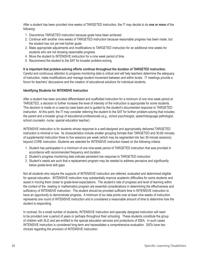After a student has been provided nine weeks of TARGETED instruction, the IT may decide to do **one or more** of the following:

- 1. Discontinue TARGETED instruction because goals have been achieved
- 2. Continue with another nine weeks of TARGETED instruction because reasonable progress has been made, but the student has not yet met his/her goals
- 3. Make appropriate adjustments and modifications to TARGETED instruction for an additional nine weeks for students who are not showing reasonable progress
- 4. Move the student to INTENSIVE instruction for a nine week period of time.
- 5. Recommend the student to the SAT for broader problem-solving

**It is important that problem-solving efforts continue throughout the duration of TARGETED instruction.** Careful and continuous attention to progress monitoring data is critical and will help teachers determine the adequacy of instruction, make modifications and manage student movement between and within levels. IT meetings provide a forum for teachers' discussions and the creation of educational solutions for individual students.

### **Identifying Students for INTENSIVE Instruction**

After a student has been provided differentiated and scaffolded instruction for a minimum of one nine week period at TARGETED, a decision to further increase the level of intensity of the instruction is appropriate for some students. This decision is made on a case-by-case basis and is guided by the student's documented response to TARGETED instruction. At this point, the IT may consider referring the student to the SAT for further problem-solving that includes the parent and a broader group of educational professionals (e.g., school psychologist, speech/language pathologist, school counselor, nurse, special education teacher).

INTENSIVE instruction is for students whose response to a well-designed and appropriately delivered TARGETED instruction is minimal or low. Its characteristics include smaller grouping formats than TARGETED and 30-60 minutes of supplemental instruction three to five sessions per week (which may be segmented into two 30-minute sessions) beyond CORE instruction. Students are selected for INTENSIVE instruction based on the following criteria:

- 1. Student has participated in a minimum of one nine-week period of TARGETED instruction that was provided in accordance with recommended frequency and duration
- 2. Student's progress monitoring data indicate persistent low response to TARGETED instruction
- 3. Student's needs are such that a replacement program may be needed to address pervasive and significantly below grade-level skill gaps

Not all students who require the supports of INTENSIVE instruction are referred, evaluated and determined eligible for special education. INTENSIVE instruction may substantially improve academic difficulties for some students and assist in moving them closer to grade-level expectations. The student's rate of progress and level of learning within the context of the reading or mathematics program are essential considerations in determining the effectiveness and sufficiency of INTENSIVE instruction. The student should be provided sufficient time in INTENSIVE instruction to have an opportunity to demonstrate progress. A minimum of six data points over at least nine weeks of instruction represents one round of INTENSIVE instruction and is considered a reasonable amount of time to determine how the student is responding.

In contrast, for a small number of students, INTENSIVE instruction and specially designed instruction will need to be provided over a period of years or perhaps throughout their schooling. These students constitute the group of children with SLD and are entitled to the special education services and protections of IDEA. In such cases INTENSIVE instruction is considered long-term and necessitates a comprehensive evaluation. SATs have two choices regarding the provision of INTENSIVE instruction: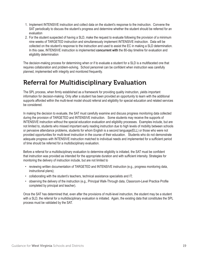- 1. Implement INTENSIVE instruction and collect data on the student's response to the instruction. Convene the SAT periodically to discuss the student's progress and determine whether the student should be referred for an evaluation
- 2. For the student suspected of having a SLD, make the request to evaluate following the provision of a minimum nine weeks of TARGETED instruction and simultaneously implement INTENSIVE instruction. Data will be collected on the student's response to the instruction and used to assist the EC in making a SLD determination. In this case, INTENSIVE instruction is implemented **concurrent with** the 80-day timeline for evaluation and eligibility determination

The decision-making process for determining when or if to evaluate a student for a SLD is a multifaceted one that requires collaboration and problem-solving. School personnel can be confident when instruction was carefully planned, implemented with integrity and monitored frequently.

# Referral for Multidisciplinary Evaluation

The SPL process, when firmly established as a framework for providing quality instruction, yields important information for decision-making. Only after a student has been provided an opportunity to learn with the additional supports afforded within the multi-level model should referral and eligibility for special education and related services be considered.

In making the decision to evaluate, the SAT must carefully examine and discuss progress monitoring data collected during the provision of TARGETED and INTENSIVE instruction. Some students may receive the supports of INTENSIVE instruction without the special education evaluation and eligibility processes. Examples include, but are not limited to, students who missed important early reading instruction due to high levels of mobility between schools or pervasive attendance problems, students for whom English is a second language(ELL) or those who were not provided opportunities for multi-level instruction in the course of their education. Students who do not demonstrate adequate progress with INTENSIVE instruction matched to individual needs and implemented for a sufficient period of time should be referred for a multidisciplinary evaluation.

Before a referral for a multidisciplinary evaluation to determine eligibility is initiated, the SAT must be confident that instruction was provided as intended for the appropriate duration and with sufficient intensity. Strategies for monitoring the delivery of instruction include, but are not limited to

- reviewing written documentation of TARGETED and INTENSIVE instruction (e.g., progress monitoring data, instructional plans);
- collaborating with the student's teachers, technical assistance specialists and IT;
- observing the delivery of the instruction (e.g., Principal Walk-Through data, Classroom-Level Practice Profile completed by principal and teacher).

Once the SAT has determined that, even after the provisions of multi-level instruction, the student may be a student with a SLD, the referral for a multidisciplinary evaluation is initiated. Again, the existing data that constitutes the SPL process must be validated by the SAT.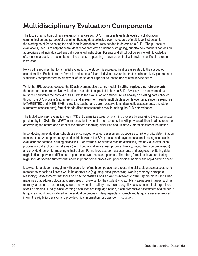# Multidisciplinary Evaluation Components

The focus of a multidisciplinary evaluation changes with SPL. It necessitates high levels of collaboration, communication and purposeful planning. Existing data collected over the course of multi-level instruction is the starting point for selecting the additional information sources needed to determine a SLD. The purpose of evaluations, then, is to help the team identify not only why a student is struggling, but also how teachers can design appropriate and individualized specially designed instruction. Parents and all school personnel with knowledge of a student are asked to contribute to the process of planning an evaluation that will provide specific direction for instruction.

Policy 2419 requires that for an initial evaluation, the student is evaluated in all areas related to the suspected exceptionality. Each student referred is entitled to a full and individual evaluation that is collaboratively planned and sufficiently comprehensive to identify all of the student's special education and related service needs.

While the SPL process replaces the IQ-achievement discrepancy model, it **neither replaces nor circumvents** the need for a comprehensive evaluation of a student suspected to have a SLD. A variety of assessment data must be used within the context of SPL. While the evaluation of a student relies heavily on existing data collected through the SPL process (i.e., screening and assessment results, multiple data points over time, student's response to TARGETED and INTENSIVE instruction, teacher and parent observations, diagnostic assessments, and state summative assessments), formal standardized assessments assist in making the SLD determination.

The Multidisciplinary Evaluation Team (MDET) begins its evaluation planning process by analyzing the existing data provided by the SAT. The MDET members select evaluation components that will provide additional data sources for determining the nature and extent of the student's learning difficulties and ultimately inform classroom instruction.

In conducting an evaluation, schools are encouraged to select assessment procedures to link eligibility determination to instruction. A complementary relationship between the SPL process and psychoeducational testing can exist in evaluating for potential learning disabilities. For example, relevant to reading difficulties, the individual evaluation process should explicitly target areas (i.e., phonological awareness, phonics, fluency, vocabulary, comprehension) and provide direction for meaningful instruction. Formative/classroom assessments and progress monitoring data might indicate pervasive difficulties in phonemic awareness and phonics. Therefore, formal achievement testing might include specific subtests that address phonological processing, phonological memory and rapid naming speed.

Likewise, for a student struggling with acquisition of math computation and reasoning skills, diagnostic assessments matched to specific skill areas would be appropriate (e.g., sequential processing, working memory, perceptual reasoning). Assessments that focus on *specific features of a student's academic difficulty* are more useful than measures that address global academic areas. Likewise, for the student who exhibits weaknesses in areas such as memory, attention, or processing speed, the evaluation battery may include cognitive assessments that target those specific domains. Finally, since learning disabilities are language-based, a comprehensive assessment of a student's language should be considered in the evaluation process. Many aspects of speech and language assessment can inform the eligibility decision and provide critical information for classroom instruction.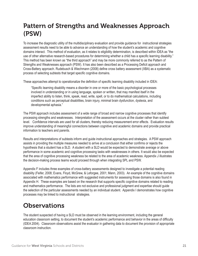# Pattern of Strengths and Weaknesses Approach (PSW)

To increase the diagnostic utility of the multidisciplinary evaluation and provide guidance for instructional strategies assessment results need to be able to advance an understanding of how the student's academic and cognitive domains interact. This method of evaluation, as it relates to eligibility determination, is described within IDEA as "the use of other alternative research-based procedures for determining whether a child has a specific learning disability." This method has been known as "the third approach" and may be more commonly referred to as the Pattern of Strengths and Weaknesses approach (PSW). It has also been described as a Processing Deficit approach and Cross-Battery approach. Rudebusch & Wiechmann (2008) define cross battery assessment (XBA) as a systematic process of selecting subtests that target specific cognitive domains.

These approaches attempt to operationalize the definition of specific learning disability included in IDEA:

"Specific learning disability means a disorder in one or more of the basic psychological processes involved in understanding or in using language, spoken or written, that may manifest itself in the imperfect ability to listen, think, speak, read, write, spell, or to do mathematical calculations, including conditions such as perceptual disabilities, brain injury, minimal brain dysfunction, dyslexia, and developmental aphasia."

The PSW approach includes assessment of a wide range of broad and narrow cognitive processes that identify processing strengths and weaknesses. Interpretation of the assessment occurs at the cluster rather than subtest level. Confidence intervals are used for all clusters, thereby reducing measurement error effects. Evaluation results improve understanding of meaningful connections between cognitive and academic domains and provide practical information to teachers and parents.

Results and interpretations of subtests inform and guide instructional approaches and strategies. A PSW approach assists in providing the multiple measures needed to arrive at a conclusion that either confirms or rejects the hypothesis that a student has a SLD. A student with a SLD would be expected to demonstrate average or above performance in some academic and cognitive processing tasks with weaknesses in others. It would also be expected that the area of cognitive processing weakness be related to the area of academic weakness. Appendix J illustrates the decision-making process teams would proceed through when integrating SPL and PSW.

Appendix F includes three examples of cross-battery assessments designed to investigate a potential reading disability (Feifer, 2008; Evans, Floyd, McGrew, & Leforgee, 2001; Mann, 2003). An example of the cognitive domains associated with mathematics performance with suggested instruments for assessing those domains is also found in Appendix H. These examples are based on the research that supports specific cognitive domains related to reading and mathematics performance. The lists are not exclusive and professional judgment and expertise should guide the selection of the particular assessments needed by an individual student. Appendix I demonstrates how cognitive processes may be linked to instructional strategies.

# **Observations**

The student suspected of having a SLD must be observed in the learning environment, including the general education classroom setting, to document the student's academic performance and behavior in the areas of difficulty (IDEA 2004). Classroom observations assist the evaluator in gathering data to document the provision of appropriate classroom instruction.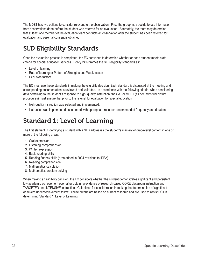The MDET has two options to consider relevant to the observation. First, the group may decide to use information from observations done before the student was referred for an evaluation. Alternately, the team may determine that at least one member of the evaluation team conducts an observation after the student has been referred for evaluation and parental consent is obtained

# SLD Eligibility Standards

Once the evaluation process is completed, the EC convenes to determine whether or not a student meets state criteria for special education services. Policy 2419 frames the SLD eligibility standards as:

- Level of learning
- Rate of learning or Pattern of Strengths and Weaknesses
- Exclusion factors

The EC must use these standards in making the eligibility decision. Each standard is discussed at the meeting and corresponding documentation is reviewed and validated. In accordance with the following criteria, when considering data pertaining to the student's response to high- quality instruction, the SAT or MDET (as per individual district procedures) must ensure that prior to the referral for evaluation for special education

- high-quality instruction was selected and implemented;
- instruction was implemented as intended with appropriate research-recommended frequency and duration.

# Standard 1: Level of Learning

The first element in identifying a student with a SLD addresses the student's mastery of grade-level content in one or more of the following areas:

- 1. Oral expression
- 2. Listening comprehension
- 3. Written expression
- 4. Basic reading skills
- 5. Reading fluency skills (area added in 2004 revisions to IDEA)
- 6. Reading comprehension
- 7. Mathematics calculation
- 8. Mathematics problem-solving

When making an eligibility decision, the EC considers whether the student demonstrates significant and persistent low academic achievement even after obtaining evidence of research-based CORE classroom instruction and TARGETED and INTENSIVE instruction. Guidelines for consideration in making the determination of significant or severe underachievement follow. These criteria are based on current research and are used to assist ECs in determining Standard 1, Level of Learning.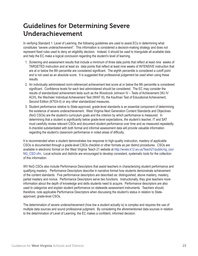# Guidelines for Determining Severe Underachievement

In verifying Standard 1: Level of Learning, the following guidelines are used to assist ECs in determining what constitutes "severe underachievement". This information is considered a decision-making strategy and does not represent fixed rules used to deny an eligibility decision. Instead, it should be used to triangulate all available data and help the EC make a logical conclusion regarding the student's level of learning.

- 1. Screening and assessment results that include a minimum of three data points that reflect at least nine weeks of TARGETED instruction and at least six data points that reflect at least nine weeks of INTENSIVE instruction that are at or below the 8th percentile are considered significant. The eighth percentile is considered a cutoff point and is not used as an absolute score. It is suggested that professional judgement be used when using these results.
- 2. An individually administered norm-referenced achievement test score at or below the 8th percentile is considered significant. Confidence levels for each test administered should be considered. The EC may consider the results of standardized achievement tests such as the Woodcock Johnson IV – Tests of Achievement (WJ IV ACH), the Wechsler Individual Achievement Test (WIAT III), the Kaufman Test of Educational Achievement, Second Edition (KTEA-II) or any other standardized measures.
- 3. Student performance relative to State-approved, grade-level standards is an essential component of determining the existence of severe underachievement. West Virginia Next Generation Content Standards and Objectives (NxG CSOs) are the student's curriculum goals and the criterion by which performance is measured. In determining that a student is significantly below grade-level expectations, the student's teacher, IT and SAT must carefully review relevant CSOs and document student performance over time and as measured repeatedly. A checklist substantiated with both formal and informal assessment data will provide valuable information regarding the student's classroom performance in noted areas of difficulty.

It is recommended when a student demonstrates low response to high-quality instruction, mastery of applicable CSOs is documented through a grade-level CSOs checklist or other formats as per district procedures. CSOs are available in electronic format on the West Virginia Teach 21 website at http://wveis.k12.wv.us/Teach21/public/ng\_cso/ NG CSO.cfm. Local schools and districts are encouraged to develop consistent, systematic tools for the collection of this information.

WV NxG CSOs also include Performance Descriptors that assist teachers in characterizing student performance and qualifying mastery. Performance Descriptors describe in narrative format how students demonstrate achievement of the content standards. Five performance descriptors are described as: distinguished, above mastery, mastery, partial mastery and novice. Performance Descriptors serve two functions. Instructionally, they give teachers more information about the depth of knowledge and skills students need to acquire. Performance descriptors are also used to categorize and explain student performance on statewide assessment instruments. Teachers should, therefore, note applicable Performance Descriptors when discussing the student's status in relation to Stateapproved, grade-level CSOs.

The determination of severe underachievement (how low a student actually is) is complex and requires the use of multiple data sources and sound professional judgment. By considering the aforementioned data sources in relation to the determination of Level of Learning, the EC makes a confident, informed decision.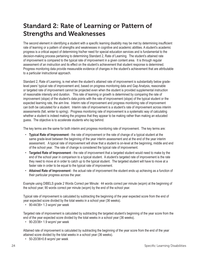# Standard 2: Rate of Learning or Pattern of Strengths and Weaknesses

The second element in identifying a student with a specific learning disability may be met by determining insufficient rate of learning or a pattern of strengths and weaknesses in cognitive and academic abilities. A student's academic progress is a critical aspect of determining his/her need for special education services and is fundamental to the decision-making process pertaining to determining Standard 2, Rate of Learning. The student's attained rate of improvement is compared to the typical rate of improvement in a given content area. It is through regular assessment of an instruction and its effect on the student's achievement that student response is determined. Progress monitoring data provide measurable evidence of changes in the student's achievement that are attributable to a particular instructional approach.

Standard 2, Rate of Learning, is met when the student's attained rate of improvement is substantially below gradelevel peers' typical rate of improvement and, based on progress monitoring data and Gap Analysis, reasonable or targeted rate of improvement cannot be projected even when the student is provided supplemental instruction of reasonable intensity and duration. This rate of learning or growth is determined by comparing the rate of improvement (slope) of the student's data points with the rate of improvement (slope) of the typical student or the expected learning rate, the aim line. Interim rate of improvement and progress monitoring rate of improvement can both be calculated for a student. Interim rate of improvement is a student's rate of improvement across interim assessments (fall, winter to spring). Progress monitoring rate of improvement is a systematic way of calculating whether a student is indeed making the progress that they appear to be making rather than making an educated guess. The objective is to accelerate students who lag behind.

The key terms are the same for both interim and progress monitoring rate of improvement. The key terms are:

- **Typical Rate of Improvement** the rate of improvement or the rate of change of a typical student at the same grade-level between the beginning of the year interim assessment and at the end of the year interim assessment. A typical rate of improvement will show that a student is on-level at the beginning, middle and end of the school year. The rate of change is considered the typical rate of improvement.
- **Targeted Rate of Improvement** the rate of improvement that a targeted student would need to make by the end of the school year in comparison to a typical student. A student's targeted rate of improvement is the rate they need to move at in order to catch up to the typical student. The targeted student will have to move at a faster rate in order to be equal to the typical rate of improvement.
- **Attained Rate of Improvement** the actual rate of improvement the student ends up achieving as a function of their particular progress across the year.

Example using DIBELS grade 2 Words Correct per Minute: 44 words correct per minute (wcpm) at the beginning of the school year; 90 words correct per minute (wcpm) by the end of the school year.

Typical rate of improvement is calculated by subtracting the beginning of the year expected score from the end of year expected score divided by the total weeks in a school year (36 weeks).

• 90-44/36= 1.3 wcpm/ per week

Targeted rate of improvement is calculated by subtracting the targeted student's beginning of the year score from the end of the year expected score divided by the total weeks in a school year (36 weeks).

• 90-20/36= 1.9 wcpm/ per week

Attained rate of improvement is calculated by subtracting the beginning of the year score from the end of the year attained score divided by the total weeks in a school year (36 weeks).

• 50-20/36=0.8 wcpm/ per week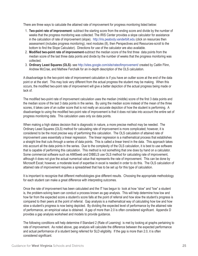There are three ways to calculate the attained rate of improvement for progress monitoring listed below:

- 1. **Two-point rate of improvement** subtract the starting score from the ending score and divide by the number of weeks that the progress monitoring was collected. The IRIS Center provides a slope calculator for assistance in the calculation of rate of improvement (slope). http://iris.peabody.vanderbilt.edu (click on resources then assessment (includes progress monitoring), next modules (8), then Perspectives and Resources-scroll to the bottom to find the Slope Calculator). Directions for use of the calculator are also available.
- 2. **Modified two-point rate of improvement**-subtract the median score of the first three data points from the median score of the last three data points and divide by the number of weeks that the progress monitoring was collected.
- 3. **Ordinary Least Squares (OLS)** see http://sites.google.com/site/rateofimprovement/ created by Caitlin Flinn, Andrew McCrae, and Mathew Ferchalk for an in-depth description of the OLS calculation.

A disadvantage to the two-point rate of improvement calculation is if you have an outlier score at the end of the data point or at the start. This may look very different from the actual progress the student may be making. When this occurs, the modified two-point rate of improvement will give a better depiction of the actual progress being made or lack of.

The modified two-point rate of improvement calculation uses the median (middle) score of the first 3 data points and the median score of the last 3 data points in the series. By using the median score instead of the mean of the three scores, it takes care of an outlier score that is not really an accurate depiction of how the student is performing. A disadvantage to using the modified two-point rate of improvement is that it does not take into account the entire set of progress monitoring data. This calculation uses only six data points.

When making a high stakes decision that is diagnostic in nature, a more precise method may be needed. The Ordinary Least Squares (OLS) method for calculating rate of improvement is more complicated; however, it is considered to be the most precise way of performing this calculation. The OLS calculation of attained rate of improvement uses essentially a linear regression. The linear regression is a mathematical process that establishes a straight line that cuts through a series of data points. This is called a linear trend in the data. This approach takes into account all the data points in the series. Due to the complexity of the OLS calculation, it is best to use software that is capable of performing this calculation. This method is not something that one does by hand on a calculator. Some commercial software such as AIMSweb and DIBELS use OLS method for calculating rate of improvement, although it does not give the actual numerical value that represents the rate of improvement. This can be done by Microsoft Excel; however, a moderate level of expertise in excel is needed in order to do this. The OLS calculation of attained rate of improvement requires a spreadsheet that has to be set up for this type of calculation.

It is important to recognize that different methodologies give different results. Choosing the appropriate methodology for each student can make a great difference with interpreting outcomes.

Once the rate of improvement has been calculated and the IT has begun to look at how "slow" and "low" a student is, the problem-solving team can conduct a process known as gap analysis. This will help determine how low and how far from the expected score a student's score falls at the point of referral and how slow the student's progress is compared to their peers at the point of referral. Gap analysis is a mathematical way of calculating how low and how slow a student's progress is now being depicted. By dividing the expected level of performance by the attained rate of performance, an empirical value is obtained. A gap of more than 2.0 is often considered significant. Appendix D provides a gap analysis worksheet and models to provide guidance.

The following conditions will help determine if Standard 2 (Rate of Learning) is met by looking at graphs pertaining to rate of improvement. As noted above, gap analysis will calculate the difference between the expected performance and actual performance of a student being referred for SLD eligibility. If the gap is more than 2.0, it is often considered significant.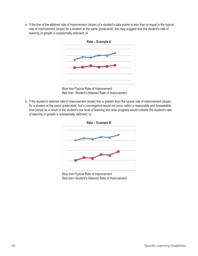a. If the line of the attained rate of improvement (slope) of a student's data points is less than or equal to the typical rate of improvement (slope) for a student at the same grade-level, this may suggest that the student's rate of learning or growth is substantially deficient; or



Blue line=Typical Rate of Improvement Red line= Student's Attained Rate of Improvement

b. If the student's attained rate of improvement (slope) line is greater than the typical rate of improvement (slope) for a student at the same grade-level, but a convergence would not occur within a reasonable and foreseeable time period as a result of the student's low level of learning and slow progress would indicate the student's rate of learning or growth is substantially deficient; or



Blue line=Typical Rate of Improvement Red line= Student's Attained Rate of Improvement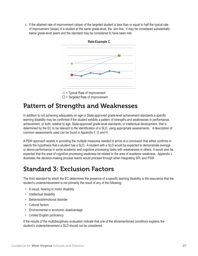c. If the attained rate of improvement (slope) of the targeted student is less than or equal to half the typical rate of improvement (slope) of a student at the same grade-level, the aim line, it may be considered substantially below grade-level peers and the standard may be considered to have been met.







# Pattern of Strengths and Weaknesses

In addition to not achieving adequately on age or State-approved grade-level achievement standards a specific learning disability may be confirmed if the student exhibits a pattern of strengths and weaknesses in performance, achievement, or both, relative to age, State-approved grade-level standards, or intellectual development, that is determined by the EC to be relevant to the identification of a SLD, using appropriate assessments. A description of common assessments used can be found in Appendix F, G and H.

A PSW approach assists in providing the multiple measures needed to arrive at a conclusion that either confirms or rejects the hypothesis that a student has a SLD. A student with a SLD would be expected to demonstrate average or above performance in some academic and cognitive processing tasks with weaknesses in others. It would also be expected that the area of cognitive processing weakness be related to the area of academic weakness. Appendix J illustrates the decision-making process teams would proceed through when integrating SPL and PSW.

# Standard 3: Exclusion Factors

The third standard by which the EC determines the presence of a specific learning disability is the assurance that the student's underachievement is not primarily the result of any of the following:

- A visual, hearing or motor disability
- Intellectual disability
- Behavioral/emotional disorder
- Cultural factors
- Environmental or economic disadvantage
- Limited English proficiency

If the results of the multidisciplinary evaluation indicate that one of the aforementioned conditions explains the student's underachievement a SLD should not be considered.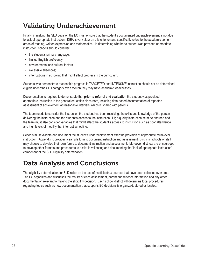# Validating Underachievement

Finally, in making the SLD decision the EC must ensure that the student's documented underachievement is not due to lack of appropriate instruction. IDEA is very clear on this criterion and specifically refers to the academic content areas of reading, written expression and mathematics. In determining whether a student was provided appropriate instruction, schools should consider

- the student's primary language;
- limited English proficiency;
- environmental and cultural factors;
- excessive absences;
- interruptions in schooling that might affect progress in the curriculum.

Students who demonstrate reasonable progress in TARGETED and INTENSIVE instruction should not be determined eligible under the SLD category even though they may have academic weaknesses.

Documentation is required to demonstrate that **prior to referral and evaluation** the student was provided appropriate instruction in the general education classroom, including data-based documentation of repeated assessment of achievement at reasonable intervals, which is shared with parents.

The team needs to consider the instruction the student has been receiving, the skills and knowledge of the person delivering the instruction and the student's access to the instruction. High-quality instruction must be ensured and the team must also consider variables that might affect the student's access to instruction such as poor attendance and high levels of mobility that interrupt schooling.

Schools must validate and document the student's underachievement after the provision of appropriate multi-level instruction. Appendix K provides a sample form to document instruction and assessment. Districts, schools or staff may choose to develop their own forms to document instruction and assessment. Moreover, districts are encouraged to develop other formats and procedures to assist in validating and documenting the "lack of appropriate instruction" component of the SLD eligibility determination.

# Data Analysis and Conclusions

The eligibility determination for SLD relies on the use of multiple data sources that have been collected over time. The EC organizes and discusses the results of each assessment, parent and teacher information and any other documentation relevant to making the eligibility decision. Each school district will determine local procedures regarding topics such as how documentation that supports EC decisions is organized, stored or located.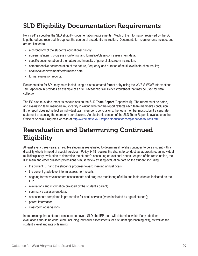# SLD Eligibility Documentation Requirements

Policy 2419 specifies the SLD eligibility documentation requirements. Much of the information reviewed by the EC is gathered and recorded throughout the course of a student's instruction. Documentation requirements include, but are not limited to

- a chronology of the student's educational history;
- screening/interim, progress monitoring, and formative/classroom assessment data;
- specific documentation of the nature and intensity of general classroom instruction;
- comprehensive documentation of the nature, frequency and duration of multi-level instruction results;
- additional achievement/performance data;
- formal evaluation reports.

Documentation for SPL may be collected using a district created format or by using the WVEIS WOW Interventions Tab. Appendix K provides an example of an SLD Academic Skill Deficit Worksheet that may be used for data collection.

The EC also must document its conclusions on the **SLD Team Report** (Appendix M). The report must be dated, and evaluation team members must certify in writing whether the report reflects each team member's conclusion. If the report does not reflect an individual team member's conclusions, the team member must submit a separate statement presenting the member's conclusions. An electronic version of the SLD Team Report is available on the Office of Special Programs website at http://wvde.state.wv.us/specialeducationcompliance/resources.html.

# Reevaluation and Determining Continued Eligibility

At least every three years, an eligible student is reevaluated to determine if he/she continues to be a student with a disability who is in need of special services. Policy 2419 requires the district to conduct, as appropriate, an individual multidisciplinary evaluation to determine the student's continuing educational needs. As part of the reevaluation, the IEP Team and other qualified professionals must review existing evaluation data on the student, including

- the current IEP and the student's progress toward meeting annual goals;
- the current grade-level interim assessment results;
- ongoing formative/classroom assessments and progress monitoring of skills and instruction as indicated on the IEP;
- evaluations and information provided by the student's parent;
- summative assessment data;
- assessments completed in preparation for adult services (when indicated by age of student);
- parent information;
- classroom observations.

In determining that a student continues to have a SLD, the IEP team will determine which if any additional evaluations should be conducted (including individual assessments for a student approaching exit), as well as the student's level and rate of learning.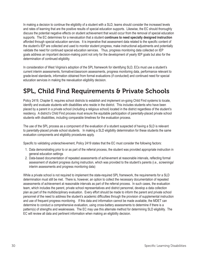In making a decision to continue the eligibility of a student with a SLD, teams should consider the increased levels and rates of learning that are the positive results of special education supports. Likewise, the EC should thoroughly discuss the potential negative effects on student achievement that would occur from the removal of special education supports. The EC determines for a reevaluation that a student **continues to need specially designed instruction** afforded through special education services. It is imperative that assessment data related to the specific content of the student's IEP are collected and used to monitor student progress, make instructional adjustments and potentially validate the need for continued special education services. Thus, progress monitoring data collected on IEP goals address an important decision-making point not only for the development of yearly IEP goals but also for the determination of continued eligibility.

In consideration of West Virginia's adoption of the SPL framework for identifying SLD, ECs must use a student's current interim assessments, formative/classroom assessments, progress monitoring data, performance relevant to grade-level standards, information obtained from formal evaluations (if conducted) and continued need for special education services in making the reevaluation eligibility decision.

# SPL, Child Find Requirements & Private Schools

Policy 2419, Chapter 8, requires school districts to establish and implement on-going Child Find systems to locate, identify and evaluate students with disabilities who reside in the district. This includes students who have been placed by a parent in a private school (including a religious school) located in the district regardless of the student's residency. A district's Child Find process must ensure the equitable participation of parentally-placed private school students with disabilities, including comparable timelines for the evaluation process.

The use of the SPL process as a component of the evaluation of a student suspected of having a SLD is relevant to parentally-placed private school students. In making a SLD eligibility determination for these students the same evaluation components and eligibility procedures apply.

Specific to validating underachievement, Policy 2419 states that the EC must consider the following factors:

- 1. Data demonstrating prior to or as part of the referral process, the student was provided appropriate instruction in general education settings
- 2. Data-based documentation of repeated assessments of achievement at reasonable intervals, reflecting formal assessment of student progress during instruction, which was provided to the student's parents (i.e., screenings/ interim assessments and progress monitoring data)

While a private school is not required to implement the state-required SPL framework, the requirements for a SLD determination must still be met. There is, however, an option to collect the necessary documentation of repeated assessments of achievement at reasonable intervals as part of the referral process. In such cases, the evaluation team, which includes the parent, private school representatives and district personnel, develop a data collection plan as part of the multidisciplinary evaluation. Every effort should be made to inform the parent and private school personnel of the need to address the student's academic difficulties through the provision of supplemental instruction and use of frequent progress monitoring. If this data and information cannot be made available, the MDET can determine to conduct a comprehensive evaluation, using cross-battery assessments to determine if there is a pattern(s) of strengths and weaknesses. The EC may use this alternate method for determining SLD eligibility. The EC will review all data and pertinent information when making an eligibility decision.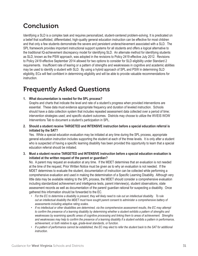## Conclusion

Identifying a SLD is a complex task and requires personalized, student-centered problem-solving. It is predicated on a belief that scaffolded, differentiated, high-quality general education instruction can be effective for most children and that only a few students demonstrate the severe and persistent underachievement associated with a SLD. The SPL framework provides important instructional support systems for all students and offers a logical alternative to the traditional IQ-achievement discrepancy model for identifying SLD. An alternate method for identifying students as SLD, known as the PSW approach, was adopted in the revisions to Policy 2419 effective July 2012. Revisions to Policy 2419 effective September 2014 allowed for two options to consider for SLD eligibility under Standard 2 requirements. Insufficient rate of learing or a pattern of strengths and weaknesses in cognitive and academic abilities may be used to identify a student with SLD. By using a hybrid approach of SPL and PSW in determining SLD eligibility, ECs will feel confident in determining eligibility and will be able to provide valuable recommendations for instruction.

## Frequently Asked Questions

#### **1. What documentation is needed for the SPL process?**

Graphs and charts that indicate the level and rate of a student's progress when provided interventions are essential. These data must evidence appropriate frequency and duration of leveled instruction. Schools should have a data collection system that includes repeated assessment data collected over a period of time; intervention strategies used; and specific student outcomes. Districts may choose to utilize the WVEIS WOW Interventions Tab to document a student's participation in SPL.

**2. Should a student receive TARGETED and INTENSIVE instruction before a special education referral is initiated by the SAT?**

Yes. While a special education evaluation may be initiated at any time during the SPL process, appropriate general education instruction includes supporting the student at each of the three levels. It is only after a student who is suspected of having a specific learning disability has been provided this opportunity to learn that a special education referral should be initiated.

**3. Must a student receive TARGETED and INTENSIVE instruction before a special education evaluation is initiated at the written request of the parent or guardian?**

No. A parent may request an evaluation at any time. If the MDET determines that an evaluation is not needed at the time of the request, Prior Written Notice must be given as to why an evaluation is not needed. If the MDET determines to evaluate the student, documentation of instruction can be collected while performing a comprehensive evaluation and used in making the determination of a Specific Learning Disability. Although very little data may be available relating to the SPL process, the MDET should consider a comprehensive evaluation including standardized achievement and intelligence tests, parent interview(s), student observations, state assessment records as well as documentation of the parent/ guardian rational for suspecting a disability. Once gathered this information should be forwarded to the EC.

- For the EC to determine a disability is present, they will likely need to rule out an intellectual disability. To rule *out an intellectual disability the MDET must have sought parent consent to administer a comprehensive battery of assessments including adaptive rating scales.*
- If no intellectual or other disabilities are determined, via the comprehensive assessment results, the EC may attempt to confirm the presence of a learning disability by determining whether a student exhibits a pattern of strengths and *weaknesses by examining specific areas of cognitive processing and linking them to areas of achievement. Strengths*  and weaknesses may help to confirm the presence of a learning disability if a student exhibits a pattern in performance, *achievement, or both relative to age, grade-level standards, or function.*
- If a pattern of performance cannot be established, the EC may elect to refer the student back to the SAT for additional *instruction.*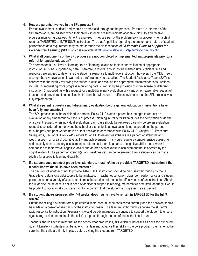#### **4. How are parents involved in the SPL process?**

Parent involvement is critical and should be embraced throughout the process. Parents are informed of the SPL framework, are advised when their child's screening results indicate academic difficulty and receive progress monitoring data each time it is analyzed. They are part of the problem-solving process when a child requires TARGETED or INTENSIVE instruction. The state's policies regarding the amount and nature of student performance data requirement may be met through the dissemination of *"A Parent's Guide to Support for Personalized Learning (SPL)"* which is available at http://wvde.state.wv.us/spl/familycommunity.html.

#### **5. What if all components of the SPL process are not completed or implemented inappropriately prior to a referral for special education?**

The components (i.e., level of learning, rate of learning, exclusion factors and validation of appropriate instruction) must be supported by data. Therefore, a referral should not be initiated until sufficient time and resources are applied to determine the student's response to multi-level instruction; however, if the MDET feels a comprehensive evaluation is warranted a referral may be expedited. The Student Assistance Team (SAT) is charged with thoroughly reviewing the student's case and making the appropriate recommendations. Actions include: 1) requesting more progress monitoring data, 2) requiring the provision of more intense or different instruction, 3) proceeding with a request for a multidisciplinary evaluation or 4) any other reasonable request of teachers and providers of customized instruction that will result in sufficient evidence that the SPL process was fully implemented.

#### **6. What if a parent requests a multidisciplinary evaluation before general education interventions have been fully implemented?**

The SPL process must be explained to parents. Policy 2419 states a parent has the right to request an evaluation at any time throughout the SPL process. Nothing in Policy 2419 precludes the completion or denial of a parent request for an individual evaluation. Each case should be reviewed carefully before an evaluation request is considered. In the event the school or district feels an evaluation is not appropriate, the parent must be provided prior written notice of that decision in accordance with Policy 2419, Chapter 10, Procedural Safeguards, Section 3. Policy 2419 allows for an EC to determine if there are a pattern of strengths and weaknesses in an area of cognitive ability and achievement. This would require a comprehensive assessment, and possibly a cross-battery assessment to determine if there is an area of cognitive ability that is weak in comparison to their overall cognitive ability and an area of weakness in achievement that is affected by the cognitive deficit. If a pattern of strength(s) and weakness(s) can be determined then a student can be made eligible for a specific learning disability.

#### **7. If a student does not meet grade-level standards, must he/she be provided TARGETED instruction if the teacher knows the skills have been mastered?**

The decision of whether or not to provide TARGETED instruction should be discussed thoroughly by the IT. Grade-level data is one data source to be analyzed. Teacher observation, classroom performance and student performance on a variety of assessments must be used to determine the effectiveness of an instruction. Should the IT decide the student is not in need of additional support in reading, mathematics or written language it would be prudent to occasionally progress monitor to confirm that the student is progressing as expected.

#### **8. If a student shows progress after 4-6 weeks, does he/she have to remain in TARGETED for the full 9 weeks?**

Criteria for exiting a student from supplemental instruction must be considered carefully and the decision should be made on a case-by-case basis by the instruction team. The team must thoroughly analyze the student's rapid response to instruction. Generally, it would be advantageous to continue to support the student to ensure against regression and maintain the child's progress through the end of the instructional round.

Teachers should keep in mind that as the school year progresses, skill difficulty increases as does the expected goal. Ultimately, students must be able to maintain and advance their skills in the core program over time, so be sure that the skills are firmly in place before exiting the student from TARGETED.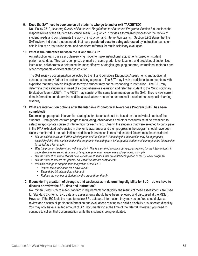#### **9. Does the SAT need to convene on all students who go to and/or exit TARGETED?**

No. Policy 2510, *Assuring Quality of Education: Regulations for Education Programs*, Section 8.9, outlines the responsibilities of the Student Assistance Team (SAT) which provides a formalized process for the review of student needs and complements the work of instruction and intervention teams. Section 8.9.2 states that the SAT reviews individual student needs that have **persisted despite being addressed** by instruction teams, or acts in lieu of an instruction team, and considers referrals for multidisciplinary evaluation.

#### **10. What is the difference between the IT and the SAT?**

An instruction team uses a problem-solving model to make instructional adjustments based on student performance data. This team, comprised primarily of same grade- level teachers and providers of customized instruction, collaborates to determine the most effective strategies, grouping patterns, instructional materials and other components of differentiated instruction.

The SAT reviews documentation collected by the IT and considers Diagnostic Assessments and additional screeners that may further the problem-solving approach. The SAT may involve additional team members with expertise that may provide insight as to why a student may not be responding to instruction. The SAT may determine that a student is in need of a comprehensive evaluation and refer the student to the Multidisciplinary Evaluation Team (MDET). The MDET may consist of the same team members as the SAT. They review current data, information and determine additional evaluations needed to determine if a student has a specific learning disability.

#### **11. What are intervention options after the Intensive Phonological Awareness Program (IPAP) has been completed?**

Determining appropriate intervention strategies for students should be based on the individual needs of the students. Data generated from progress monitoring, observations and other measures must be examined to select an appropriate course of intervention for each child. Clearly, the students that were selected to participate in the IPAP exhibited deficiencies in phonemic awareness and their progress in the program should have been closely monitored. If the data indicate additional intervention is required, several factors must be considered:

- Did the child receive the IPAP in Kindergarten or First Grade? Repeating the intervention may be appropriate, especially if the child participated in the program in the spring as a kindergarten student and can repeat the intervention *in the fall as a first grader.*
- *• Was the program implemented with integrity? This is a scripted program but requires training for the interventionist in understanding the sound structure of language, phonemic awareness and alphabetic principle.*
- *• Did the student or interventionist have excessive absences that prevented completion of the 12 week program?*
- *• Did the student receive the general education classroom component?*
- *• Possible change in support after completion of the IPAP:* 
	- *• Repeat the intervention for 5 days /week*
	- *• Expand the 30 minute time allotment*
	- *• Reduce the number of students in the group (from 6 to 3).*

#### **12. If considering a pattern of strengths and weaknesses in determining eligibility for SLD, do we have to discuss or review the SPL data and instruction?**

No. When using PSW to meet Standard 2 requirements for eligibilty, the results of these assessments are used for Standard 2 criteria. SPL data and assessments should have been reviewed and discussed at the MDET. However, if the EC feels the need to review SPL data and information, they may do so. You should always review and discuss all pertinent information and evaluations relating to a child's disability or suspected disability. You may only have a limited amount of SPL documentation at the time of the referral; however, you need to continue to collect that documentation while the student is being evaluated.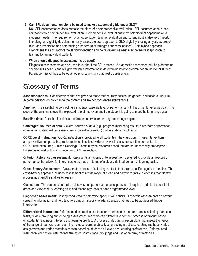#### **13. Can SPL documentation alone be used to make a student eligible under SLD?**

No. SPL documentation does not take the place of a comprehensive evaluation. SPL documentation is one component to a comprehensive evaluation. Comprehensive evaluations may look different depending on a student's needs. The requirement of an observation, teacher evaluation and parent input is also very important in making an eligibility decision. In many cases, the best approach to SLD eligibility is using a hybrid approach (SPL documentation and determining a pattern(s) of strengths and weaknesses). This hybrid approach strengthens the accuracy of the eligibility decision and helps determine what may be the best approach to learning for an individual student.

#### **14. When should diagnostic assessments be used?**

Diagnostic assessments can be used throughout the SPL process. A diagnostic assessment will help determine specific skills deficits and will give valuable information in determining how to program for an individual student. Parent permission has to be obtained prior to giving a diagnostic assessment.

### Glossary of Terms

**Accommodations**: Considerations that are given so that a student may access the general education curriculum. Accommodations do not change the content and are not considered interventions.

**Aim-line**: The straight line connecting a student's baseline level of performance with his or her long-range goal. The slope of the aim-line shows the expected rate of improvement if the student is going to meet the long-range goal.

**Baseline data**: Data that is collected before an intervention or program change begins.

**Convergent sources of data**: Several sources of data (e.g., progress monitoring results, classroom performance, observations, standardized assessments, parent information) that validate a hypothesis.

**CORE Level Instruction**: CORE instruction is provided to all students in the classroom. These interventions are preventive and proactive; implementation is school-wide or by whole classrooms; often connected to CORE instruction. (e.g. Guided Reading). These may be research-based, but are not necessarily prescriptive. Differentiated instruction is provided in CORE instruction.

**Criterion-Referenced Assessment**: Represents an approach to assessment designed to provide a measure of performance that allows for inferences to be made in terms of a clearly-defined domain of learning tasks.

**Cross-Battery Assessment**: A systematic process of selecting subtests that target specific cognitive domains. The cross-battery approach includes assessment of a wide range of broad and narrow cognitive processes that identify processing strengths and weaknesses.

**Curriculum**: The content standards, objectives and performance descriptors for all required and elective content areas and 21st century learning skills and technology tools at each programmatic level.

**Diagnostic Assessment**: Testing conducted to determine specific skill deficits. Diagnostic assessments go beyond screening information and help teachers pinpoint specific academic areas that need to be addressed through intervention.

**Differentiated Instruction**: Differentiated instruction is a teacher's response to learners' needs including respectful tasks, flexible grouping and ongoing assessment. Teachers can differentiate content, process or product based on students' readiness, interests and learning profiles. A process of designing lesson plans that meets the needs of the range of learners; such planning includes learning objectives, grouping practices, teaching methods, varied assignments and varied materials chosen based on student skill levels and learning preferences. Differentiated Instruction focuses on instructional strategies, instructional groupings and use of an array of materials.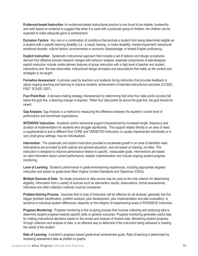**Evidenced-based Instruction**: An evidenced-based instructional practice is one found to be reliable, trustworthy and valid based on evidence to suggest that when it is used with a particular group of children, the children can be expected to make adequate gains in achievement.

**Exclusion Factors**: Any one or a combination of conditions that exclude a student from being determined eligible as a student with a specific learning disability (i.e., a visual, hearing, or motor disability; mental impairment; behavioral/ emotional disorder; cultural factors; environmental or economic disadvantage; or limited English proficiency).

**Explicit Instruction**: Systematic instructional approach that includes a set of delivery and design procedures derived from effective schools research merged with behavior analysis; essential components of well-designed explicit instruction include visible delivery features of group instruction with a high level of teacher and student interactions and the less observable, instructional design principles and assumptions that make up the content and strategies to be taught.

**Formative Assessment**: A process used by teachers and students during instruction that provides feedback to adjust ongoing teaching and learning to improve students' achievement of intended instructional outcomes (CCSSO, FAST, SCASS, 2007).

**Four-Point-Rule**: A decision-making strategy characterized by determining that when four data points (scores) fall below the goal line, a teaching change is required. When four data points lie above the goal line, the goal should be raised.

**Gap Analysis**: Gap Analysis is a method for measuring the difference between the student's current level of performance and benchmark expectations.

**INTENSIVE Instruction**: Academic and/or behavioral support characterized by increased length, frequency and duration of implementation for students who struggle significantly. This support relates directly to an area of need; is supplemental to and is different from CORE and TARGETED instruction; is usually implemented individually or in very small group settings; may be individualized.

**Intervention**: The systematic and explicit instruction provided to accelerate growth in an area of identified need. Interventions are provided by both special and general educators, and are based on training, not titles. This instruction is designed to improve performance relative to specific, measurable goals. Interventions are based on valid information about current performance, realistic implementation and include ongoing student progress monitoring.

**Level of Learning**: Student's performance in grade-level learning experiences, including appropriate targeted instruction and based on grade-level West Virginia Content Standards and Objectives (CSOs)

**Multiple Sources of Data**: No single procedure or data source may be used as the sole criterion for determining eligibility. Information from a variety of sources such as intervention results, observations, formal assessments, interviews and other collection methods must be considered.

**Problem-Solving Process**: Assumes that no type of instruction will be effective for all students; generally has five stages (problem identification, problem analysis, plan development, plan implementation and plan evaluation); is sensitive to individual student differences; depends on the integrity of implementing levels of INTENSIVE instruction.

**Progress Monitoring**: Progress monitoring is the on-going process that involves collecting and analyzing data to determine student progress towards specific skills or general outcomes. Progress monitoring generates useful data for making instructional decisions based on the review and analysis of student data. Monitoring student progress, through collection and analysis of data, is an effective way to determine if the instruction being delivered is meeting the needs of the student.

**Rate of Learning**: A student's progress toward grade-level achievement goals. Rate of learning is determined by reviewing assessment data as plotted on graphs.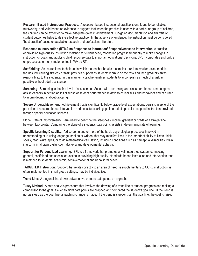**Research-Based Instructional Practices**: A research-based instructional practice is one found to be reliable, trustworthy, and valid based on evidence to suggest that when the practice is used with a particular group of children, the children can be expected to make adequate gains in achievement. On-going documentation and analysis of student outcomes helps to define effective practice. In the absence of evidence, the instruction must be considered "best practice" based on available research and professional literature.

**Response to Intervention (RTI) Also Response to Instruction/ Responsiveness to Intervention**: A practice of providing high-quality instruction matched to student need, monitoring progress frequently to make changes in instruction or goals and applying child response data to important educational decisions. SPL incorporates and builds on processes formerly implemented in WV as RTI.

**Scaffolding**: An instructional technique, in which the teacher breaks a complex task into smaller tasks, models the desired learning strategy or task, provides support as students learn to do the task and then gradually shifts responsibility to the students. In this manner, a teacher enables students to accomplish as much of a task as possible without adult assistance.

**Screening**: Screening is the first level of assessment. School-wide screening and classroom-based screening can assist teachers in getting an initial sense of student performance relative to critical skills and behaviors and can used to inform decisions about grouping.

**Severe Underachievement**: Achievement that is significantly below grade-level expectations, persists in spite of the provision of research-based intervention and constitutes skill gaps in need of specially designed instruction provided through special education services.

Slope (Rate of Improvement): Term used to describe the steepness, incline, gradient or grade of a straight line between two points. Comparing the slope of a student's data points assists in determining rate of learning.

**Specific Learning Disability**: A disorder in one or more of the basic psychological processes involved in understanding or in using language, spoken or written, that may manifest itself in the imperfect ability to listen, think, speak, read, write, spell, or to do mathematical calculation, including conditions such as perceptual disabilities, brain injury, minimal brain dysfunction, dyslexia and developmental aphasia.

**Support for Personalized Learning**: SPL is a framework that promotes a well-integrated system connecting general, scaffolded and special education in providing high quality, standards-based instruction and intervention that is matched to students' academic, social/emotional and behavioral needs.

**TARGETED Instruction**: Support that relates directly to an area of need; is supplementary to CORE instruction; is often implemented in small group settings; may be individualized.

**Trend Line**: A diagonal line drawn between two or more data points on a graph.

**Tukey Method**: A data analysis procedure that involves the drawing of a trend line of student progress and making a comparison to the goal. Seven to eight data points are graphed and compared the student's goal line. If the trend is not as steep as the goal line, a teaching change is made. If the trend is steeper than the goal line, the goal is raised.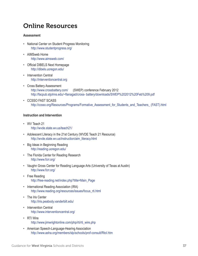### Online Resources

#### **Assessment**

- National Center on Student Progress Monitoring http://www.studentprogress.org/
- AIMSweb Home http://www.aimsweb.com/
- Official DIBELS Next Homepage http://dibels.uoregon.edu/
- Intervention Central http://interventioncentral.org
- Cross Battery Assessment http://www.crossbattery.com/ (SWEP) conference February 2012 http://facpub.stjohns.edu/~flanagad/cross- battery/downloads/SWEP%202012%20Feb%209.pdf
- CCSSO FAST SCASS http://ccsso.org/Resources/Programs/Formative\_Assessment\_for\_Students\_and\_Teachers\_ (FAST).html

#### **Instruction and Intervention**

- WV Teach 21 http://wvde.state.wv.us/teach21/
- Adolescent Literacy in the 21st Century (WVDE Teach 21 Resource) http://wvde.state.wv.us/instruction/aim\_literacy.html
- Big Ideas in Beginning Reading http://reading.uoregon.edu/
- The Florida Center for Reading Research http://www.fcrr.org/
- Vaughn Gross Center for Reading Language Arts (University of Texas at Austin) http://www.fcrr.org/
- Free Reading http://free-reading.net/index.php?title=Main\_Page
- International Reading Association (IRA) http://www.reading.org/resources/issues/focus\_rti.html
- The Iris Center http://iris.peabody.vanderbilt.edu/
- Intervention Central http://www.interventioncentral.org/
- RTI Wire http://www.jimwrightonline.com/php/rti/rti\_wire.php
- American Speech-Language-Hearing Association http://www.asha.org/members/slp/schools/prof-consult/RtoI.htm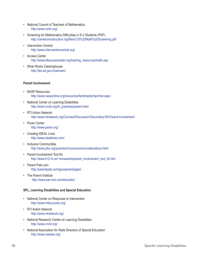- National Council of Teachers of Mathematics http://www.nctm.org/
- Screening for Mathematics Difficulties in K-3 Students (PDF) http://centeroninstruction.org/files/COI%20Math%20Screening.pdf
- Intervention Central http://www.interventioncentral.org/
- Access Center http://www.k8accesscenter.org/training\_resources/math.asp
- What Works Clearinghouse http://ies.ed.gov/ncee/wwc/

#### **Parent Involvement**

- NASP Resources http://www.nasponline.org/resources/factsheets/rtiprimer.aspx
- National Center on Learning Disabilities http://www.nrcld.org/rti\_practices/parent.html
- RTI Action Network http://www.rtinetwork.org/Connect/Discussion/Secondary/39-Parent-Involvement
- Pacer Center http://www.pacer.org/
- Creating IDEAL Lives http://www.ideallives.com/
- Inclusive Communities http://www.pbs.org/parents/inclusivecommunities/about.html
- Parent Involvement Tool Kit http://www.k12.hi.us/~konawahs/parent\_involvement\_tool\_kit.htm
- Parent Pals.com http://parentpals.com/gossamer/pages/
- The Parent Institute http://www.par-inst.com/educator/

#### **SPL, Learning Disabilities and Special Education**

- National Center on Response to Intervention http://www.rti4success.org/
- RTI Action Network http://www.rtinetwork.org/
- National Research Center on Learning Disabilities http://www.nrcld.org/
- National Association for State Directors of Special Education http://www.nasdse.org/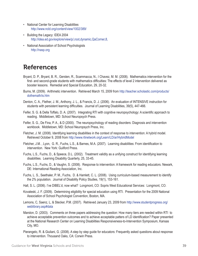- National Center for Learning Disabilities http://www.ncld.org/content/view/1002/389/
- Building the Legacy: IDEA 2004 http://idea.ed.gov/explore/view/p/,root,dynamic,QaCorner,8,
- National Association of School Psychologists http://nasp.org

### References

- Bryant, D. P., Bryant, B. R., Gersten, R., Scammacca, N., I Chavez, M. M. (2008). Mathematics intervention for the first- and second-grade students with mathematics difficulties: The effects of level 2 intervention delivered as booster lessons. Remedial and Special Education, 29, 20-32.
- Burns, M. (2009). Arithmetic intervention. Retrieved March 15, 2009 from http://teacher.scholastic.com/products/ dothemath/is.htm
- Denton, C. A., Flether, J. M., Anthony, J. L., & Francis, D. J. (2006). An evaluation of INTENSIVE instruction for students with persistent learning difficulties. Journal of Learning Disabilities, 39(5), 447-466.
- Feifer, S. G. & Della Toffalo, D. A. (2007). Integrating RTI with cognitive neuropsychology: A scientific approach to reading. Middletown, MD: School Neuropsych Press.
- Feifer, S. G., De Fina, P. A., & D (2000). The neuropsychology of reading disorders: Diagnosis and intervention workbook. Middletown, MD: School Neuropsych Press, Inc.
- Fletcher, J. M. (2008). Identifying learning disabilities in the context of response to intervention: A hybrid model. Retrieved October 9, 2008 from http://www.rtinetwork.org/Learn/LD/ar/HybridModel
- Fletcher, J.M. , Lyon, G. R., Fuchs, L.S., & Barnes, M.A. (2007). Learning disabilities: From identification to intervention. New York: Guilford Press.
- Fuchs, L.S., Fuchs, D., & Speece, D.L. (2002). Treatment validity as a unifying construct for identifying learning disabilities. Learning Disability Quarterly, 25, 33-45.
- Fuchs, L.S., Fuchs, D., & Vaughn, S. (2008). Response to intervention: A framework for reading educators. Newark, DE: International Reading Association, Inc.
- Fuchs, L. S., Seethaler, P. M., Fuchs, D. & Hamlett, C. L. (2008). Using curriculum-based measurement to identify the 2% population. Journal of Disability Policy Studies, 19(1), 153-161.
- Hall, S. L. (2006). I've DIBEL'd, now what? Longmont, CO: Sopris West Educational Services: Longmont, CO.
- Kovaleski, J. F. (2009). Determining eligibility for special education using RTI. Presentation for the 2009 National Association of School Psychologist Convention, Boston, MA.
- Lemons, C, Saenz, L, & Stecker, P.M. (2007). Retrieved January 23, 2009 from http://www.studentprogress.org/ weblibrary.asp#data
- Marston, D. (2003). Comments on three papers addressing the question: How many tiers are needed within RTI to achieve acceptable prevention outcomes and to achieve acceptable patters of LD identification? Paper presented at the National Research Center on Learning Disabilities Responsiveness-to-Intervention Symposium, Kansas City, MO.
- Pierangelo, R. & Giuliani, G. (2008). A step by step guide for educators: Frequently asked questions about response to intervention. Thousand Oaks, CA: Corwin Press.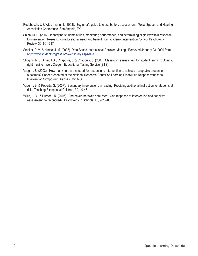- Rudebusch, J. & Wiechmann, J. (2008). Beginner's guide to cross-battery assessment. Texas Speech and Hearing Association Conference, San Antonia, TX.
- Shinn, M. R. (2007). Identifying students at risk, monitoring performance, and determining eligibility within response to intervention: Research on educational need and benefit from academic intervention. School Psychology Review, 36, 601-617.
- Stecker, P. M. & Hintze, J. M. (2006). Data-Based Instructional Decision Making. Retrieved January 23, 2009 from http://www.studentprogress.org/weblibrary.asp#data
- Stiggins, R. J., Arter, J. A., Chappuis, J. & Chappuis, S. (2006). Classroom assessment for student learning: Doing it right – using it well. Oregon: Educational Testing Service (ETS).
- Vaughn, S. (2003). How many tiers are needed for response to intervention to achieve acceptable prevention outcomes? Paper presented at the National Research Center on Learning Disabilities Responsiveness-to-Intervention Symposium, Kansas City, MO.
- Vaughn, S. & Roberts, G. (2007). Secondary interventions in reading: Providing additional instruction for students at risk. Teaching Exceptional Children, 39, 40-46.
- Willis, J. O., & Dumont, R. (2006). And never the twain shall meet: Can response to intervention and cognitive assessment be reconciled? Psychology in Schools, 43, 901-908.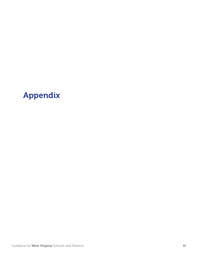# Appendix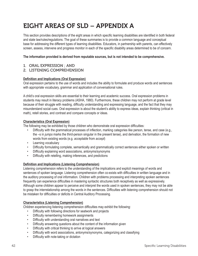## EIGHT AREAS OF SLD – APPENDIX A

This section provides descriptions of the eight areas in which specific learning disabilities are identified in both federal and state law/rules/regulations. The goal of these summaries is to provide a common language and conceptual base for addressing the different types of learning disabilities. Educators, in partnership with parents, can effectively screen, assess, intervene and progress monitor in each of the specific disability areas determined to be of concern.

#### **The information provided is derived from reputable sources, but is not intended to be comprehensive.**

- 1. ORAL EXPRESSION ; AND
- 2. LISTENING COMPREHENSION

#### **Definition and Implications (Oral Expression)**

Oral expression pertains to the use of words and includes the ability to formulate and produce words and sentences with appropriate vocabulary, grammar and application of conversational rules.

A child's oral expression skills are essential to their learning and academic success. Oral expression problems in students may result in literacy problems (ASHA, 1980). Furthermore, these children may not perform at grade level because of their struggle with reading, difficulty understanding and expressing language, and the fact that they may misunderstand social cues. Oral expression is about the student's ability to express ideas, explain thinking (critical in math), retell stories, and contrast and compare concepts or ideas.

#### **Characteristics (Oral Expression)**

The following may be exhibited by those children who demonstrate oral expression difficulties:

- Difficulty with the grammatical processes of inflection, marking categories like person, tense, and case (e.g., the –s in *jumps* marks the third-person singular in the present tense), and derivation, the formation of new words from existing words (e.g. *acceptable* from *accept*)
- Learning vocabulary
- Difficulty formulating complete, semantically and grammatically correct sentences either spoken or written
- Difficulty explaining word associations, antonyms/synonyms
- Difficulty with retelling, making inferences, and predictions

#### **Definition and Implications (Listening Comprehension)**

Listening comprehension refers to the understanding of the implications and explicit meanings of words and sentences of spoken language. Listening comprehension often co-exists with difficulties in written language and in the auditory processing of oral information. Children with problems processing and interpreting spoken sentences frequently can experience difficulties in mastering syntactic structures both receptively as well as expressively. Although some children appear to perceive and interpret the words used in spoken sentences, they may not be able to grasp the interrelationship among the words in the sentences. Difficulties with listening comprehension should not be mistaken for difficulties or deficits in Central Auditory Processing.

#### **Characteristics (Listening Comprehension)**

Children experiencing listening comprehension difficulties may exhibit the following:

- Difficulty with following directions for seatwork and projects
- Difficulty remembering homework assignments
- Difficulty with understanding oral narratives and text
- Difficulty answering questions about the content of the information given
- Difficulty with critical thinking to arrive at logical answers
- Difficulty with word associations, antonyms/synonyms, categorizing and classifying
- Difficulty with note-taking or dictation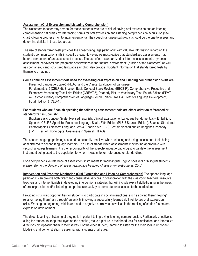#### **Assessment (Oral Expression and Listening Comprehension)**

The classroom teacher may screen for those students who are at risk of having oral expression and/or listening comprehension difficulties by referencing norms for oral expression and listening comprehension acquisition (see chart following progress monitoring/interventions). The speech-language pathologist should be the one to assess and determine deficits in these two areas.

The use of standardized tests provides the speech-language pathologist with valuable information regarding the student's communication skills in specific areas. However, we must realize that standardized assessments may be one component of an assessment process. The use of non-standardized or informal assessments, dynamic assessment, behavioral and pragmatic observations in the "natural environment" (outside of the classroom) as well as spontaneous and structured language sampling also provide important information that standardized tests by themselves may not.

#### **Some common assessment tools used for assessing oral expression and listening comprehension skills are:**

Preschool Language Scale-5 (PLS-5) and the Clinical Evaluation of Language Fundamentals-5 (CELF-5), Bracken Basic Concept Scale-Revised (BBCS-R), Comprehensive Receptive and Expressive Vocabulary Test-Third Edition (CREVT-3), Peabody Picture Vocabulary Test- Fourth Edition (PPVT-4), Test for Auditory Comprehension of Language-Fourth Edition (TACL-4), Test of Language Development, Fourth Edition (TOLD-4).

#### **For students who are Spanish speaking the following assessment tools are either criterion-referenced or standardized in Spanish:**

Bracken Basic Concept Scale- Revised, Spanish, Clinical Evaluation of Language Fundamentals-Fifth Edition, Spanish (CELF-5 Spanish), Preschool language Scale, Fifth Edition (PLS-5 Spanish Edition), Spanish Structured Photographic Expressive Language Test-3 (Spanish SPELT-3), Test de Vocabulario en Imágenes Peabody (TVIP), Test of Phonological Awareness in Spanish (TPAS)

The speech-language pathologist should be culturally sensitive when selecting and using assessment tools being administered to second language learners. The use of standardized assessments may not be appropriate with second language learners. It is the responsibility of the speech-language pathologist to validate the assessment instrument being used to the population for whom it was criterion-referenced or standardized.

For a comprehensive reference of assessment instruments for monolingual English speakers or bilingual students, please refer to the *Directory of Speech-Language Pathology Assessment Instruments, 2007*.

**Intervention and Progress Monitoring (Oral Expression and Listening Comprehension)** The speech-language pathologist can provide both direct and consultative services in collaboration with the classroom teachers, resource teachers and interventionists in developing intervention strategies that will include explicit skills-training in the areas of oral expression and/or listening comprehension as key to some students' access to the curriculum.

Providing structured opportunities for students to participate in social interactions, such as giving them "helping" roles or having them "talk through" an activity involving a successfully learned skill, reinforces oral expression skills. Working on beginning, middle and end to organize narratives as well as in the retelling of stories fosters oral expression development.

The direct teaching of listening strategies is important to improving listening comprehension. Particularly effective is cuing the student to keep their eyes on the speaker, make a picture in their head, ask for clarification, and internalize directions by repeating them to themselves. For the older student, learning to listen for the main idea is important. Modeling and demonstration is essential with students of all ages.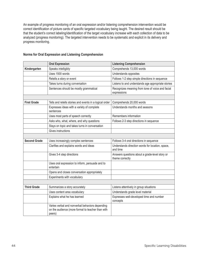An example of progress monitoring of an oral expression and/or listening comprehension intervention would be correct identification of picture cards of specific targeted vocabulary being taught. The desired result should be that the student's correct labeling/identification of the target vocabulary increase with each collection of data to be analyzed (progress monitoring). The targeted intervention needs to be systematic and explicit in its delivery and progress monitoring.

|                     | <b>Oral Expression</b>                                                                                         | <b>Listening Comprehension</b>                                    |
|---------------------|----------------------------------------------------------------------------------------------------------------|-------------------------------------------------------------------|
| Kindergarten        | Speaks intelligibly                                                                                            | Comprehends 13,000 words                                          |
|                     | Uses 1500 words                                                                                                | Understands opposites                                             |
|                     | Retells a story or event                                                                                       | Follows 1-2 step simple directions in sequence                    |
|                     | Takes turns during conversation                                                                                | Listens to and understands age appropriate stories                |
|                     | Sentences should be mostly grammatical                                                                         | Recognizes meaning from tone of voice and facial<br>expressions   |
|                     |                                                                                                                |                                                                   |
| <b>First Grade</b>  | Tells and retells stories and events in a logical order                                                        | Comprehends 20,000 words                                          |
|                     | Expresses ideas with a variety of complete<br>sentences                                                        | Understands months and seasons                                    |
|                     | Uses most parts of speech correctly                                                                            | Remembers information                                             |
|                     | Asks who, what, where, and why questions                                                                       | Follows 2-3 step directions in sequence                           |
|                     | Stays on topic and takes turns in conversation                                                                 |                                                                   |
|                     | Gives instructions                                                                                             |                                                                   |
|                     |                                                                                                                |                                                                   |
| <b>Second Grade</b> | Uses increasingly complex sentences                                                                            | Follows 3-4 oral directions in sequence                           |
|                     | Clarifies and explains words and ideas                                                                         | Understands direction words for location, space,<br>and time      |
|                     | Gives 3-4 step directions                                                                                      | Answers questions about a grade-level story or<br>theme correctly |
|                     | Uses oral expression to inform, persuade and to<br>entertain                                                   |                                                                   |
|                     | Opens and closes conversation appropriately                                                                    |                                                                   |
|                     | Experiments with vocabulary                                                                                    |                                                                   |
|                     |                                                                                                                |                                                                   |
| <b>Third Grade</b>  | Summarizes a story accurately                                                                                  | Listens attentively in group situations                           |
|                     | Uses content area vocabulary                                                                                   | Understands grade level material                                  |
|                     | Explains what he has learned                                                                                   | Expresses well-developed time and number<br>concepts              |
|                     | Varies verbal and nonverbal behaviors depending<br>on the audience (more formal to teacher than with<br>peers) |                                                                   |

#### **Norms for Oral Expression and Listening Comprehension**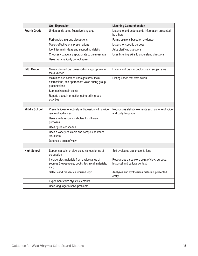|                      | <b>Oral Expression</b>                                                                                           | <b>Listening Comprehension</b>                                                   |
|----------------------|------------------------------------------------------------------------------------------------------------------|----------------------------------------------------------------------------------|
| <b>Fourth Grade</b>  | Understands some figurative language                                                                             | Listens to and understands information presented<br>by others                    |
|                      | Participates in group discussions                                                                                | Forms opinions based on evidence                                                 |
|                      | Makes effective oral presentations                                                                               | Listens for specific purpose                                                     |
|                      | Identifies main ideas and supporting details                                                                     | Asks clarifying questions                                                        |
|                      | Chooses vocabulary appropriate to the message                                                                    | Uses listening skills to understand directions                                   |
|                      | Uses grammatically correct speech                                                                                |                                                                                  |
|                      |                                                                                                                  |                                                                                  |
| <b>Fifth Grade</b>   | Makes planned oral presentations appropriate to<br>the audience                                                  | Listens and draws conclusions in subject area                                    |
|                      | Maintains eye contact, uses gestures, facial<br>expressions, and appropriate voice during group<br>presentations | Distinguishes fact from fiction                                                  |
|                      | Summarizes main points                                                                                           |                                                                                  |
|                      | Reports about information gathered in group<br>activities                                                        |                                                                                  |
|                      |                                                                                                                  |                                                                                  |
| <b>Middle School</b> | Presents ideas effectively in discussion with a wide<br>range of audiences                                       | Recognizes stylistic elements such as tone of voice<br>and body language         |
|                      | Uses a wide range vocabulary for different<br>purposes                                                           |                                                                                  |
|                      | Uses figures of speech                                                                                           |                                                                                  |
|                      | Uses a variety of simple and complex sentence<br>structures                                                      |                                                                                  |
|                      | Defends a point of view                                                                                          |                                                                                  |
|                      |                                                                                                                  |                                                                                  |
| <b>High School</b>   | Supports a point of view using various forms of<br>persuasion                                                    | Self-evaluates oral presentations                                                |
|                      | Incorporates materials from a wide range of<br>sources (newspapers, books, technical materials,<br>$etc.$ )      | Recognizes a speakers point of view, purpose,<br>historical and cultural context |
|                      | Selects and presents a focused topic                                                                             | Analyzes and synthesizes materials presented<br>orally                           |
|                      | Experiments with stylistic elements                                                                              |                                                                                  |
|                      | Uses language to solve problems                                                                                  |                                                                                  |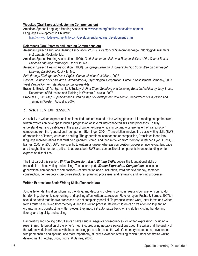#### **Websites (Oral Expression/Listening Comprehension)**

American Speech-Language Hearing Association: www.asha.org/public/speech/development Language Development in Children:

http://www.childdevelopmentinfo.com/development/language\_development.shtml

#### **References (Oral Expression/Listening Comprehension)**

- American Speech Language Hearing Association. (2007). *Directory of Speech-Language Pathology Assessment Instruments*. Rockville, Md.
- American Speech Hearing Association. (1999). *Guidelines for the Role and Responsibilities of the School-Based Speech-Language Pathologist*. Rockville, Md.
- American Speech Hearing Association. (1980). L*anguage Learning Disorders: Ad Hoc Committee on Language/ Learning Disabilities*. Rockville, Md.

*Birth through Kindergarten/West Virginia Communication Guidelines*, 2007.

*Clinical Evaluation of Language Fundamentals-4*, Psychological Corporation, Harcourt Assessment Company, 2003. *West Virginia Content Standards for Language Arts*

- Brace, J., Brockhoff, V., Sparks, N. & Tuckey, J. *First Steps Speaking and Listening Book 2nd edition* by Judy Brace, Department of Education and Training in Western Australia, 2007.
- Brace et al., *First Steps Speaking and Listening Map of Development, 2nd edition*, Department of Education and Training in Western Australia, 2007.

#### 3. WRITTEN EXPRESSION

A disability in written expression is an identified problem related to the writing process. Like reading comprehension, written expression develops through a progression of several interconnected skills and processes. To fully understand learning disabilities in the area of written expression it is important to differentiate the "transcription" component from the "generational" component (Berninger, 2004). Transcription involves the basic writing skills (BWS) of production of letters, words and spelling. The generational component, or composition, "translates ideas into language representations that must be organized, stored, and then retrieved from memory" (Fletcher, Lyon, Fuchs, & Barnes, 2007, p. 238). BWS are specific to written language, whereas composition processes involve oral language and thought. It is therefore, critical to address both BWS and compositional components in understanding written expression disabilities.

The first part of this section, *Written Expression: Basic Writing Skills*, covers the foundational skills of transcription—handwriting and spelling. The second part, *Written Expression: Composition*, focuses on generational components of composition—capitalization and punctuation, word and text fluency, sentence construction, genre-specific discourse structures, planning processes, and reviewing and revising processes.

#### **Written Expression: Basic Writing Skills (Transcription)**

Just as letter identification, phonemic blending, and decoding problems constrain reading comprehension, so do handwriting, phonemic segmenting, and spelling affect written expression (Fletcher, Lyon, Fuchs, & Barnes, 2007). It should be noted that the two processes are not completely parallel. To produce written work, letter forms and written words must be retrieved from memory during the writing process. Before children can give attention to planning, organizing, and constructing written pieces, they must first automatize basic writing skills including handwriting fluency and legibility, and spelling.

Handwriting and spelling difficulties can have serious, negative consequences for written expression, including a result in misinterpretation of the writer's meaning, producing negative perceptions about the writer and the quality of the written work, interference with the composing process because the writer's memory resources are overloaded with penmanship and spelling, and most importantly, student avoidance of writing, which further constrains writing development (Fletcher, Lyon, Fuchs, & Barnes, 2007).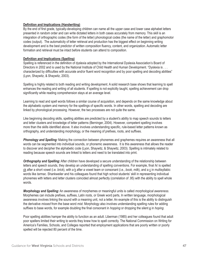#### **Definition and Implications (Handwriting)**

By the end of first grade, typically-developing children can name all the upper case and lower case alphabet letters presented in random order and can write dictated letters in both cases accurately from memory. This skill is an integration of orthographic codes (the form of the letter) phonological codes (the name of the letter) and graphomotor codes (output). The automaticity of letter retrieval and production has the biggest effect on beginning writing development and is the best predictor of written composition fluency, content, and organization. Automatic letter formation and retrieval must be intact before students can attend to composition.

#### **Definition and Implications (Spelling)**

Spelling is referenced in the definition of dyslexia adopted by the International Dyslexia Association's Board of Directors in 2002 and is used by the National Institute of Child Health and Human Development. "Dyslexia is . . . characterized by difficulties with accurate and/or fluent word recognition and by poor spelling and decoding abilities" (Lyon, Shaywitz, & Shaywitz, 2003).

Spelling is highly related to both reading and writing development. A solid research base shows that learning to spell enhances the reading and writing of all students. If spelling is not explicitly taught, spelling achievement can drop significantly while reading comprehension stays at an average level.

Learning to read and spell words follows a similar course of acquisition, and depends on the same knowledge about the alphabetic system and memory for the spellings of specific words. In other words, spelling and decoding are linked by phonological processing. However, the two processes are not quite the same.

Like beginning decoding skills, spelling abilities are predicted by a student's ability to map speech sounds to letters and letter clusters and knowledge of letter patterns (Berninger, 2004). However, competent spelling involves more than the skills identified above. It also involves understanding specific, rule-based letter patterns known as orthography, and understanding morphology, or the meaning of prefixes, roots, and suffixes.

*Phonology and Spelling:* Making the connection between phonemes and graphemes requires an awareness that all words can be segmented into individual sounds, or phonemic awareness. It is this awareness that allows the reader to discover and decipher the alphabetic code (Lyon, Shaywitz, & Shaywitz, 2003). Spelling is intimately related to reading because speech sounds are linked to letters and need to be translated into print.

*Orthography and Spelling:* After children have developed a secure understanding of the relationship between letters and speech sounds, they develop an understanding of spelling conventions. For example, final /k/ is spelled ck after a short vowel (i.e. *brick*), with a k after a vowel team or consonant (i.e., *book, milk*), and a c in multisyllabic words like *tarmac*. Shankweiler and his colleagues found that high school students' skill in representing individual phonemes with letters and letter clusters coincided almost perfectly (correlation of .95) with the ability to spell whole words.

*Morphology and Spelling:* An awareness of morphemes or meaningful units is called *morphological awareness*. Morphemes can include prefixes, suffixes, Latin roots, or Greek word parts, In written language, morphological awareness involves linking the sound with a meaning unit, not a letter. An example of this is the ability to distinguish the derivative *missed* from the base word *mist*. Morphology also involves understanding spelling rules for adding suffixes to base words, for example doubling the final consonant in *hopping* or dropping the silent e in *hoping*.

Poor spelling abilities hamper the ability to function as an adult. Liberman (1985) and her colleagues found that adult poor spellers limited their writing to words they knew how to spell correctly. The National Commission on Writing for America's Families, Schools, and Colleges reported that employment applications that are poorly written or poorly spelled will be rejected 80 percent of the time.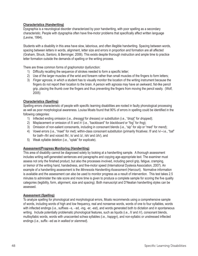#### **Characteristics (Handwriting)**

Dysgraphia is a neurological disorder characterized by poor handwriting, with poor spelling as a secondary characteristic. People with dysgraphia often have fine-motor problems that specifically affect written language (Levine, 1994).

Students with a disability in this area have slow, laborious, and often illegible handwriting. Spacing between words, spacing between letters in words, alignment, letter size and errors in proportion and formation are all affected (Graham, Struck, Santoro, & Berninger, 2006). This exists despite thorough instruction and ample time to practice letter formation outside the demands of spelling or the writing process.

There are three common forms of graphomotor dysfunction:

- 1) Difficulty recalling the sequence of strokes needed to form a specific letter;
- 2) Use of the larger muscles of the wrist and forearm rather than small muscles of the fingers to form letters;
- 3) *Finger agnosia*, in which a student has to visually monitor the location of the writing instrument because the fingers do not report their location to the brain. A person with agnosia may have an awkward, fist-like pencil grip, placing the thumb over the fingers and thus preventing the fingers from moving the pencil easily. (Wolf, 2005)

#### **Characteristics (Spelling)**

Spelling errors characteristic of people with specific learning disabilities are rooted in faulty phonological processing as well as poor morphological awareness. Louisa Moats found that 90% of errors in spelling could be identified in the following categories:

- 1) Inflected ending omission (i.e., *dressest* for *dresses*) or substitution (i.e., "dropt" for *dropped*);
- 2) Misplacement or omission of /l/ and /r/ (i.e., "backboard" for *blackboard* or "fog" for *frog*);
- 3) Omission of non-salient consonants, including in consonant blends (i.e., "sip" for *slip* or "med" for *mend*);
- 4) Vowel errors (i.e., "maet" for *met*); within-class consonant substitution (primarily fricatives: /f/ and /v/--i.e., "baf" for *bath*--/th/ and voiced /th/, /s/ and /z/, /sh/ and /zh/), and
- 5) Weak syllable deletion (i.e., "xplak" for *explicate*).

#### **Assessment/Progress Monitoring (Handwriting)**

This area of disability cannot be diagnosed solely by looking at a handwriting sample. A thorough assessment includes writing self-generated sentences and paragraphs and copying age-appropriate text. The examiner must assess not only the finished product, but also the processes involved, including pencil grip, fatigue, cramping, or tremor of the writing hand, handedness, and fine-motor speed (International Dyslexia Association, 2007). An example of a handwriting assessment is the *Minnesota Handwriting Assessment* (Harcourt). Normative information is available and the assessment can also be used to monitor progress as a result of intervention. This test takes 2.5 minutes to administer the rate score and more time is given to produce a complete sample for scoring the five quality categories (legibility, form, alignment, size and spacing). Both manuscript and D'Nealian handwriting styles can be assessed.

#### **Assessment (Spelling)**

To analyze spelling for phonological and morphological errors, Moats recommends using a comprehensive sample of words, including words of high and low frequency, real and nonsense words, words of one to four syllables, words with inflected endings (i.e., suffixes -s, - ed, -ing, -er, -est), and words generated both to dictation and in spontaneous writing. Include potentially problematic phonological features, such as liquids (i.e., /l/ and /r/), consonant blends, multisyllabic words, words with unaccented schwa syllables (i.e., *happen*), and non-syllabic or unstressed inflected endings (i.e., suffix –ed as in *walked* or *slammed*).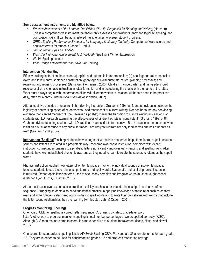#### **Some assessment instruments are identified below:**

- *Process Assessment of the Learner, 2nd Edition (PAL-II): Diagnostic for Reading and Writing*, (Harcourt). This is a comprehensive instrument that thoroughly assesses handwriting fluency and legibility, spelling, and composition skills. It can be administered multiple times to assess student progress.
- *SPELL Spelling Performance Evaluation for Language & Literacy (2nd ed.)*. Computer software scores and analyzes errors for students Grade 2 – adult.
- *Test of Written Spelling (TWS-5)*
- *Weshsler Individual Achievement Test (WIAT-III)*: Spelling & Written Expression
- WJ-IV: Spelling sounds
- *Wide Range Achievement Test (WRAT-4)*: Spelling

#### **Intervention (Handwriting)**

Effective writing instruction focuses on (a) legible and automatic letter production; (b) spelling; and (c) composition (word and text fluency; sentence construction; genre-specific discourse structures; planning processes; and reviewing and revising processes) (Berninger & Amtmann, 2003). Children in kindergarten and first grade should receive explicit, systematic instruction in letter formation and in associating the shape with the name of the letter. Work must always begin with the formation of individual letters written in isolation. Alphabets need to be practiced daily, often for months (International Dyslexia Association, 2007).

After almost two decades of research in handwriting instruction, Graham (1999) has found no evidence between the legibility or handwriting speed of students who used manuscript or cursive writing. Nor has he found any convincing evidence that slanted manuscript (the D'Nealian alphabet) makes the transition to cursive writing any easier. For students with LD, research examining the effectiveness of different scripts is "nonexistent" (Graham, 1999, p. 84). Graham advises teaching students with LD traditional manuscript before cursive. But, he cautions that teachers who insist on a strict adherence to any particular model "are likely to frustrate not only themselves but their students as well" (Graham, 1999, p. 84).

**Intervention (Spelling)**Teaching students how to segment words into phonemes helps them learn to spell because sounds and letters are related in a predictable way. Phoneme awareness instruction, combined with explicit instruction connecting phonemes to alphabetic letters significantly improves early reading and spelling skills. After students have well-established phonemic awareness, they need to learn to relate the sounds to letters as they spell words.

Phonics instruction teaches how letters of written language map to the individual sounds of spoken language. It teaches students to use these relationships to read and spell words. Systematic and explicit phonics instruction is required. Orthographic letter patterns used to spell many complex and irregular words must be taught as well (Fletcher, Lyon, Fuchs, & Barnes, 2007).

At the most basic level, systematic instruction explicitly teaches letter-sound relationships in a clearly defined sequence. Struggling students also need substantial practice in applying knowledge of these relationships as they read and write. Students also need opportunities to spell words and to write their own stories with words that include the letter-sound relationships they are learning (Armbruster, Lehr, & Osborn, 2001).

#### **Progress Monitoring (Spelling)**

One type of CBM for spelling is correct letter sequence (CLS) using dictated, grade-level word lists. Another way to progress monitor in spelling is total number/percentage of words spelled correctly (WSC). Although CLS requires more time to score, it is more sensitive to student improvement (Hosp, Hosp, and Howell, 2007).

One source for standardized spelling lists is AIMSweb Spelling-CBM. Provided are 33 alternate forms for each grade, 1-8. They are intended to be used for benchmarking grades 1-8 and progress monitoring any age.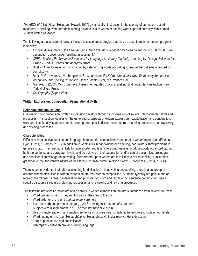*The ABCs of CBM* (Hosp, Hosp, and Howell, 2007) gives explicit instruction in the scoring of curriculum based measures in spelling, whether administering dictated lists of words or scoring words spelled correctly within timed student written passages.

The following are assessment tools or include assessment strategies that may be used to monitor student progress in spelling:

- *Process Assessment of the Learner, 2nd Edition (PAL-II): Diagnostic for Reading and Writing*, Harcourt. [See description above, under "spelling/assessment."]
- *SPELL Spelling Performance Evaluation for Language & Literacy (2nd ed.)*, Learning by Design, Software for Grade 2 – adult. Scores and analyzes errors.
- Spelling Inventories (inform instruction by categorizing words according to sequential patterns arranged by complexity):
- Bear, D. R., Invernizzi, M., Templeton, S., & Johnston, F. (2000). *Words their way: Word study for phonics, vocabulary, and spelling instruction*. Upper Saddle River, NJ: Prentice Hall.
- Ganske, K. (2000). Word journeys: Assessment-guided phonics, spelling, and vocabulary instruction. New York: Guilford Press.
- *Spellography* (Sopris-West)

#### **Written Expression: Composition (Generational Skills)**

#### **Definition and Implications**

Like reading comprehension, written expression develops through a progression of several interconnected skills and processes. This section focuses on the generational aspects of written expression—capitalization and punctuation, word and text fluency, sentence construction, genre-specific discourse structures, planning processes, and reviewing and revising processes.

#### **Characteristics**

Difficulties in executive function and language hampers the composition component of written expression (Fletcher, Lyon, Fuchs, & Barnes, 2007). In addition to weak skills in handwriting and spelling, poor writers show problems in generating text. They are more likely to have shorter and less "interesting" essays, produce poorly organized text at both the sentence and paragraph levels, and be delayed in their acquisition and/or use of declarative, procedural, and conditional knowledge about writing. Furthermore, "poor writers are less likely to revise spelling, punctuation, grammar, or the substantive nature of their text to increase communication clarity" (Hooper et al., 1994, p. 386).

There is some evidence that, after accounting for difficulties in handwriting and spelling, there is a subgroup of children whose difficulties in written expression are restricted to composition. Students typically struggle in one or more of the following areas: capitalization and punctuation; word and text fluency; sentence construction; genrespecific discourse structures; planning processes; and reviewing and revising processes.

The following are specific indicators of a disability in written composition that are summarized from several sources:

- Word omissions (e.g., They ran to bus vs. They ran to *the* bus)
- Word order errors (e.g., *I and my mom* were here)
- Incorrect verb and pronoun use (e.g., We *is* running fast; me and *him* are here)
- Subject-verb disagreement (e.g., The monster have five *eyes*)
- Use of simple, rather than complex, sentence structures particularly at the middle and high school levels
- Word ending errors (e.g., He laugh*ing* vs. He laugh*ed*; He is dyslex*ia* vs. He is dyslex*ic*)
- Lack of punctuation and capitalization
- Discrepancy between oral and written language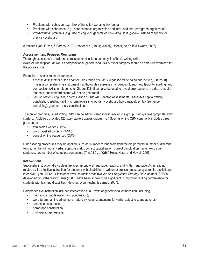- Problems with cohesion (e.g., lack of transition words to link ideas)
- Problems with coherence (e.g., poor sentence organization and intra- and inter-paragraph organization)
- Word-retrieval problems (e.g., use of vague or general words—*thing, stuff, good* instead of specific or precise vocabulary)

(Fletcher, Lyon, Fuchs, & Barnes, 2007; Hooper et al., 1994; Wakely, Hooper, de Kruif, & Swartz, 2006)

#### **Assessment and Progress Monitoring**

Thorough assessment of written expression must include an analysis of basic writing skills (skills of transcription) as well as compositional (generational) skills. Work samples should be carefully examined for the above errors.

Examples of Assessment Instruments:

- *Process Assessment of the Learner, 2nd Edition (PAL-II): Diagnostic for Reading and Writing*, (Harcourt). This is a comprehensive instrument that thoroughly assesses handwriting fluency and legibility, spelling, and composition skills for students for Grades K-6. It can also be used to reveal error patterns in older, remedial students, but standard scores will not be generated.
- *Test of Written Language, Fourth Edition (TOWL-4)* (Pearson Assessments). Assesses capitalization, punctuation, spelling (ability to form letters into words), vocabulary (word usage), syntax (sentence combining), grammar, story construction.

To monitor progress, timed writing CBM can be administered individually or to a group using grade-appropriate story starters. (AIMSweb provides 125 story starters across grades 1-8.) Scoring writing CBM commonly includes three procedures:

- total words written (TWS)
- words spelled correctly (WSC)
- correct writing sequences (CWS)

Other scoring procedures may be applied, such as: number of long words/characters per word; number of different words; number of nouns, verbs, adjectives, etc.; correct capitalization; correct punctuation marks; words per sentence; and number of complete sentences. (*The ABCs of CBM*, Hosp, Hosp, and Howell, 2007)

#### **Interventions**

Successful instruction draws clear linkages among oral language, reading, and written language. As in readingrelated skills, effective instruction for students with disabilities in written expression must be systematic, explicit, and intensive (Lyon, 1996b). Classroom-level instruction that involves *Self-Regulated Strategy Development* (SRSD), developed by Graham and Harris (2005), have been shown to be significant in improving writing performance for students with learning disabilities (Fletcher, Lyon, Fuchs, & Barnes, 2007).

Comprehensive instruction includes intervention at all levels of generational composition, including

- mechanics (capitalization and punctuation);
- word (grammar, including more mature synonyms, antonyms for verbs, adjectives, and adverbs);
- sentence construction;
- paragraph construction;
- multi-paragraph essays.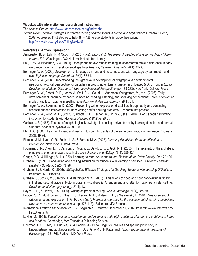#### **Websites with information on research and instruction:**

The Access Center: http://www.k8accesscenter.org/index.php

*Writing Next: Effective Strategies to Improve Writing of Adolescents in Middle and High School*. Graham & Perin, 2007. Addresses 11 strategies to help 4th – 12th grade students improve their writing. http://www.all4ed.org/files/WritingNext.pdf.

#### **References (Written Expression):**

- Armbruster, B. B., Lehr, F., & Osborn, J. (2001). *Put reading first: The research building blocks for teaching children to read, K-3*. Washington, DC: National Institute for Literacy.
- Ball, E. W., & Blachman, B. A. (1991). Does phoneme awareness training in kindergarten make a difference in early word recognition and developmental spelling? *Reading Research Quarterly, 26*(1), 49-66.
- Berninger, V. W. (2000). Development of language by hand and its connections with language by ear, mouth, and eye. *Topics in Language Disorders, 20*(4), 65-84.
- Berninger, V. W. (2004). Understanding the –graphia- in developmental dysgraphia: A developmental neuropsychological perspective for disorders in producing written language. In D. Dewey & D. E. Tupper (Eds.), *Developmental Motor Disorders: A Neuropsychological Perspective* (pp. 189-233). New York: Guilford Press.
- Berninger, V. W., Abbott, R. D., Jones, J., Wolf, B. J., Gould, L., Anderson-Youngstrom, M., et al. (2006). Early development of language by hand: Composing, reading, listening, and speaking connections; Three letter-writing modes; and fast mapping in spelling. *Developmental Neuropsychology, 29*(1), 61.

Berninger, V. W., & Amtmann, D. (2003). Preventing written expression disabilities through early and continuing assessment and intervention for handwriting and/or spelling problems: Research into practice.

Berninger, V. W., Winn, W. D., Stock, P., Abbott, R. D., Eschen, K., Lin, S.-J., et al. (2007). Tier 3 specialzed writing instruction for students with dyslexia. *Reading & Writing, 20*(3).

Carlisle, J. F. (1987). The use of morphological knowledge in spelling derived forms by learning disabled and normal students. *Annals of Dyslexia, 37*, 90-108.

Ehri, L. C. (2000). Learning to read and learning to spell: Two sides of the same coin. *Topics in Language Disorders, 20*(3), 19-36.

- Fletcher, J. M., Lyon, G. R., Fuchs, L. S., & Barnes, M. A. (2007). *Learning disabilities: From identification to intervention*. New York: Guilford Press.
- Foorman, B. R., Chen, D. T., Carlson, C., Moats, L., David, J. F., & Jack, M. F. (2003). The necessity of the alphabetic principle to phonemic awareness instruction. *Reading and Writing, 16*(4), 289-324.

Gough, P. B., & Hillinger, M. L. (1980). Learning to read: An unnatural act. *Bulletin of the Orton Society, 30*, 179-196.

- Graham, S. (1999). Handwriting and spelling instruction for students with learning disabilities: A review. *Learning Disability Quarterly, 22*(2), 78-98.
- Graham, S., & Harris, K. (2005). *Writing Better: Effective Strategies for Teaching Students with Learning Difficulties*. Baltimore, MD: Brookes.
- Graham, S., Struck, M., Santoro, J., & Berninger, V. W. (2006). Dimensions of good and poor handwriting legibility in first and second graders: Motor programs, visual-spatial Arrangement, and letter formation parameter setting. *Developmental Neuropsychology, 29*(1), 43.

Hayes, J. R., & Flower, L. S. (1980). Writing as problem solving. *Visible Language, 14*(4), 388-399.

- Hooper, S. R., Montgomery, J., Swartz, C., Levine, M. D., Watson, T. E., & Wasilenski, T. (1994). Measurement of written language expression. In G. R. Lyon (Ed.), *Frames of reference for the assessment of learning disabilities: New views on measurement issues* (pp. 375-417). Baltimore, MD: Brookes.
- International Dyslexia Association. (2007). Dysgraphia. Retrieved December 17, 2007, from http://www.interdys.org/ FactSheets.htm
- Levine, M. (1994). *Educational care: A system for understanding and helping children with learning problems at home and in school*. Cambridge, MA: Educators Publishing Service.
- Liberman, I. Y., Rubin, H., Duqués, S., & Carlisle, J. (1985). Linguistic abilities and spelling proficiency in kindergartners and adult poor spellers. In D. B. Gray & J. F. Kavanaugh (Eds.), *Biobehavioral measures of dyslexia* (pp. 163-176). Parkton, MD: York Press.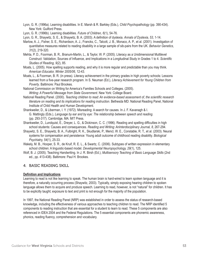Lyon, G. R. (1996a). Learning disabilities. In E. Marsh & R. Barkley (Eds.), *Child Psychopathology* (pp. 390-434). New York: Guilford Press.

Lyon, G. R. (1996b). Learning disabilities. *Future of Children, 6*(1), 54-76.

Lyon, G. R., Shaywitz, S. E., & Shaywitz, B. A. (2003). A defi nition of dyslexia. *Annals of Dyslexia, 53*, 1-14.

- Marlow, A. J., Fisher, S. E., Richardson, A. J., Francks, C., Talcott, J. B., Monaco, A. P., et al. (2001). Investigation of quantitative measures related to reading disability in a large sample of sib-pairs from the UK. *Behavior Genetics, 31*(2), 219-320.
- Mehta, P. D., Foorman, B. R., Branum-Martin, L., & Taylor, W. P. (2005). Literacy as a Unidimensional Multilevel Construct: Validation, Sources of Influence, and Implications in a Longitudinal Study in Grades 1 to 4. Scientific *Studies of Reading, 9*(2), 85.
- Moats, L. (2005). How spelling supports reading, and why it is more regular and predictable than you may think. *American Educator, Winter 2005/06*, 12-43.
- Moats, L., & Foorman, B. R. (in press). Literacy achievement in the primary grades in high poverty schools: Lessons learned from a five-year research program. In S. Neuman (Ed.), *Literacy Achievement for Young Children from Poverty*. Baltimore: Paul Brookes.
- National Commission on Writing for America's Families Schools and Colleges. (2005). *Writing: A Powerful Message from State Government*. New York: College Board.
- National Reading Panel. (2000). *Teaching children to read: An evidence-based assessment of, the scientific research literature on reading and its implications for reading instruction*. Bethesda MD: National Reading Panel, National Institute of Child Health and Human Development.
- Shankweiler, D., & Liberman, I. Y. (1972). Misreading: A search for causes. In J. F. Kavanagh & I. G. Mattingly (Eds.), *Language by ear and by eye: The relationship between speech and reading*. (pp. 293-317). Cambridge, MA: MIT Press.
- Shankweiler, D., Lundquist, E., Dreyer, L. G., & Dickinson, C. C. (1996). Reading and spelling difficulties in high school students: Causes and consequences. *Reading and Writing: AnInterdisciplinary Journal, 8*, 267-294.
- Shaywitz, S. E., Shaywitz, B. A., Fulbright, R. K., Skudlarski, P., Mencl, W. E., Constable, R. T., et al. (2003). Neural systems for compensation and persistence: Young adult outcome of childhood reading disability. *Biological Psychiatry, 54*(1), 25-33.
- Wakely, M. B., Hooper, S. R., de Kruif, R. E. L., & Swartz, C. (2006). Subtypes of written expression in elementary school children: A linguistic-based model. *Developmental Neuropsychology, 29*(1), 125.
- Wolf, B. J. (2005). Teaching Handwriting. In J. R. Birsh (Ed.), *Multisensory Teaching of Basic Language Skills* (2nd ed., pp. 413-438). Baltimore: Paul H. Brookes.

#### 4. BASIC READING SKILL

#### **Definition and Implications**

Learning to read is not like learning to speak. The human brain is hard-wired to learn spoken language and it is therefore, a naturally occurring process (Shaywitz, 2003). Typically, simply exposing hearing children to spoken language allows them to acquire and produce speech. Learning to read, however, is not "natural" for children. It has to be explicitly taught; exposure to text and print is not enough for the majority of the population.

In 1997, the National Reading Panel (NRP) was established in order to assess the status of research-based knowledge, including the effectiveness of various approaches to teaching children to read. The NRP identified 5 components to reading instruction that are essential for a student to learn to read. These 5 components are also referenced in IDEA 2004 and the Federal Regulations. The 5 essential components are phonemic awareness, phonics, reading fluency, comprehension and vocabulary.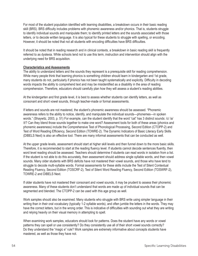For most of the student population identified with learning disabilities, a breakdown occurs in their basic reading skill (BRS). BRS difficulty includes problems with phonemic awareness and/or phonics. That is, students struggle to identify individual sounds and manipulate them; to identify printed letters and the sounds associated with those letters, or to decode written language. It is also typical for these students to struggle with spelling, or encoding. However, it should be noted that not all students with encoding difficulties have BRS difficulties.

It should be noted that in reading research and in clinical contexts, a breakdown in basic reading skill is frequently referred to as dyslexia. While schools tend not to use this term, instruction and intervention should align with the underlying need for BRS acquisition.

#### **Characteristics and Assessments**

The ability to understand letters and the sounds they represent is a prerequisite skill for reading comprehension. While many people think that learning phonics is something children should learn in kindergarten and 1st grade, many students do not, particularly if phonics has not been taught systematically and explicitly. Difficulty in decoding words impacts the ability to comprehend text and may be misidentified as a disability in the area of reading comprehension. Therefore, educators should carefully plan how they will assess a student's reading abilities.

At the kindergarten and first grade level, it is best to assess whether students can identify letters, as well as consonant and short vowel sounds, through teacher-made or formal assessments.

If letters and sounds are not mastered, the student's phonemic awareness should be assessed. "Phonemic awareness refers to the ability to notice, identify, and manipulate the individual sounds—phonemes—in spoken words." (Shaywitz, 2003, p. 51) For example, can the student identify that the word "cat" has 3 distinct sounds: /c/ /a/ /t/? Can they blend those sounds together to make one word? Assessment tools for both of these areas (phonics and phonemic awareness) include the Comprehensive Test of Phonological Processing, Second Edition (CTOPP-2) and Test of Word Reading Efficiency, Second Edition (TOWRE-2). The Dynamic Indicators of Basic Literacy Early Skills (DIBELS Next) is also an effective tool. There are many informal assessments that can be conducted as well.

At the upper grade levels, assessment should start at higher skill levels and then funnel down to the more basic skills. Therefore, it is recommended to start at the reading fluency level. If students cannot decode sentences fluently, then word level reading should be assessed. Teachers should determine if students can read words in isolation from a list. If the student is not able to do this accurately, then assessment should address single syllable words, and then vowel sounds. Many older students with BRS deficits have not mastered their vowel sounds, and those who have tend to struggle to decode multi-syllable words. Formal assessments for these skills include the Test of Silent Contextual Reading Fluency, Second Edition (TOSCRF-2), Test of Silent Word Reading Fluency, Second Edition (TOSWRF-2), TOWRE-2 and DIBELS Next.

If older students have not mastered their consonant and vowel sounds, it may be prudent to assess their phonemic awareness. Many of these students don't understand that words are made up of individual sounds that can be segmented and blended. The CTOPP-2 can be used with this age group as well.

Work samples should also be examined. Many students who struggle with BRS write using simpler language in their writing than in their oral vocabulary (typically 1-2 syllable words), and often jumble the letters in the words. They may have the correct letters, but in the wrong order. This is indicative of difficulties with sounding out what they are writing and relying heavily on their visual memory in attempting to spell.

When examining work samples, educators should look for patterns. Does the student have any words or vowel patterns they can spell or use consistently? Do they consistently use all of their short vowel sounds correctly? Do they understand the "magic e" rule? Work samples are extremely informative about concepts students have mastered, as well as those they have not.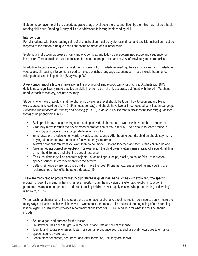If students do have the skills to decode at grade or age level accurately, but not fluently, then this may not be a basic reading skill issue. Reading fluency skills are addressed following basic reading skill.

#### **Intervention**

For all students with basic reading skill deficits, instruction must be systematic, direct and explicit. Instruction must be targeted to the student's unique needs and focus on areas of skill breakdown.

Systematic instruction progresses from simple to complex and follows a predetermined scope and sequence for instruction. Time should be built into lessons for independent practice and review of previously mastered skills.

In addition, because every year that a student misses out on grade-level reading, they also miss learning grade-level vocabulary, all reading interventions need to include enriched language experiences. These include listening to, talking about, and telling stories (Shaywitz, p.262).

A key component of effective intervention is the provision of ample opportunity for practice. Students with BRS deficits need significantly more practice on skills in order to be not only accurate, but fluent with the skill. Teachers need to teach to mastery, not just accuracy.

Students who have breakdowns at the phonemic awareness level should be taught how to segment and blend words. Lessons should be brief (10-15 minutes per day) and should have two or three focused activities. In *Language Essentials for Teachers of Reading and Spelling (LETRS), Module 2*, Louisa Moats provides the following guidelines for teaching phonological skills:

- Build proficiency at segmenting and blending individual phonemes in words with two or three phonemes
- Gradually move through the developmental progression of task difficulty. The object is to roam around in phonological space at the appropriate level of difficulty
- Emphasize oral production of words, syllables, and sounds. After hearing sounds, children should say them, paying attention to how the sounds feel when they are formed
- Always show children what you want them to do [model]. Do one together, and then let the children do one
- Give immediate corrective feedback. For example, if the child gives a letter name instead of a sound, tell him or her the difference and elicit the correct response
- Think 'multisensory:' Use concrete objects—such as fingers, chips, blocks, coins, or felts—to represent speech sounds. Inject movement into the activity
- Letters reinforce awareness once children have the idea. Phoneme awareness, reading and spelling are reciprocal; each benefits the others (Moats,p.19)

There are many reading programs that incorporate these guidelines. As Sally Shaywitz explained, "the specific program chosen from among them is far less important than the provision of systematic, explicit instruction in phonemic awareness and phonics, and then teaching children how to apply this knowledge to reading and writing" (Shaywitz, p. 263).

When teaching phonics, all of the rules around systematic, explicit and direct instruction continue to apply. There are many ways to teach phonics well, however, it works best if there is a daily routine at the beginning of each reading lesson. Again, Louisa Moats provides recommendations from her LETRS Module 7 for what the routine should include:

- Set up a goal and purpose for the lesson
- Review what has been taught, with the goal of accurate and fluent response
- Identify and isolate phonemes: Listen for sounds, pronounce sounds, and use oral-motor cues to enhance speech sound awareness
- Teach alphabet names, sequence, and letter formation, until they are known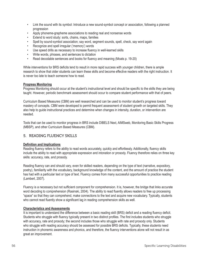- Link the sound with its symbol: Introduce a new sound-symbol concept or association, following a planned progression
- Apply phoneme-grapheme associations to reading real and nonsense words
- Extend to word study: sorts, chains, maps, families
- Spell by sound-symbol association; say word, segment sounds, spell, check, say word again
- Recognize and spell irregular ('memory') words
- Use speed drills as necessary to increase fluency in well-learned skills
- Write words, phrases, and sentences to dictation
- Read decodable sentences and books for fluency and meaning (Moats p. 19-20)

While interventions for BRS deficits tend to result in more rapid success with younger children, there is ample research to show that older students can learn these skills and become effective readers with the right instruction. It is never too late to teach someone how to read.

#### **Progress Monitoring**

Progress Monitoring should occur at the student's instructional level and should be specific to the skills they are being taught. However, periodic benchmark assessment should occur to compare student performance with that of peers.

Curriculum Based Measures (CBM) are well researched and can be used to monitor student's progress toward mastery of concepts. CBM were developed to permit frequent assessment of student growth on targeted skills. They also help to guide instructional practices and determine when changes in intensity, duration, or intervention are needed.

Tools that can be used to monitor progress in BRS include DIBELS Next, AIMSweb, Monitoring Basic Skills Progress (MBSP), and other Curriculum Based Measures (CBM).

#### 5. READING FLUENCY SKILLS

#### **Definition and Implications**

Reading fluency refers to the ability to read words accurately, quickly and effortlessly. Additionally, fluency skills include the ability to read with appropriate expression and intonation or prosody. Fluency therefore relies on three key skills: accuracy, rate, and prosody.

Reading fluency can and should vary, even for skilled readers, depending on the type of text (narrative, expository, poetry), familiarity with the vocabulary, background knowledge of the content, and the amount of practice the student has had with a particular text or type of text. Fluency comes from many successful opportunities to practice reading (Lambert, 2007).

Fluency is a necessary but not sufficient component for comprehension. It is, however, the bridge that links accurate word decoding to comprehension (Rasinski, 2004). The ability to read fluently allows readers to free up processing "space" so that they can comprehend, make connections to the text and acquire new vocabulary. Typically, students who cannot read fluently show a significant lag in reading comprehension skills as well.

#### **Characteristics and Assessments**

It is important to understand the difference between a basic reading skill (BRS) deficit and a reading fluency deficit. Students who struggle with fluency typically present in two distinct profiles. The first includes students who struggle with accuracy, rate and prosody; the second includes those who struggle with rate and prosody only. Students who struggle with reading accuracy should be assessed for possible BRS deficits. Typically, these students need instruction in phonemic awareness and phonics, and therefore, the fluency interventions alone will not result in as great an improvement.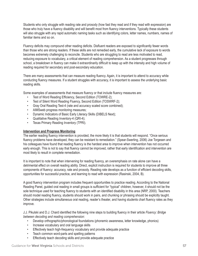Students who only struggle with reading rate and prosody (how fast they read and if they read with expression) are those who truly have a fluency disability and will benefit most from fluency interventions. Typically these students will also struggle with any rapid automatic naming tasks such as identifying colors, letter names, numbers, names of familiar items and so on.

Fluency deficits may compound other reading deficits. Disfluent readers are exposed to significantly fewer words than those who are strong readers. If these skills are not remedied early, the cumulative lack of exposure to words becomes extremely challenging to reconcile. Students who are struggling to read are less motivated to read, reducing exposure to vocabulary, a critical element of reading comprehension. As a student progresses through school, a breakdown in fluency can make it extraordinarily difficult to keep up with the intensity and high volume of reading required for secondary and post-secondary education.

There are many assessments that can measure reading fluency. Again, it is important to attend to accuracy while conducting fluency measures. If a student struggles with accuracy, it is important to assess the underlying basic reading skills.

Some examples of assessments that measure fluency or that include fluency measures are:

- Test of Word Reading Efficiency, Second Edition (TOWRE-2);
- Test of Silent Word Reading Fluency, Second Edition (TOSWRF-2);
- Gray Oral Reading Test-4 (rate and accuracy scaled score combined);
- AIMSweb progress monitoring measures;
- Dynamic Indicators of Basic Early Literacy Skills (DIBELS Next);
- Qualitative Reading Inventory-4 (QRI-4);
- Texas Primary Reading Inventory (TPRI).

#### **Intervention and Progress Monitoring**

The earlier reading fluency intervention is provided, the more likely it is that students will respond. "Once serious fluency problems have developed, they can be resistant to remediation." (Spear-Swerling, 2006) Joe Torgesen and his colleagues have found that reading fluency is the hardest area to improve when intervention has not occurred early enough. This is not to say that fluency cannot be improved, rather that early identification and intervention are most likely to result in complete remediation.

It is important to note that when intervening for reading fluency, an overemphasis on rate alone can have a detrimental effect on overall reading ability. Direct, explicit instruction is required for students to improve all three components of fluency: accuracy, rate and prosody. Reading rate develops as a function of efficient decoding skills, opportunities for successful practice, and learning to read with expression (Rasinski, 2004, B).

A good fluency intervention program includes frequent opportunities to practice reading. According to the National Reading Panel, guided oral reading in small groups is sufficient for "typical" children, however, it should not be the sole technique used for teaching fluency to students with an identified disability in this area (NRP, 2000). Teachers should model reading fluency, students should work in pairs, and chunking or phrasing should be explicitly taught. Other strategies include simultaneous oral reading, reader's theater, and having students chart fluency rates as they improve.

J.J. Pikulski and D.J. Chard identified the following nine steps to building fluency in their article *Fluency: Bridge between decoding and reading comprehension*:

- Develop orthographic/phonological foundations (phonemic awareness, letter knowledge, phonics)
- Increase vocabulary and oral language skills
- Effectively teach high-frequency vocabulary and provide adequate practice
- Teach common word-parts and spelling patterns
- Effectively teach decoding skills and provide adequate practice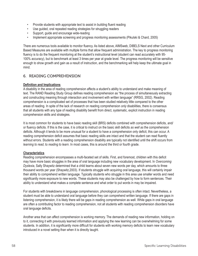- Provide students with appropriate text to assist in building fluent reading
- Use guided, oral repeated reading strategies for struggling readers
- Support, guide and encourage wide-reading
- Implement appropriate screening and progress monitoring assessments (Pikulski & Chard, 2005)

There are numerous tools available to monitor fluency. As listed above, AIMSweb, DIBELS Next and other Curriculum Based Measures are available with multiple forms that allow frequent administration. The key to progress monitoring fluency is to do the frequent monitoring at the student's instructional level (student can read accurately with 95-100% accuracy), but to benchmark at least 3 times per year at grade level. The progress monitoring will be sensitive enough to show growth and gain as a result of instruction, and the benchmarking will help keep the ultimate goal in mind.

#### 6. READING COMPREHENSION

#### **Definition and Implications**

A disability in the area of reading comprehension affects a student's ability to understand and make meaning of text. The RAND Reading Study Group defines reading comprehension as "the process of simultaneously extracting and constructing meaning through interaction and involvement with written language" (RRSG, 2002). Reading comprehension is a complicated set of processes that has been studied relatively little compared to the other areas of reading. In spite of the lack of research on reading comprehension *only* disabilities, there is consensus that all students with any type of reading disability benefit from direct, systematic, explicit instruction in reading comprehension skills and strategies.

It is most common for students to have basic reading skill (BRS) deficits combined with comprehension deficits, and/ or fluency deficits. If this is the case, it is critical to instruct on the basic skill deficits *as well as* the comprehension deficits. Although it tends to be more unusual for a student to have a comprehension only deficit, this can occur. A reading comprehension deficit assumes that basic reading skills are intact and that the student can read fluently without errors. Students with a reading comprehension disability are typically not identified until the shift occurs from *learning to read*, to *reading to learn*. In most cases, this is around the third or fourth grade.

#### **Characteristics**

Reading comprehension encompasses a multi-faceted set of skills. First, and foremost, children with this deficit may have more basic struggles in the area of oral language including new vocabulary development. In *Overcoming Dyslexia*, Sally Shaywitz determined that a child learns about seven new words per day, which amounts to three thousand words per year (Shaywitz,2003). If students struggle with acquiring oral language, this will certainly impair their ability to comprehend written language. Typically students who struggle in this area use smaller words and need significantly more exposure to new words. These students may also be challenged by how to form sentences. Their ability to understand what makes a complete sentence and what order to put words in may be impaired.

For students with breakdowns in language comprehension, phonological processing is often intact. Nevertheless, a student must be able to understand oral language before they can comprehend written language. If there are gaps in listening comprehension, it is likely there will be gaps in reading comprehension as well. While gaps in oral language are often a contributing factor to reading comprehension, not all students with reading comprehension disorders have oral language deficits.

Another area that can affect comprehension is working memory. The demands of reading new information, holding on to it, connecting it with previously learned information and applying the new learning can be overwhelming for some students. In addition, it is significantly more difficult for students with working memory deficits to learn new vocabulary introduced in a novel setting than when it is directly taught.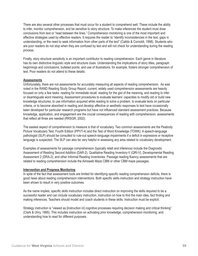There are also several other processes that must occur for a student to comprehend well. These include the ability to infer, monitor comprehension, and be sensitive to story structure. To make inferences the student must draw conclusions from text or "read between the lines." Comprehension monitoring is one of the most important and effective strategies used by effective readers. It requires the reader to "identify inconsistencies in the text, gaps in understanding, or the need to seek information from other parts of the text" (Catldo & Cornoldi, 1998). Students who are poor readers do not stop when they are confused by text and will not check for understanding during the reading process.

Finally, story structure sensitivity is an important contributor to reading comprehension. Each genre in literature has its own distinctive linguistic style and structure clues. Understanding the implications of story titles, paragraph beginnings and conclusions, bulleted points, and use of illustrations, for example, fosters stronger comprehension of text. Poor readers do not attend to these details.

#### **Assessments**

Unfortunately, there are not assessments for accurately measuring all aspects of reading comprehension. As was noted in the RAND Reading Study Group Report, current, widely used comprehension assessments are heavily focused on only a few tasks: reading for immediate recall, reading for the gist of the meaning, and reading to infer or disambiguate word meaning. Assessment procedures to evaluate learners' capacities to modify old or build new knowledge structures, to use information acquired while reading to solve a problem, to evaluate texts on particular criteria, or to become absorbed in reading and develop affective or aesthetic responses to text have occasionally been developed for particular research programs but have not influenced standard assessment practices. Because knowledge, application, and engagement are the crucial consequences of reading with comprehension, assessments that reflect all three are needed (RRSGR, 2002).

The easiest aspect of comprehension to measure is that of vocabulary. Two common assessments are the Peabody Picture Vocabulary Test, Fourth Edition (PPVT-4) and the Test of Word Knowledge (TOWK). A speech-language pathologist (SLP) should be consulted to rule-out speech-language impairments if a deficit in expressive or receptive language is suspected. The SLP can also be very helpful in assessing any area related to vocabulary development.

Examples of assessments for passage comprehension (typically retell and inference) include the Diagnostic Assessment of Reading Second Addition (DAR-2), Qualitative Reading Inventory-V (QRI-V), Developmental Reading Assessment 2 (DRA-2), and other Informal Reading Inventories. Passage reading fluency assessments that are related to reading comprehension include the Aimsweb Maze CBM or other CBM maze passages.

#### **Intervention and Progress Monitoring**

In spite of the fact that assessment tools are limited for identifying specific reading comprehension deficits, there is good news about reading comprehension interventions. Both specific skills instruction and strategy instruction have been shown to result in very positive outcomes.

As the name implies, specific skills instruction includes direct instruction on improving the skills required to be a successful reader and can include vocabulary instruction, instruction on how to find the main idea, fact finding and making inferences. Teachers should model and coach students in these skills. Instruction must be explicit.

Strategy instruction is "viewed as [instruction in] cognitive processes requiring decision making and critical thinking" (Clark & Uhry, 1995). This includes instruction on activating prior knowledge, comprehension monitoring, and understanding how to read for different purposes.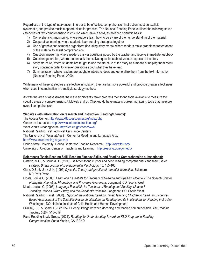Regardless of the type of intervention, in order to be effective, comprehension instruction must be explicit, systematic, and provide multiple opportunities for practice. The National Reading Panel outlined the following seven categories of text comprehension instruction which have a solid, established scientific basis:

- 1) Comprehension monitoring, where readers learn how to be aware of their understanding of the material
- 2) Cooperative learning, where students learn reading strategies together
- 3) Use of graphic and semantic organizers (including story maps), where readers make graphic representations of the material to assist comprehension
- 4) Question answering, where readers answer questions posed by the teacher and receive immediate feedback
- 5) Question generation, where readers ask themselves questions about various aspects of the story
- 6) Story structure, where students are taught to use the structure of the story as a means of helping them recall story content in order to answer questions about what they have read
- 7) Summarization, where readers are taught to integrate ideas and generalize them from the text information (National Reading Panel, 2000)

While many of these strategies are effective in isolation, they are far more powerful and produce greater effect sizes when used in combination in a multiple-strategy method.

As with the area of assessment, there are significantly fewer progress monitoring tools available to measure the specific areas of comprehension. AIMSweb and Ed Checkup do have maze progress monitoring tools that measure overall comprehension.

#### **Websites with information on research and instruction (Reading/Literacy):**

The Access Center: http://www.k8accesscenter.org/index.php Center on Instruction: http://www.centeroninstruction.org/ What Works Clearinghouse: http://ies.ed.gov/ncee/wwc/ National Reading First Technical Assistance Centers: The University of Texas at Austin: Center for Reading and Language Arts: http://www.texasreading.org/utcrla/ Florida State University: Florida Center for Reading Research: http://www.fcrr.org/ University of Oregon: Center on Teaching and Learning: http://reading.uoregon.edu/

#### **References (Basic Reading Skill, Reading Fluency Skills, and Reading Comprehension subsections):**

- Cataldo, M.G., & Cornoldi, C. (1998). Self-monitoring in poor and good reading comprehenders and their use of strategy. *British Journal of Developmental Psychology, 16*, 155-165
- Clark, D.B., & Uhry, J. K. (1995) *Dyslexia: Theory and practice of remedial instruction*. Baltimore, MD: York Press.
- Moats, Louisa C. (2005). *Language Essentials for Teachers of Reading and Spelling: Module 2 The Speech Sounds of English: Phonetics, Phonology, and Phoneme Awareness*. Longmont, CO: Sopris West
- Moats, Louisa C. (2005). *Language Essentials for Teachers of Reading and Spelling: Module 7 Teaching Phonics, Word Study, and the Alphabetic Principle*. Longmont, CO: Sopris West
- National Reading Panel. (2000). *Report of the National Reading Panel: Teaching Children to Read, an Evidence-***Based Assessment of the Scientific Research Literature on Reading and Its Implications for Reading Instruction.** Washington, DC: National Institute of Child Health and Human Development.
- Pikulski, J.J., & Chard, D.J. (2005). Fluency: Bridge between decoding and reading comprehension. *The Reading Teacher, 58*(6), 510–519

Rand Reading Study Group. (2002). *Reading for Understanding Toward an R&D Program in Reading Comprehension*. Santa Monica, CA: RAND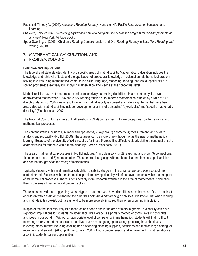Rasisnski, Timothy V. (2004). *Assessing Reading Fluency*. Honolulu, HA: Pacific Resources for Education and Learning.

Shaywitz, Sally. (2003). *Overcoming Dyslexia: A new and complete science-based program for reading problems at any level*. New York: Vintage Books.

Spear-Swerling, L. (2006). Children's Reading Comprehension and Oral Reading Fluency in Easy Text. *Reading and Writing, 19*, 199

#### 7. MATHEMATICAL CALCULATION; AND

#### 8. PROBLEM SOLVING

#### **Definition and Implications**

The federal and state statutes identify two specific areas of math disability. Mathematical calculation includes the knowledge and retrieval of facts and the application of procedural knowledge in calculation. Mathematical problem solving involves using mathematical computation skills, language, reasoning, reading, and visual-spatial skills in solving problems; essentially it is applying mathematical knowledge at the conceptual level.

Math disabilities have not been researched as extensively as reading disabilities. In a recent analysis, it was approximated that between 1996 and 2005, reading studies outnumbered mathematical studies by a ratio of 14:1 (Berch & Mazzocco, 2007). As a result, defining a math disability is somewhat challenging. Terms that have been associated with math disabilities include "developmental arithmetic disorder," "dyscalculia," and "specific mathematic disability." (Fletcher et al., 2007)

The National Council for Teachers of Mathematics (NCTM) divides math into two categories: content strands and mathematical processes.

The content strands include: 1) number and operations, 2) algebra, 3) geometry, 4) measurement, and 5) data analysis and probability (NCTM, 2000). These areas can be more simply thought of as the *what* of mathematical learning. Because of the diversity of skills required for these 5 areas, it is difficult to clearly define a construct or set of characteristics for students with a math disability (Berch & Mazzocco, 2007).

The area of mathematical processes in NCTM includes: 1) problem solving, 2) reasoning and proof, 3) connections, 4) communication, and 5) representation. These more closely align with mathematical problem solving disabilities and can be thought of as the *doing* of mathematics.

Typically, students with a mathematical calculation disability struggle in the area *number and operations* of the content strand. Students with a mathematical problem solving disability will often have problems within the category of mathematical processes. There is considerably more research available in the area of mathematical calculation than in the area of mathematical problem solving.

There is some evidence suggesting two subtypes of students who have disabilities in mathematics. One is a subset of children with a *math only* disability, the other has both *math and reading* disabilities. It is known that when reading and math deficits co-exist, both areas tend to be more severely impaired than when occurring in isolation.

In spite of the fact that relatively little research has been done in the area of math in general, a disability can have significant implications for students. "Mathematics, like literacy, is a primary method of communicating thoughts and ideas in our world. ... Without an appropriate level of competency in mathematics, students will find it difficult to manage many important aspects of their lives such as: budgeting; purchasing; practicing household tasks involving measurement including cooking and dispensing cleaning supplies, pesticides and medication; planning for retirement; and so forth" (Allsopp, Kyger & Lovin, 2007). Poor comprehension and achievement in mathematics can also limit students' career opportunities.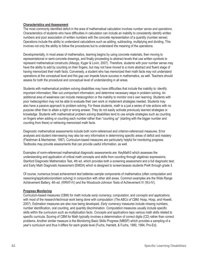#### **Characteristics and Assessment**

The most commonly identified deficit in the area of mathematical calculation involves *number sense and operations*. Characteristics of students who have difficulties in calculation can include an inability to consistently identify written numbers and poor association of written numbers with the concrete representation of a quantity (number sense). Operations include the ability to understand calculations such as adding, subtracting, multiplying and dividing. This involves not only the ability to follow the procedures but to understand the meaning of the operations.

Developmentally, in most areas of mathematics, learning begins by using concrete materials, then moving to representational or semi-concrete drawings, and finally proceeding to abstract levels that use written symbols to represent mathematical constructs (Allsopp, Kyger & Lovin, 2007). Therefore, students with poor number sense may have the ability to add by counting on their fingers, but may not have moved to a more abstract and fluent stage of having memorized their math facts. Conversely, a student who has memorized their math facts may not understand operations at the conceptual level and this gap can impede future success in mathematics, as well. Teachers should assess for both the procedural and conceptual level of understanding in all areas.

Students with mathematical problem solving disabilities may have difficulties that include the inability to: identify important information; filter out unimportant information; and determine necessary steps in problem solving. An additional area of weakness can include metacognition or the inability to monitor one's own learning. Students with poor metacognition may not be able to evaluate their own work or implement strategies needed. Students may also have a passive approach to problem solving. For these students, math is a just a series of rote actions with no purpose other than to attain a right or wrong answer. They do not easily activate previously learned strategies or knowledge. Students with mathematical problem solving disabilities tend to use simple strategies such as counting on fingers when adding or counting each number rather than "counting up" (starting with the bigger number and counting from there) or retrieving memorized math facts.

Diagnostic mathematical assessments include both norm-referenced and criterion-referenced measures. Error analyses and student interviewing may also be very informative in determining specific areas of deficit and mastery (Fleishman & Manheimer, 1997). Curriculum-based measures are particularly helpful for monitoring progress. Textbooks may provide assessments that can provide useful information, as well.

Examples of norm-referenced mathematical diagnostic assessments are: KeyMath3 which assesses the understanding and application of critical math concepts and skills from counting through algebraic expressions; Stanford Diagnostic Mathematics Test, 4th ed. which provides both a screening assessment and a full diagnostic test; and Early Math Diagnostic Assessment (EMDA) which is designed to screen/assess students PreK through grade 3.

Of course, numerous broad achievement test batteries sample components of mathematics (often computation and reasoning/application/problem solving) in conjunction with other skill areas. Common examples are the Wide Range Achievement Battery, 4th ed. (WRAT-IV) and the Woodcock-Johnson Tests of Achievement IV (WJ-IV).

#### **Progress Monitoring**

Curriculum-based measures (CBM) for math include *early numeracy, computation*, and *concepts and applications*, with most of the research/technical work being done with computation (*The ABCs of CBM*, Hosp, Hosp, and Howell, 2007). Estimation measures are also now being developed. *Early numeracy* measures include missing numbers, number identification, oral counting, and quantity discrimination. *Computation* measures usually include specific skills within the curriculum such as multiplication facts. *Concepts and applications* taps various math skills related to specific curricula. Scoring of CBM for Math typically involves a determination of correct digits (CD) rather than correct problems. Another similar measure is the Monitoring Basic Skills Progress (MBSP) which provides a sampling of a year's curriculum and thus it differs for each grade level (Fuchs, Hamlett, & Fuchs, 1990, 1994, Pro-Ed).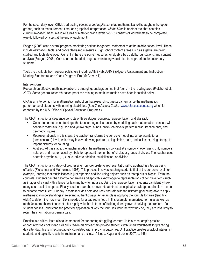For the secondary level, CBMs addressing *concepts and applications* tap mathematical skills taught in the upper grades, such as measurement, time, and graphical interpretation. *Maths Mate* is another tool that contains curriculum-based measures in all areas of math for grade levels 5-10. It consists of worksheets to be completed weekly followed by a test at the end of each month.

Foegen (2006) cites several progress-monitoring options for general mathematics at the middle school level. These include estimation, facts, and concepts-based measures. High school content areas such as algebra are being studied and tools developed. Currently, there are some measures for algebra basic skills, foundations, and content analysis (Foegen, 2006). Curriculum-embedded progress monitoring would also be appropriate for secondary students.

Tools are available from several publishers including AIMSweb, AAIMS (Algebra Assessment and Instruction – Meeting Standards), and Yearly Progress Pro (McGraw-Hill).

#### **Interventions**

Research on effective math interventions is emerging, but lags behind that found in the reading area (Fletcher et al., 2007). Some general research-based practices relating to math instruction have been identified below.

CRA is an intervention for mathematics instruction that research suggests can enhance the mathematics performance of students with learning disabilities. (See *The Access Center*: www.k8accesscenter.org which is endorsed by the U.S. Office of Special Education Programs.)

The CRA instructional sequence consists of three stages: concrete, representation, and abstract:

- Concrete: In the concrete stage, the teacher begins instruction by modeling each mathematical concept with concrete materials (e.g., red and yellow chips, cubes, base- ten blocks, pattern blocks, fraction bars, and geometric figures).
- Representational: In this stage, the teacher transforms the concrete model into a representational (semiconcrete) level, which may involve drawing pictures; using circles, dots, and tallies; or using stamps to imprint pictures for counting.
- Abstract: At this stage, the teacher models the mathematics concept at a symbolic level, using only numbers, notation, and mathematical symbols to represent the number of circles or groups of circles. The teacher uses operation symbols (+, –, x, /) to indicate addition, multiplication, or division.

The CRA instructional strategy of progressing from **concrete to representational to abstract** is cited as being effective (Fleischner and Manheimer, 1997). This practice involves teaching students first at the concrete level, for example, learning that multiplication is just repeated addition using objects such as toothpicks or blocks. From the concrete, students can then start to generalize and apply this knowledge to representations of concrete items such as images of a yard with a fence for learning how to find area. Using the representation, students can identify how many squares fill the space. Finally, students can then move into abstract conceptual knowledge application in order to become more fluent. Fluency in math includes both accuracy and rate with the ultimate goal being able to apply mathematical understandings in relevant, authentic ways. An example is applying the formula for area (length x width) to determine how much tile is needed for a bathroom floor. In this example, memorized formulas as well as math facts are abstract concepts, but highly valuable in terms of building fluency toward solving the problem. If a student doesn't understand the practical application of why the formulas work the way they do, they are less likely to retain the information or generalize it.

Practice is a critical instructional component for supporting struggling learners. In this case, ample practice opportunity does **not** mean skill drills. While many teachers provide students with timed worksheets for practicing day after day, this is in fact negatively correlated with improving outcomes. Drill practice creates a lack of interest in students and typically results in frustration and anxiety. (Allsopp, Kyger and Lovin, 2007, p. 146)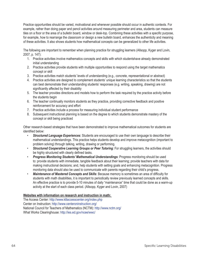Practice opportunities should be varied, motivational and whenever possible should occur in authentic contexts. For example, rather than doing paper and pencil activities around measuring perimeter and area, students can measure tiles on a floor or the area of a bulletin board, window or desk-top. Combining these activities with a specific purpose, for example, how to rearrange the classroom or design a new bulletin board, enhances the authenticity and meaning of these activities. It also shows students how mathematical concepts can be generalized to other life activities.

The following are important to remember when planning practice for struggling learners (Allsopp, Kyger and Lovin, 2007, p. 147):

- 1. Practice activities involve mathematics concepts and skills with which studentshave already demonstrated initial understanding
- 2. Practice activities provide students with multiple opportunities to respond using the target mathematics concept or skill
- 3. Practice activities match students' levels of understanding (e.g., concrete, representational or abstract)
- 4. Practice activities are designed to complement students' unique learning characteristics so that the students can best demonstrate their understanding students' responses (e.g. writing, speaking, drawing) are not significantly affected by their disability
- 5. The teacher provides directions and models how to perform the task required by the practice activity before the students begin
- 6. The teacher continually monitors students as they practice, providing corrective feedback and positive reinforcement for accuracy and effort
- 7. Practice activities include a process for measuring individual student performance
- 8. Subsequent instructional planning is based on the degree to which students demonstrate mastery of the concept or skill being practiced

Other research-based strategies that have been demonstrated to improve mathematical outcomes for students are identified below:

- *Structured Language Experiences*: Students are encouraged to use their own language to describe their mathematical understandings. This practice helps students develop and improve metacognition (important to problem solving) through talking, writing, drawing or performing.
- *Structured Cooperative Learning Groups or Peer Tutoring*: For struggling learners, the activities should be highly structured with clearly defined tasks.
- *Progress Monitoring Students' Mathematical Understandings*: Progress monitoring should be used to: provide students with immediate, tangible feedback about their learning; provide teachers with data for making instructional decisions; and, help students with setting goals and enhancing metacognition. Progress monitoring data should also be used to communicate with parents regarding their child's progress.
- **Maintenance of Mastered Concepts and Skills**: Because memory is sometimes an area of difficulty for students with math disabilities, it is important to periodically review previously learned concepts and skills. An effective practice is to provide 5-10 minutes of daily "maintenance" time that could be done as a warm-up activity at the start of each class period. (Allsopp, Kyger and Lovin, 2007)

#### **Websites with information on research and instruction in math:**

The Access Center: http://www.k8accesscenter.org/index.php Center on Instruction: http://www.centeroninstruction.org/ National Council for Teachers of Mathematics (NCTM): http://www.nctm.org/ What Works Clearinghouse: http://ies.ed.gov/ncee/wwc/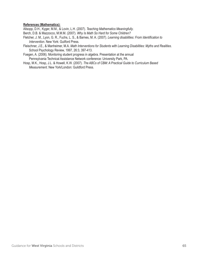#### **References (Mathematics):**

Allsopp, D.H., Kyger, M.M., & Lovin, L.H. (2007). *Teaching Mathematics Meaningfully*.

- Berch, D.B. & Mazzocco, M.M.M. (2007). *Why Is Math So Hard for Some Children?*
- Fletcher, J. M., Lyon, G. R., Fuchs, L. S., & Barnes, M. A. (2007). *Learning disabilities: From Identification to Intervention*. New York: Guilford Press.
- Fleischner, J.E., & Manheimer, M.A. *Math Interventions for Students with Learning Disabilities: Myths and Realities*. School Psychology Review, 1997, 26:3, 397-413.
- Foegen, A. (2006). Monitoring student progress in algebra. Presentation at the annual Pennsylvania Technical Assistance Network conference: University Park, PA.
- Hosp, M.K., Hosp, J.L. & Howell, K.W. (2007). *The ABCs of CBM: A Practical Guide to Curriculum Based Measurement*. New York/London: Guildford Press.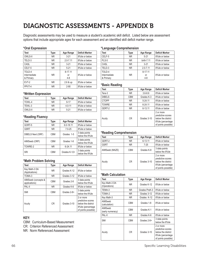## DIAGNOSTIC ASSESSMENTS - APPENDIX B

Diagnostic assessments may be used to measure a student's academic skill deficit. Listed below are assessment options that include appropriate ages for each assessment and an identified skill deficit marker range.

#### **\*Oral Expression**

| <b>Test</b>                         | <b>Type</b> | Age Range                | <b>Deficit Marker</b> |
|-------------------------------------|-------------|--------------------------|-----------------------|
| OWLS-II                             | NR.         | $3-21$                   | 8%ile or below        |
| TELD-3                              | NR.         | $2.0 - 7.11$             | 8%ile or below        |
| CASL                                | NR.         | $3 - 21$                 | 8%ile or below        |
| CELF-5                              | NR.         | $5 - 21$                 | 8%ile or below        |
| TOLD-4<br>Intermediate<br>& Primary | NR.         | 8-17.11<br>or<br>$4 - 8$ | 8%ile or below        |
| EVT-2                               | NR.         | 2.6 & up                 | 8%ile or below        |
| PPVT-4                              | NR.         | $2 - 90$                 | 8%ile or below        |

#### **\*Written Expression**

| Test    | Type      | Age Range | <b>Deficit Marker</b> |
|---------|-----------|-----------|-----------------------|
| TOWL-4  | ΝR        | $9 - 17$  | 8%ile or below        |
| TFWI-3  | ΝR        | $40 - 11$ | 8%ile or below        |
| OWLS-II | <b>NR</b> | $5-21$    | 8%ile or below        |

#### **\*Reading Fluency**

| <b>Test</b>       | Type       | Age Range     | <b>Deficit Marker</b>            |
|-------------------|------------|---------------|----------------------------------|
| GORT-5            | NR.        | $6.0 - 18.11$ | 8%ile or below                   |
| <b>GSRT</b>       | <b>NR</b>  | $7.0 - 25$    | 8%ile or below                   |
| DIBELS Next (ORF) | <b>CBM</b> | Grades 1-5    | 3 data points<br>below the 8%ile |
| AIMSweb (ORF)     | <b>CBM</b> | Grades 1-8    | 3 data points<br>below the 8%ile |
| TOWRE-2           | NR.        | $6 - 24.11$   | 8%ile or below                   |
| <b>SRI</b>        | <b>CBM</b> | Grades K-12+  | 3 data points<br>below the 8%ile |

#### **\*Math Problem Solving**

| <b>Test</b>                          | <b>Type</b> | Age Range   | <b>Deficit Marker</b>                                                                            |
|--------------------------------------|-------------|-------------|--------------------------------------------------------------------------------------------------|
| Key Math-3 DA<br>(Applications)      | NR.         | Grades K-12 | 8%ile or below                                                                                   |
| TOMA-3                               | NR.         | Grades 3-12 | 8%ile or below                                                                                   |
| AIMSweb (concepts &<br>applications) | <b>CBM</b>  | Grades 2-8  | 3 data points<br>below the 8%ile                                                                 |
| PAL-II                               | NR.         | Grades K-6  | 8%ile or below                                                                                   |
| <b>SMI</b>                           | <b>CBM</b>  | Grades 2-8+ | 3 data points<br>below the 8%ile                                                                 |
| Acuity                               | <b>CR</b>   | Grades 3-10 | 2 or more<br>predictive scores<br>below the district<br>8%ile (percentage<br>of points possible) |

#### **KEY:**

CBM: Curriculum-Based Measurement CR: Criterion Referenced Assessment

NR: Norm Referenced Assessment

#### **\*Language Comprehension**

| Test                      | Type | Age Range     | <b>Deficit Marker</b> |
|---------------------------|------|---------------|-----------------------|
| CELF-5                    | NR.  | $5 - 21$      | 8%ile or below        |
| PLS-5                     | NR.  | birth-7.11    | 8%ile or below        |
| CASL                      | NR.  | $3 - 21$      | 8%ile or below        |
| TELD-3                    | NR.  | $2.0 - 7.11$  | 8%ile or below        |
| TOLD-4                    |      | 8-17.11       |                       |
| Intermediate<br>& Primary | NR.  | or<br>$4 - 8$ | 8%ile or below        |

#### **\*Basic Reading**

| <b>Test</b>   | Type           | Age Range   | Deficit Marker                                                                                    |
|---------------|----------------|-------------|---------------------------------------------------------------------------------------------------|
| Tera-3        | NR.            | $3.6 - 8.6$ | 8%ile or below                                                                                    |
| <b>DIBELS</b> | <b>CBM</b>     | Grades K-3  | 8%ile or below                                                                                    |
| <b>CTOPP</b>  | <b>NR</b>      | 5-24.11     | 8%ile or below                                                                                    |
| <b>TOWRE</b>  | <b>NR</b>      | 6-24.11     | 8%ile or below                                                                                    |
| GDRT-2        | <b>NR</b>      | $6 - 13.11$ | 8%ile or below                                                                                    |
| Acuity        | C <sub>R</sub> | Grades 3-10 | 2 or more<br>predictive scores<br>below the district<br>8%ile (percentage)<br>of points possible) |

#### **\*Reading Comprehension**

| <b>Test</b>    | Type           | Age Range   | Deficit Marker                                                                                   |
|----------------|----------------|-------------|--------------------------------------------------------------------------------------------------|
| GDRT-2         | <b>NR</b>      | $6 - 13.11$ | 8%ile or below                                                                                   |
| <b>GSRT</b>    | <b>NR</b>      | $7-25$      | 8%ile or below                                                                                   |
| AIMSweb (MAZE) | <b>CBM</b>     | Grades K-8  | 3 data points<br>below the 8%ile                                                                 |
| Acuity         | C <sub>R</sub> | Grades 3-10 | 2 or more<br>predictive scores<br>below the district<br>8%ile (percentage<br>of points possible) |

#### **\*Math Calculation**

| Test                          | Type           | Age Range     | <b>Deficit Marker</b>                                                                            |
|-------------------------------|----------------|---------------|--------------------------------------------------------------------------------------------------|
| Key Math-3 DA<br>(Operations) | NR.            | Grades K-12   | 8%ile or below                                                                                   |
| TEMA-3                        | NR.            | Grades PreK-3 | 8%ile or below                                                                                   |
| TOMA-2                        | NR.            | Grades 3-12   | 8%ile or below                                                                                   |
| Key Math-3                    | NR.            | Grades K-12   | 8%ile or below                                                                                   |
| AIMSweb<br>(calculation)      | <b>CBM</b>     | Grades 1-8    | 8%ile or below                                                                                   |
| AIMSweb<br>(early numeracy)   | <b>CBM</b>     | Grades K-1    | 8%ile or below                                                                                   |
| PAL-II                        | NR.            | Grades K-6    | 8%ile or below                                                                                   |
| <b>SMI</b>                    | <b>CBM</b>     | Grades 2-8+   | 3 data points<br>below the 8%ile                                                                 |
| Acuity                        | C <sub>R</sub> | Grades 3-10   | 2 or more<br>predictive scores<br>below the district<br>8%ile (percentage<br>of points possible) |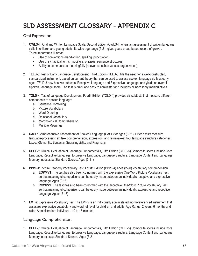# SLD ASSESSMENT GLOSSARY - APPENDIX C

### Oral Expression

- 1. **OWLS-II:** Oral and Written Language Scale, Second Edition (OWLS-II) offers an assessment of written language skills in children and young adults. Its wide age range (5-21) gives you a broad-based record of growth. Three important skill areas:
	- Use of conventions (handwriting, spelling, punctuation)
	- Use of syntactical forms (modifiers, phrases, sentence structures)
	- Ability to communicate meaningfully (relevance, cohesiveness, organization)
- 2. **TELD-3**: Test of Early Language Development, Third Edition (TELD-3) fills the need for a well-constructed, standardized instrument, based on current theory that can be used to assess spoken language skills at early ages. TELD-3 now has two subtests, Receptive Language and Expressive Language, and yields an overall Spoken Language score. The test is quick and easy to administer and includes all necessary manipulatives.
- 3. **TOLD-4**: Test of Language Development, Fourth Edition (TOLD-4) provides six subtests that measure different components of spoken language:
	- a. Sentence Combining
	- b. Picture Vocabulary
	- c. Word Ordering
	- d. Relational Vocabulary
	- e. Morphological Comprehension
	- f. Multiple Meanings
- 4. **CASL**: Comprehensive Assessment of Spoken Language (CASL) for ages (3-21). Fifteen tests measure language-processing skills— comprehension, expression, and retrieval—in four language structure categories: Lexical/Semantic, Syntactic, Supralinguistic, and Pragmatic.
- 5. **CELF-5**: Clinical Evaluation of Language Fundamentals, Fifth Edition (CELF-5) Composite scores include Core Language, Receptive Language, Expressive Language, Language Structure, Language Content and Language Memory Indexes as Standard Scores. Ages (5-21)
- 6. **PPVT-4**: Picture Peabody Vocabulary Test, Fourth Edition (PPVT-4) Ages (2-90) Vocabulary comprehension
	- a. **EOWPVT**: The test has also been co normed with the Expressive One-Word Picture Vocabulary Test so that meaningful comparisons can be easily made between an individual's receptive and expressive language. Ages (2-18)
	- b. **ROWPVT**: The test has also been co normed with the Receptive One-Word Picture Vocabulary Test so that meaningful comparisons can be easily made between an individual's expressive and receptive language. Ages: (2-18)
- 7. **EVT-2**: Expressive Vocabulary Test The EVT-2 is an individually administered, norm-referenced instrument that assesses expressive vocabulary and word retrieval for children and adults. Age Range: 2 years, 6 months and older. Administration: Individual - 10 to 15 minutes.

### Language Comprehension

1. **CELF-5**: Clinical Evaluation of Language Fundamentals, Fifth Edition (CELF-5) Composite scores include Core Language, Receptive Language, Expressive Language, Language Structure, Language Content and Language Memory Indexes as Standard Scores. Ages (5-21)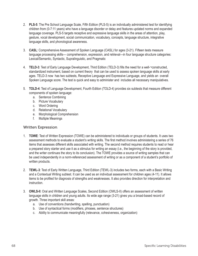- 2. **PLS-5**: The Pre School Language Scale, Fifth Edition (PLS-5) is an individually administered test for identifying children from (0-7:11 years) who have a language disorder or delay and features updated norms and expanded language coverage. PLS-5 targets receptive and expressive language skills in the areas of attention, play, gesture, vocal development, social communication, vocabulary, concepts, language structure, integrative language skills, and phonological awareness.
- 3. **CASL**: Comprehensive Assessment of Spoken Language (CASL) for ages (3-21). Fifteen tests measure language processing skills— comprehension, expression, and retrieval—in four language structure categories: Lexical/Semantic, Syntactic, Supralinguistic, and Pragmatic
- 4. **TELD-3**: Test of Early Language Development, Third Edition (TELD-3) fills the need for a well-¬constructed, standardized instrument, based on current theory that can be used to assess spoken language skills at early ages. TELD-3 now has two subtests, Receptive Language and Expressive Language, and yields an overall Spoken Language score. The test is quick and easy to administer and includes all necessary manipulatives.
- 5. **TOLD-4**: Test of Language Development, Fourth Edition (TOLD-4) provides six subtests that measure different components of spoken language:
	- a. Sentence Combining
	- b. Picture Vocabulary
	- c. Word Ordering
	- d. Relational Vocabulary
	- e. Morphological Comprehension
	- f. Multiple Meanings

### Written Expression

- 1. **TOWE**: Test of Written Expression (TOWE) can be administered to individuals or groups of students. It uses two assessment methods to evaluate a student's writing skills. The first method involves administering a series of 76 items that assesses different skills associated with writing. The second method requires students to read or hear a prepared story starter and use it as a stimulus for writing an essay (i.e., the beginning of the story is provided, and the writer continues the story to its conclusion). The TOWE provides a source of writing samples that can be used independently in a norm-referenced assessment of writing or as a component of a student's portfolio of written products.
- 2. **TEWL-3**: Test of Early Written Language, Third Edition (TEWL-3) includes two forms, each with a Basic Writing and a Contextual Writing subtest. It can be used as an individual assessment for children ages (4-11). It allows items to be profiled for diagnosis of strengths and weaknesses. It also provides direction for interpretation and instruction.
- 3. **OWLS-II**: Oral and Written Language Scales, Second Edition (OWLS-II) offers an assessment of written language skills in children and young adults. Its wide age range (3-21) gives you a broad-based record of growth. Three important skill areas:
	- a. Use of conventions (handwriting, spelling, punctuation)
	- b. Use of syntactical forms (modifiers, phrases, sentence structures)
	- c. Ability to communicate meaningfully (relevance, cohesiveness, organization)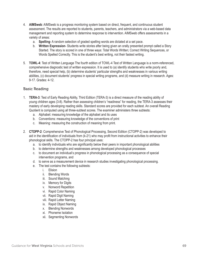- 4. **AIMSweb**: AIMSweb is a progress monitoring system based on direct, frequent, and continuous student assessment. The results are reported to students, parents, teachers, and administrators via a web-based data management and reporting system to determine response to intervention. AIMSweb offers assessments in a variety of areas:
	- a. **Spelling** A random selection of graded spelling words are dictated at a set pace.
	- b. **Written Expression** Students write stories after being given an orally presented prompt called a Story Started. The story is scored in one of three ways: Total Words Written; Correct Writing Sequences, or Words Spelled Correctly. This is the student's best writing, not their fastest writing.
- 5. **TOWL-4**: Test of Written Language The fourth edition of TOWL-4 Test of Written Language is a norm-referenced, comprehensive diagnostic test of written expression. It is used to (a) identify students who write poorly and, therefore, need special help, (b) determine students' particular strengths and weaknesses in various writing abilities, (c) document students' progress in special writing programs, and (d) measure writing in research. Ages: 9-17. Grades: 4-12.

### Basic Reading

- 1. **TERA-3**: Test of Early Reading Ability, Third Edition (TERA-3) is a direct measure of the reading ability of young children ages (3-8). Rather than assessing children's "readiness" for reading, the TERA-3 assesses their mastery of early developing reading skills. Standard scores are provided for each subtest. An overall Reading Quotient is computed using all three-subtest scores. The examiner administers three subtests:
	- a. Alphabet: measuring knowledge of the alphabet and its uses
	- b. Conventions: measuring knowledge of the conventions of print
	- c. Meaning: measuring the construction of meaning from print.
- 2. **CTOPP-2**: Comprehensive Test of Phonological Processing, Second Edition (CTOPP-2) was developed to aid in the identification of individuals from (k-21) who may profit from instructional activities to enhance their phonological skills. The CTOPP-2 has four principal uses:
	- a. to identify individuals who are significantly below their peers in important phonological abilities
	- b. to determine strengths and weaknesses among developed phonological processes
	- c. to document an individual's progress in phonological processing as a consequence of special intervention programs, and
	- d. to serve as a measurement device in research studies investigating phonological processing.
	- e. The test contains the following subtests:
		- i. Elision
		- ii. Blending Words
		- iii. Sound Matching
		- iv. Memory for Digits
		- v. Nonword Repetition
		- vi. Rapid Color Naming
		- vii. Rapid Digit Naming
		- viii. Rapid Letter Naming
		- ix. Rapid Object Naming
		- x. Blending Nonwords
		- xi. Phoneme Isolation
		- xii. Segmenting Nonwords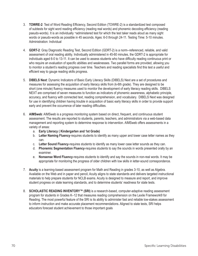- 3. **TOWRE-2**: Test of Word Reading Efficiency, Second Edition (TOWRE-2) is a standardized test composed of subtests for sight word reading efficiency (reading real words) and phonemic decoding efficiency (reading pseudo-words). It is an individually ¬administered test for which the test taker reads aloud as many sight words or pseudo-words as possible in 45 seconds. Ages: 6-0 through 24-11. Testing Time: 5-10 minutes. Administration: Individual
- 4. **GDRT-2**: Gray Diagnostic Reading Test, Second Edition (GDRT-2) is a norm--referenced, reliable, and valid assessment of oral reading ability. Individually administered in 45-60 minutes, the GDRT-2 is appropriate for individuals aged 6-0 to 13-11. It can be used to assess students who have difficulty reading continuous print or who require an evaluation of specific abilities and weaknesses. Two parallel forms are provided, allowing you to monitor a student's reading progress over time. Teachers and reading specialists find this test a useful and efficient way to gauge reading skills progress.
- 5. **DIBELS Next**: Dynamic Indicators of Basic Early Literacy Skills (DIBELS) Next are a set of procedures and measures for assessing the acquisition of early literacy skills from (k-6th grade). They are designed to be short (one minute) fluency measures used to monitor the development of early literacy reading skills. DIBELS NEXT are comprised of seven measures to function as indicators of phonemic awareness, alphabetic principle, accuracy, and fluency with connected text, reading comprehension, and vocabulary. DIBELS Next was designed for use in identifying children having trouble in acquisition of basic early literacy skills in order to provide support early and prevent the occurrence of later reading difficulties.
- 6. **AIMSweb**: AIMSweb is a progress monitoring system based on direct, frequent, and continuous student assessment. The results are reported to students, parents, teachers, and administrators via a web-based data management and reporting system to determine response to intervention. AIMSweb offers assessments in a variety of areas:
	- a. **Early Literacy ( Kindergarten and 1st Grade)**
	- b. **Letter Naming Fluency**-requires students to identify as many upper and lower case letter names as they can.
	- c. **Letter Sound Fluency**-requires students to identify as many lower case letter sounds as they can.
	- d. **Phonemic Segmentation Fluency**-requires students to say the sounds in words presented orally by an examiner.
	- e. **Nonsense Word Fluency**-requires students to identify and say the sounds in non-real words. It may be appropriate for monitoring the progress of older children with low skills in letter-sound correspondence.
- 7. **Acuity** is a learning-based assessment program for Math and Reading in grades 3-10, as well as Algebra. Available on the Web and in paper and pencil, Acuity aligns to state standards and delivers targeted instructional materials to help prepare students for NCLB exams. Acuity is designed to measure and report, and improve student progress on state learning standards, and to determine students' readiness for state tests.
- 8. **SCHOLASTIC READING INVENTORY™ (SRI)** is a research-based, computer-adaptive reading assessment program for students in Grades K–12 that measures reading comprehension on the Lexile Framework® for Reading. The most powerful feature of the SRI is its ability to administer fast and reliable low-stakes assessment to inform instruction and make accurate placement recommendations. Aligned to state tests, SRI helps educators forecast student achievement to those important goals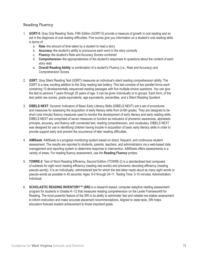### Reading Fluency

- 1. **GORT-5**: Gray Oral Reading Tests, Fifth Edition (GORT-5) provide a measure of growth in oral reading and an aid in the diagnosis of oral reading difficulties. Five scores give you information on a student's oral reading skills in terms of:
	- a. **Rate**–the amount of time taken by a student to read a story
	- b. **Accuracy**–the student's ability to pronounce each word in the story correctly
	- c. **Fluency**–the student's Rate and Accuracy Scores combined
	- d. **Comprehension**–the appropriateness of the student's responses to questions about the content of each story read
	- e. **Overall Reading Ability**–a combination of a student's Fluency (i.e., Rate and Accuracy) and Comprehension Scores
- 2. **GSRT**: Gray Silent Reading Test (GSRT) measures an individual's silent reading comprehension ability. The GSRT is a new, exciting addition to the Gray reading test battery. This test consists of two parallel forms each containing 13 developmentally sequenced reading passages with five multiple-choice questions. You can give the test to persons 7 years through 25 years of age. It can be given individually or to groups. Each form, of the test yields raw scores, grade equivalents, age equivalents, percentiles, and a Silent Reading Quotient.
- 3. **DIBELS NEXT**: Dynamic Indicators of Basic Early Literacy Skills (DIBELS NEXT) are a set of procedures and measures for assessing the acquisition of early literacy skills from (k-6th grade). They are designed to be short (one minute) fluency measures used to monitor the development of early literacy and early reading skills. DIBELS NEXT are comprised of seven measures to function as indicators of phonemic awareness, alphabetic principle, accuracy, and fluency with connected text, reading comprehension, and vocabulary, DIBELS NEXT was designed for use in identifying children having trouble in acquisition of basic early literacy skills in order to provide support early and prevent the occurrence of later reading difficulties.
- 4. **AIMSweb**: AIMSweb is a progress monitoring system based on direct, frequent, and continuous student assessment. The results are reported to students, parents, teachers, and administrators via a web-based data management and reporting system to determine response to intervention. AIMSweb offers assessments in a variety of areas. For reading fluency assessment, use the Reading Fluency probes.
- 5. **TOWRE-2**: Test of Word Reading Efficiency, Second Edition (TOWRE-2) is a standardized test composed of subtests for sight word reading efficiency (reading real words) and phonemic decoding efficiency (reading pseudo-words). It is an individually- administered test for which the test taker reads aloud as many sight words or pseudo-words as possible in 45 seconds. Ages: 6-0 through 24-11. Testing Time: 5-10 minutes. Administration: Individual.
- 6. **SCHOLASTIC READING INVENTORY™ (SRI)** is a research-based, computer-adaptive reading assessment program for students in Grades K–12 that measures reading comprehension on the Lexile Framework® for Reading. The most powerful feature of the SRI is its ability to administer fast and reliable low-stakes assessment to inform instruction and make accurate placement recommendations. Aligned to state tests, SRI helps educators forecast student achievement to those important goals.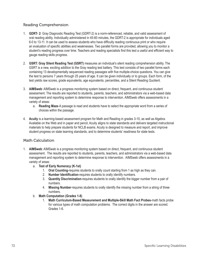### Reading Comprehension

- 1. **GDRT- 2**: Gray Diagnostic Reading Test (GDRT-2) is a norm-referenced, reliable, and valid assessment of oral reading ability. Individually administered in 45-60 minutes, the GDRT-2 is appropriate for individuals aged 6-0 to 13-11. It can be used to assess students who have difficulty reading continuous print or who require an evaluation of specific abilities and weaknesses. Two parallel forms are provided, allowing you to monitor a student's reading progress over time. Teachers and reading specialists find this test a useful and efficient way to gauge reading skills progress.
- 2. **GSRT: Gray Silent Reading Test (GSRT)** measures an individual's silent reading comprehension ability. The GSRT is a new, exciting addition to the Gray reading test battery. This test consists of two parallel forms each containing 13 developmentally sequenced reading passages with five multiple-choice questions. You can give the test to persons 7 years through 25 years of age. It can be given individually or to groups. Each form, of the test yields raw scores, grade equivalents, age equivalents, percentiles, and a Silent Reading Quotient.
- 3. **AIMSweb**: AIMSweb is a progress monitoring system based on direct, frequent, and continuous student assessment. The results are reported to students, parents, teachers, and administrators via a web-based data management and reporting system to determine response to intervention. AIMSweb offers assessments in a variety of areas:
	- a. **Reading Maze**-A passage is read and students have to select the appropriate word from a series of choices within the passage.
- 4. **Acuity** is a learning-based assessment program for Math and Reading in grades 3-10, as well as Algebra. Available on the Web and in paper and pencil, Acuity aligns to state standards and delivers targeted instructional materials to help prepare students for NCLB exams. Acuity is designed to measure and report, and improve student progress on state learning standards, and to determine students' readiness for state tests.

### Math Calculation

- 1. **AIMSweb**: AIMSweb is a progress monitoring system based on direct, frequent, and continuous student assessment. The results are reported to students, parents, teachers, and administrators via a web-based data management and reporting system to determine response to intervention. AIMSweb offers assessments in a variety of areas:
	- a. **Test of Early Numeracy (K-1st)**
		- 1. **Oral Counting**-requires students to orally count starting from 1 as high as they can.
		- 2. **Number Identification-requires students to orally identify numbers.**
		- 3. **Quantity Discrimination**-requires students to orally identify the bigger number from a pair of numbers.
		- 4. **Missing Number**-requires students to orally identify the missing number from a string of three numbers.
	- b. **Math Computation (Grades 1-8)** 
		- 1. **Math Curriculum-Based Measurement and Multiple-Skill Math Fact Probes**-math facts probe for various types of math computation problems. The correct digits in the answer are scored. Grades 1-6.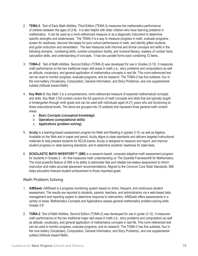- 2. **TEMA-3**: Test of Early Math Abilities, Third Edition (TEMA-3) measures the mathematics performance of children between the ages of (3-8). It is also helpful with older children who have learning problems in mathematics. It can be used as a norm-referenced measure or as a diagnostic instrument to determine specific strengths and weaknesses. The TEMA-3 is a way to measure progress in math, evaluate programs, screen for readiness, discover the bases for poor school performance in math, and identify gifted students, and guide instruction and remediation. The test measures both informal and formal concepts and skills in the following domains: numbering skills, number-comparison facility, and numeral literacy, mastery of number facts, calculation skills, and understanding of concepts. It has two parallel forms each containing 72 items.
- 3. **TOMA-2**: Test of Math Abilities, Second Edition (TOMA-2) was developed for use in Grades (3-12). It measures math performance on the two traditional major skill areas in math (i.e., story problems and computation) as well as attitude, vocabulary, and general application of mathematics concepts in real life. This norm-referenced test can be used to monitor progress, evaluate programs, and do research. The TOMA-2 has five subtests, four in the core battery (Vocabulary, Computation, General Information, and Story Problems), and one supplemental subtest (Attitude toward Math).
- 4. **Key Math-3**: Key Math 3 is a comprehensive, norm-referenced measure of essential mathematical concepts and skills. Key Math 3 DA content covers the full spectrum of math concepts and skills that are typically taught in kindergarten through ninth grade and can be used with individuals aged (4-21) years who are functioning at these instructional levels. The items are grouped into 10 subtests that represent three general math content areas:
	- a. **Basic Concepts (conceptual knowledge)**
	- b. **Operations (computational skills)**
	- c. **Applications (problem solving)**
- 5. **Acuity** is a learning-based assessment program for Math and Reading in grades 3-10, as well as Algebra. Available on the Web and in paper and pencil, Acuity aligns to state standards and delivers targeted instructional materials to help prepare students for NCLB exams. Acuity is designed to measure and report, and improve student progress on state learning standards, and to determine students' readiness for state tests.
- 6. **SCHOLASTIC MATH INVENTORY™ (SMI)** is a research-based, computer-adaptive math assessment program for students in Grades 2 – 8+ that measures math understanding on The Quantile Framework® for Mathematics. The most powerful feature of SMI is its ability to administer fast and reliable low-stakes assessment to inform instruction and make accurate placement recommendations. Aligned to the Common Core State Standards, SMI helps educators forecast student achievement to those important goals.

### Math Problem Solving

- 1. **AIMSweb**: AIMSweb is a progress monitoring system based on direct, frequent, and continuous student assessment. The results are reported to students, parents, teachers, and administrators via a web-based data management and reporting system to determine response to intervention. AIMSweb offers assessments in a variety of areas: Mathematics Concepts and Applications assess general mathematics problem-solving skills. Grades 2-8
- 2. **TOMA-2**: Test of Math Abilities, Second Edition (TOMA-2) was developed for use in grade (3-12). It measures math performance on the two traditional major skill areas in math (i.e., story problems and computation) as well as attitude, vocabulary, and general application of mathematics concepts in real life. This norm-referenced test can be used to monitor progress, evaluate programs, and do research. The TOMA-2 has five subtests, four in the core battery (Vocabulary, Computation, General Information, and Story Problems), and one supplemental subtest (Attitude toward Math).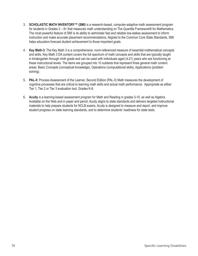- 3. **SCHOLASTIC MATH INVENTORY™ (SMI)** is a research-based, computer-adaptive math assessment program for students in Grades 2 – 8+ that measures math understanding on The Quantile Framework® for Mathematics. The most powerful feature of SMI is its ability to administer fast and reliable low-stakes assessment to inform instruction and make accurate placement recommendations. Aligned to the Common Core State Standards, SMI helps educators forecast student achievement to those important goals.
- 4. **Key Math-3**: The Key Math 3 is a comprehensive, norm-referenced measure of essential mathematical concepts and skills. Key Math 3 DA content covers the full spectrum of math concepts and skills that are typically taught in kindergarten through ninth grade and can be used with individuals aged (4-21) years who are functioning at these instructional levels. The items are grouped into 10 subtests that represent three general math content areas: Basic Concepts (conceptual knowledge), Operations (computational skills), Applications (problem solving).
- 5. **PAL-II**: Process Assessment of the Learner, Second Edition (PAL-II) Math measures the development of cognitive processes that are critical to learning math skills and actual math performance. Appropriate as either Tier 1, Tier 2 or Tier 3 evaluation tool. Grades K-6.
- 6. **Acuity** is a learning-based assessment program for Math and Reading in grades 3-10, as well as Algebra. Available on the Web and in paper and pencil, Acuity aligns to state standards and delivers targeted instructional materials to help prepare students for NCLB exams. Acuity is designed to measure and report, and improve student progress on state learning standards, and to determine students' readiness for state tests.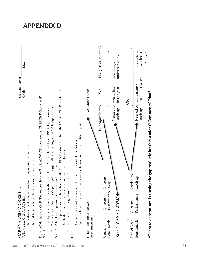

APPENDIX D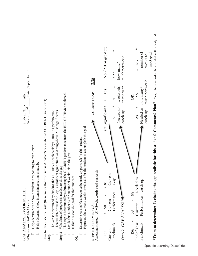

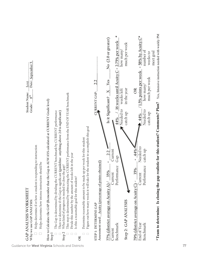| 5<br>Date: September<br>Lexi<br>Student Name:<br>9 <sup>th</sup><br>Grade:                                                                                                                                                                                                                                                                                                                                                                                  |                                                                                                                                                                                                                                                                                                                                                                                                                                                                                                                                                                        | 2.2<br>CURRENT GAP:                                                                 | *<br>No (2.0 or greater)<br>16 weeks until Acuity C = $2.75\%$ per week<br>much per week<br>how many,<br>Yes<br>in the year<br>weeks left<br>$\bm{\times}$<br>Is it Significant?<br>Needed to<br>catch up<br>44% | 58% by Acuity C*<br>number of<br>meet goal<br>weeks to<br>$\mathbf{u}$<br>1.5% points per week<br>much per week<br>how many<br>OR<br>Needed to<br>catch up<br>44% | Yes, Intensive instruction needed with weekly PM<br>ip realistic for this student? Comments? Plan? |
|-------------------------------------------------------------------------------------------------------------------------------------------------------------------------------------------------------------------------------------------------------------------------------------------------------------------------------------------------------------------------------------------------------------------------------------------------------------|------------------------------------------------------------------------------------------------------------------------------------------------------------------------------------------------------------------------------------------------------------------------------------------------------------------------------------------------------------------------------------------------------------------------------------------------------------------------------------------------------------------------------------------------------------------------|-------------------------------------------------------------------------------------|------------------------------------------------------------------------------------------------------------------------------------------------------------------------------------------------------------------|-------------------------------------------------------------------------------------------------------------------------------------------------------------------|----------------------------------------------------------------------------------------------------|
| How to Calculate the GAP (Remember that the Gap is ALWAYS calculated at CURRENT Grade level)<br>CURRENT benchmark by CURRENT performance<br>responding to instruction<br>Helps determine how intense instruction should be<br>The Gap is determined by dividing the<br>Helps determine if or how a student is<br>GAP ANALYSIS WORKSHEET<br>Why we use GAP ANALYSIS:<br>$\Box$<br>Step <sub>1</sub><br>□<br>Guidance for West Virginia Schools and Districts | This step is determined by subtracting the CURRENT performance from the END OF YEAR benchmark<br>Then we determine if the Gap is significant (guideline: anything above 2.0 is significant)<br>Figure out how many weeks it will take for the student to accomplish this goal<br>Determine reasonable amount to be made up per week for this student<br>Divide this number by the amount of weeks left in the year<br>What kind of progress is needed to close the gap?<br>Is this a reasonable goal for this student?<br>Step <sub>2</sub><br>$\Box$<br>Г<br>$\alpha$ | Acuity (percentage of points obtained)<br>STEP I: DETERMINE GAP<br>Assessment used: | Current<br>2.2<br>Gap<br>H<br>Performance<br>35%<br>Current<br>77% (district average on Acuity A)/<br>Step 2: GAP ANALYSIS<br>Benchmark<br>Current                                                               | Needed to<br>44%<br>catch up<br>II.<br>Performance<br>35%<br>Current<br>79% (district average on Acuity C) ~_<br>End of Year<br>Benchmark                         | *Team to determine: Is closing the ga<br>77                                                        |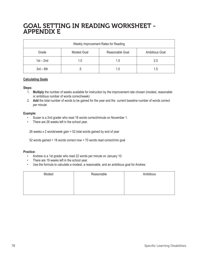# GOAL SETTING IN READING WORKSHEET - APPENDIX E

| Weekly Improvement Rates for Reading |                                                         |     |     |
|--------------------------------------|---------------------------------------------------------|-----|-----|
| Grade                                | Reasonable Goal<br><b>Ambitious Goal</b><br>Modest Goal |     |     |
| $1st - 2nd$                          | 1.0                                                     | 1.5 | 2.0 |
| $3rd - 6th$                          | ن.                                                      | 1.0 | 1.5 |

#### **Calculating Goals**

#### **Steps:**

- 1. **Multiply** the number of weeks available for instruction by the improvement rate chosen (modest, reasonable or ambitious number of words correct/week)
- 2. **Add** the total number of words to be gained for the year and the current baseline number of words correct per minute

#### **Example:**

- Susan is a 2nd grader who read 18 words correct/minute on November 1.
- There are 26 weeks left in the school year.

26 weeks x 2 words/week gain = 52 total words gained by end of year

52 words gained + 18 words correct now = 70 words read correct/min goal

#### **Practice:**

- Andrew is a 1st grader who read 22 words per minute on January 10.
- There are 19 weeks left in the school year.
- Use the formula to calculate a modest, a reasonable, and an ambitious goal for Andrew.

| Modest | Reasonable | Ambitious |
|--------|------------|-----------|
|        |            |           |
|        |            |           |
|        |            |           |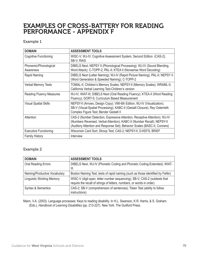# EXAMPLES OF CROSS-BATTERY FOR READING PERFORMANCE - APPENDIX F

### Example 1

| <b>DOMAIN</b>                      | <b>ASSESSMENT TOOLS</b>                                                                                                                                                                                                            |
|------------------------------------|------------------------------------------------------------------------------------------------------------------------------------------------------------------------------------------------------------------------------------|
| <b>Cognitive Functioning</b>       | WISC-V; WJ-IV; Cognitive Assessment System, Second Edition (CAS-2);<br>SB-V; RIAS                                                                                                                                                  |
| Phonemic/Phonological<br>Awareness | DIBELS Next; NEPSY II (Phonological Processing); WJ-IV (Sound Blending,<br>Word Attack); C-TOPP-2; PAL-II; KTEA II (Nonsense Word Decoding)                                                                                        |
| Rapid Naming                       | DIBELS Next (Letter Naming); WJ-IV (Rapid Picture Naming); PAL-II; NEPSY II<br>(Word Generation & Speeded Naming); C-TOPP-2                                                                                                        |
| <b>Verbal Memory Tests</b>         | TOMAL-II; Children's Memory Scales; NEPSY-II (Memory Scales); WRAML-II;<br>California Verbal Learning Test-Children's version                                                                                                      |
| <b>Reading Fluency Measures</b>    | WJ-IV; WIAT-III; DIBELS Next (Oral Reading Fluency); KTEA-II (Word Reading<br>Fluency); GORT-5; Curriculum Based Measurement                                                                                                       |
| <b>Visual Spatial Skills</b>       | NEPSY-II (Arrows, Design Copy); VMI-6th Edition; WJ-IV (Visualization);<br>SB-V (Visual-Spatial Processing); KABC-II (Gestalt Closure); Rey Osterrieth<br>Complex Figure Test; Bender Gestalt II                                   |
| Attention                          | CAS-2 (Number Detection, Expressive Attention, Receptive Attention); WJ-IV<br>(Numbers Reversed, Verbal Attention); KABC-II (Number Recall); NEPSY-II<br>(Auditory Attention and Response Set); Behavior Scales (BASC-II, Conners) |
| <b>Executive Functioning</b>       | Wisconsin Card Sort; Stroop Test; CAS-2; NEPSY-II; D-KEFS; BRIEF                                                                                                                                                                   |
| <b>Family History</b>              | Interview                                                                                                                                                                                                                          |

### Example 2

| <b>DOMAIN</b>                    | <b>ASSESSMENT TOOLS</b>                                                                                                                            |
|----------------------------------|----------------------------------------------------------------------------------------------------------------------------------------------------|
| <b>Oral Reading Errors</b>       | DIBELS Next, WJ-IV (Phonetic Coding and Phonetic Coding-Extended); WIAT-<br>Ш                                                                      |
| Naming/Productive Vocabulary     | Boston Naming Test; tests of rapid naming (such as those identified by Feifer)                                                                     |
| <b>Linguistic Working Memory</b> | WISC-V (digit span, letter number sequencing); SB-V; CAS-2 (subtests that<br>require the recall of strings of letters, numbers, or words in order) |
| <b>Syntax &amp; Semantics</b>    | CAS-2; SB-V (comprehension of sentences); Token Test (ability to follow<br>instructions)                                                           |

Mann, V.A. (2003). Language processes: Keys to reading disability. In H.L. Swanson, K.R. Harris, & S. Graham (Eds.), *Handbook of Learning Disabilities* (pp. 213-227). New York: The Guilford Press.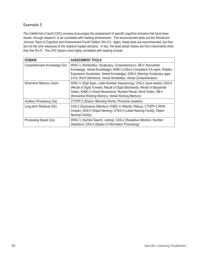### Example 3

The Cattell-Horn-Caroll (CHC) process encourages the assessment of specific cognitive domains that have been shown, through research, to be correlated with reading achievement. The recommended tests are the Woodcock-Johnson Tests of Cognitive and Achievement-Fourth Edition (WJ-IV). Again, these tests are recommended, but they are not the only measures of the research-based domains. In fact, the tests shown below are from instruments other than the WJ-IV. The CHC factors most highly correlated with reading include:

| <b>DOMAIN</b>                | <b>ASSESSMENT TOOLS</b>                                                                                                                                                                                                                                                                             |
|------------------------------|-----------------------------------------------------------------------------------------------------------------------------------------------------------------------------------------------------------------------------------------------------------------------------------------------------|
| Comprehension-Knowledge (Gc) | WISC-V (Similarities, Vocabulary, Comprehension); SB-V (Nonverbal<br>Knowledge, Verbal Knowledge); KABC-II (Story Completion 5-6 years, Riddles,<br>Expressive Vocabulary, Verbal Knowledge); DAS-II (Naming Vocabulary ages<br>2-6.6, Word Definitions, Verbal Similarities, Verbal Comprehension) |
| Short-term Memory (Gsm)      | WISC-V (Digit Span, Letter-Number Sequencing); CAS-2 (word series); DAS-II<br>(Recall of Digits Forward, Recall of Digits Backwards, Recall of Sequential<br>Order); KABC-II (Hand Movements, Number Recall, Word Order); SB-V<br>(Nonverbal Working Memory, Verbal Working Memory)                 |
| Auditory Processing (Ga)     | CTOPP-2 (Elision, Blending Words, Phoneme Isolation)                                                                                                                                                                                                                                                |
| Long-term Retrieval (Glr)    | CAS-2 (Expressive Attention); KABC-II (Atlantis, Rebus); CTOPP-2 (RAN<br>Cluster); DAS-II (Rapid Naming); KTEA-3 (Letter-Naming Facility, Object<br>Naming Facility)                                                                                                                                |
| Processing Speed (Gs)        | WISC-V (Symbol Search, coding); CAS-2 (Receptive Attention, Number<br>Detection); DAS-II (Speed of Information Processing)                                                                                                                                                                          |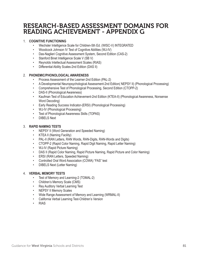# RESEARCH-BASED ASSESSMENT DOMAINS FOR READING ACHIEVEMENT - APPENDIX G

### 1. **COGNITIVE FUNCTIONING**

- Wechsler Intelligence Scale for Children-5th Ed. (WISC-V) INTEGRATED
- Woodcock Johnson IV Test of Cognitive Abilities (WJ-IV)
- Das-Naglieri Cognitive Assessment System, Second Edition (CAS-2)
- Stanford Binet Intelligence Scale V (SB V)
- Reynolds Intellectual Assessment Scales (RIAS)
- Differential Ability Scales-2nd Edition (DAS II)

#### 2. **PHONEMIC/PHONOLOGICAL AWARENESS**

- Process Assessment of the Learner-2nd Edition (PAL-2)
- A Developmental Neuropsychological Assessment-2nd Edition( NEPSY II) (Phonological Processing)
- Comprehensive Test of Phonological Processing, Second Edition (CTOPP-2)
- DAS-II (Phonological Awareness)
- Kaufman Test of Education Achievement-2nd Edition (KTEA-II) (Phonological Awareness, Nonsense Word Decoding)
- Early Reading Success Indicator-(ERSI) (Phonological Processing)
- WJ-IV (Phonological Processing)
- Test of Phonological Awareness Skills (TOPAS)
- DIBELS Next

#### 3. **RAPID NAMING TESTS**

- NEPSY II (Word Generation and Speeded Naming)
- KTEA II (Naming Facility)
- PAL-II (RAN Letters, RAN Words, RAN-Digits, RAN-Words and Digits)
- CTOPP-2 (Rapid Color Naming, Rapid Digit Naming, Rapid Letter Naming)
- WJ-IV (Rapid Picture Naming)
- DAS II (Rapid Color Naming, Rapid Picture Naming, Rapid Picture and Color Naming)
- ERSI (RAN Letters, Speeded Naming)
- Controlled Oral Word Association (COWA) "FAS" test
- DIBELS Next (Letter Naming)

#### 4. **VERBAL MEMORY TESTS**

- Test of Memory and Learning-2 (TOMAL-2)
- Children's Memory Scale (CMS)
- Rey Auditory Verbal Learning Test
- NEPSY II Memory Scales
- Wide Range Assessment of Memory and Learning (WRMAL-II)
- California Verbal Learning Test-Children's Version
- RIAS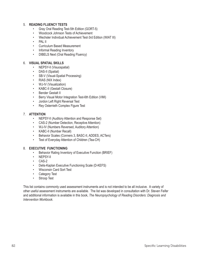#### 5. **READING FLUENCY TESTS**

- Gray Oral Reading Test-5th Edition (GORT-5)
- Woodcock Johnson Tests of Achievement
- Wechsler Individual Achievement Test-3rd Edition (WIAT III)
- PAL II
- Curriculum Based Measurement
- Informal Reading Inventory
- DIBELS Next (Oral Reading Fluency)

#### 6. **VISUAL SPATIAL SKILLS**

- NEPSY-II (Visuospatial)
- DAS-II (Spatial)
- SB-V (Visual-Spatial Processing)
- RIAS (NIX Index)
- WJ-IV (Visualization)
- KABC-II (Gestalt Closure)
- Bender Gestalt II
- Berry Visual Motor Integration Test-6th Edition (VMI)
- Jordon Left Right Reversal Test
- Rey Osterrieth Complex Figure Test

#### 7. **ATTENTION**

- NEPSY-II (Auditory Attention and Response Set)
- CAS-2 (Number Detection, Receptive Attention)
- WJ-IV (Numbers Reversed, Auditory Attention)
- KABC-II (Number Recall)
- Behavior Scales (Conners 3, BASC-II, ADDES, ACTers)
- Test of Everyday Attention of Children (Tea-CH)

#### 8. **EXECUTIVE FUNCTIONING**

- Behavior Rating Inventory of Executive Function (BRIEF)
- NEPSY-II
- CAS-2
- Delis-Kaplan Executive Functioning Scale (D-KEFS)
- Wisconsin Card Sort Test
- Category Test
- Stroop Test

This list contains commonly used assessment instruments and is not intended to be all inclusive. A variety of other useful assessment instruments are available. The list was developed in consultation with Dr. Steven Feifer and additional information is available in this book, *The Neuropsychology of Reading Disorders: Diagnosis and Intervention Workbook*.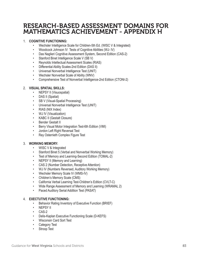# RESEARCH-BASED ASSESSMENT DOMAINS FOR MATHEMATICS ACHIEVEMENT - APPENDIX H

### 1. **COGNITIVE FUNCTIONING:**

- Wechsler Intelligence Scale for Children-5th Ed. (WISC V & Integrated)
- Woodcock Johnson IV Tests of Cognitive Abilities (WJ- IV)
- Das Naglieri Cognitive Assessment System, Second Edition (CAS-2)
- Stanford Binet Intelligence Scale V (SB V)
- Reynolds Intellectual Assessment Scales (RIAS)
- Differential Ability Scales-2nd Edition (DAS II)
- Universal Nonverbal Intelligence Test (UNIT)
- Wechsler Nonverbal Scale of Ability (WNV)
- Comprehensive Test of Nonverbal Intelligence-2nd Edition (CTONI-2)

#### 2. **VISUAL SPATIAL SKILLS:**

- NEPSY II (Visuospatial)
- DAS II (Spatial)
- SB V (Visual-Spatial Processing)
- Universal Nonverbal Intelligence Test (UNIT)
- RIAS (NIX Index)
- WJ IV (Visualization)
- KABC II (Gestalt Closure)
- **Bender Gestalt II**
- Berry Visual Motor Integration Test-6th Edition (VMI)
- Jordon Left Right Reversal Test
- Rey Osterrieth Complex Figure Test

#### 3. **WORKING MEMORY:**

- WISC V & Integrated
- Stanford Binet 5 (Verbal and Nonverbal Working Memory)
- Test of Memory and Learning-Second Edition (TOMAL-2)
- NEPSY II (Memory and Learning)
- CAS 2 (Number Detection, Receptive Attention)
- WJ IV (Numbers Reversed, Auditory Working Memory)
- Wechsler Memory Scale IV (WMS-IV)
- Children's Memory Scale (CMS)
- California Verbal Learning Test-Children's Edition (CVLT-C)
- Wide Range Assessment of Memory and Learning (WRAMAL 2)
- Paced Auditory Serial Addition Test (PASAT)

#### 4. **EXECTUTIVE FUNCTIONING:**

- Behavior Rating Inventory of Executive Function (BRIEF)
- NEPSY II
- CAS-2
- Delis-Kaplan Executive Functioning Scale (D-KEFS)
- Wisconsin Card Sort Test
- Category Test
- Stroop Test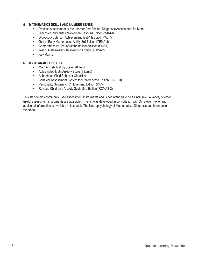#### 5. **MATHEMATICS SKILLS AND NUMBER SENSE:**

- Process Assessment of the Learner-2nd Edition: Diagnostic Assessment for Math
- Wechsler Individual Achievement Test-3rd Edition (WIAT-III)
- Woodcock Johnson Achievement Test-4th Edition (WJ-IV)
- Test of Early Mathematics Ability-3rd Edition (TEMA-3)
- Comprehensive Test of Mathematical Abilities (CMAT)
- Test of Mathematics Abilities-2nd Edition (TOMA-2)
- Key Math 2

#### 6. **MATH ANXIETY SCALES**

- Math Anxiety Rating Scale (98 items)
- Abbreviated Math Anxiety Scale (9 items)
- Achenbach Child Behavior Checklist
- Behavior Assessment System for Children-2nd Edition (BASC II)
- Personality System for Children-2nd Edition (PIC-II)
- Revised Children's Anxiety Scale-2nd Edition (RCMAS-2)

This list contains commonly used assessment instruments and is not intended to be all inclusive. A variety of other useful assessment instruments are available. The list was developed in consultation with Dr. Steven Feifer and additional information is available in this book, The Neuropsychology of Mathematics: Diagnosis and Intervention Workbook.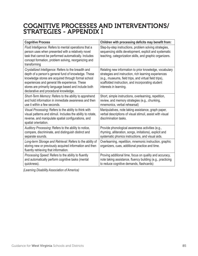# COGNITIVE PROCESSES AND INTERVENTIONS/ STRATEGIES - APPENDIX I

| <b>Cognitive Process</b>                                                                                                                                                                                                                                                                                               | Children with processing deficits may benefit from:                                                                                                                                                                                                       |
|------------------------------------------------------------------------------------------------------------------------------------------------------------------------------------------------------------------------------------------------------------------------------------------------------------------------|-----------------------------------------------------------------------------------------------------------------------------------------------------------------------------------------------------------------------------------------------------------|
| Fluid Intelligence: Refers to mental operations that a<br>person uses when presented with a relatively novel<br>task that cannot be performed automatically. Includes<br>concept formation, problem solving, reorganizing and<br>transforming                                                                          | Step-by-step instructions, problem solving strategies,<br>sequencing skills development, explicit and systematic<br>teaching, categorization skills, and graphic organizers.                                                                              |
| Crystallized Intelligence: Refers to the breadth and<br>depth of a person's general fund of knowledge. These<br>knowledge stores are acquired through formal school<br>experiences and general life experience. These<br>stores are primarily language based and include both<br>declarative and procedural knowledge. | Relating new information to prior knowledge, vocabulary<br>strategies and instruction, rich learning experiences<br>(e.g., museums, field trips, and virtual field trips),<br>scaffolded instruction, and incorporating student<br>interests in learning. |
| Short-Term Memory: Refers to the ability to apprehend<br>and hold information in immediate awareness and then<br>use it within a few seconds.                                                                                                                                                                          | Short, simple instructions, overlearning, repetition,<br>review, and memory strategies (e.g., chunking,<br>mnemonics, verbal rehearsal)                                                                                                                   |
| Visual Processing: Refers to the ability to think with<br>visual patterns and stimuli. Includes the ability to rotate,<br>reverse, and manipulate spatial configurations, and<br>spatial orientation.                                                                                                                  | Manipulatives, note taking assistance, graph paper,<br>verbal descriptions of visual stimuli, assist with visual<br>discrimination tasks.                                                                                                                 |
| Auditory Processing: Refers to the ability to notice,<br>compare, discriminate, and distinguish distinct and<br>separate sounds.                                                                                                                                                                                       | Provide phonological awareness activities (e.g.,<br>rhyming, alliteration, songs, imitations), explicit and<br>systematic phonics instructions, and visual aids.                                                                                          |
| Long-term Storage and Retrieval: Refers to the ability of<br>storing new or previously acquired information and then<br>fluently retrieving that information.                                                                                                                                                          | Overlearning, repetition, mnemonic instruction, graphic<br>organizers, cues, additional practice and time.                                                                                                                                                |
| Processing Speed: Refers to the ability to fluently<br>and automatically perform cognitive tasks (mental<br>quickness).                                                                                                                                                                                                | Proving additional time, focus on quality and accuracy,<br>note taking assistance, fluency building (e.g., practicing<br>to reduce cognitive demands, flashcards)                                                                                         |

*(Learning Disability Association of America)*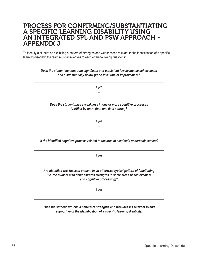## PROCESS FOR CONFIRMING/SUBSTANTIATING A SPECIFIC LEARNING DISABILITY USING AN INTEGRATED SPL AND PSW APPROACH - APPENDIX J

To identify a student as exhibiting a pattern of strengths and weaknesses relevant to the identification of a specific learning disability, the team must answer yes to each of the following questions:

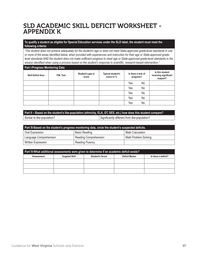# SLD ACADEMIC SKILL DEFICIT WORKSHEET - APPENDIX K

#### **To qualify a student as eligible for Special Education services under the SLD label, the student must meet the following criteria:**

*"The student does not achieve adequately for the student's age or does not meet State-approved grade-level standards in one*  or more of the areas identified below, when provided with experiences and instruction for their age or State-approved grade*level standards AND the student does not make sufficient progress to meet age or State-approved grade-level standards in the* area(s) identified when using a process based on the student's response to scientific, research-based intervention."

#### **Part I-Progress Monitoring Data**

| <b>Skill Deficit Area</b> | P.M. Tool | Student's gap or<br>score | <b>Typical student's</b><br>score or % |     | Is there a lack of<br>progress? | Is this student<br>receiving significant<br>support? |
|---------------------------|-----------|---------------------------|----------------------------------------|-----|---------------------------------|------------------------------------------------------|
|                           |           |                           |                                        | Yes | No                              |                                                      |
|                           |           |                           |                                        | Yes | No                              |                                                      |
|                           |           |                           |                                        | Yes | No                              |                                                      |
|                           |           |                           |                                        | Yes | No                              |                                                      |
|                           |           |                           |                                        | Yes | No                              |                                                      |

### **Part II – Based on the student's like-population (ethnicity, ELA, GT, SES, etc.) how does this student compare?** Similar to like-population? Significantly different from like-population?

| Part III-Based on the student's progress monitoring data, circle the student's suspected deficits. |                        |                      |  |
|----------------------------------------------------------------------------------------------------|------------------------|----------------------|--|
| Oral Expression                                                                                    | <b>Basic Reading</b>   | Math Calculation     |  |
| Language Comprehension                                                                             | Reading Comprehension  | Math Problem Solving |  |
| Written Expression                                                                                 | <b>Reading Fluency</b> |                      |  |

| Part IV-What additional assessments were given to determine if an academic deficit exists? |                       |                        |                       |                     |
|--------------------------------------------------------------------------------------------|-----------------------|------------------------|-----------------------|---------------------|
| Assessment                                                                                 | <b>Targeted Skill</b> | <b>Student's Score</b> | <b>Deficit Marker</b> | Is there a deficit? |
|                                                                                            |                       |                        |                       |                     |
|                                                                                            |                       |                        |                       |                     |
|                                                                                            |                       |                        |                       |                     |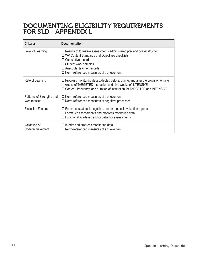# DOCUMENTING ELIGIBILITY REQUIREMENTS FOR SLD - APPENDIX L

| <b>Criteria</b>                         | <b>Documentation</b>                                                                                                                                                                                                                                                                 |
|-----------------------------------------|--------------------------------------------------------------------------------------------------------------------------------------------------------------------------------------------------------------------------------------------------------------------------------------|
| Level of Learning                       | $\Box$ Results of formative assessments administered pre- and post-instruction<br>□ WV Content Standards and Objectives checklists<br>$\Box$ Cumulative records<br>$\Box$ Student work samples<br>$\Box$ Anecdotal teacher records<br>$\Box$ Norm-referenced measures of achievement |
| Rate of Learning                        | $\Box$ Progress monitoring data collected before, during, and after the provision of nine<br>weeks of TARGETED instruction and nine weeks of INTENSIVE<br>$\Box$ Content, frequency, and duration of instruction for TARGETED and INTENSIVE                                          |
| Patterns of Strengths and<br>Weaknesses | $\Box$ Norm-referenced measures of achievement<br>$\Box$ Norm-referenced measures of cognitive processes                                                                                                                                                                             |
| <b>Exclusion Factors</b>                | $\Box$ Formal educational, cognitive, and/or medical evaluation reports<br>$\Box$ Formative assessments and progress monitoring data<br>$\Box$ Functional academic and/or behavior assessments                                                                                       |
| Validation of<br>Underachievement       | $\Box$ Interim and progress monitoring data<br>$\Box$ Norm-referenced measures of achievement                                                                                                                                                                                        |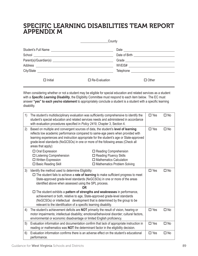# SPECIFIC LEARNING DISABILITIES TEAM REPORT APPENDIX M

|                                                                                                                                                                                                                               | County               |                                       |
|-------------------------------------------------------------------------------------------------------------------------------------------------------------------------------------------------------------------------------|----------------------|---------------------------------------|
|                                                                                                                                                                                                                               |                      |                                       |
|                                                                                                                                                                                                                               |                      | Date of Birth _____________________   |
|                                                                                                                                                                                                                               |                      |                                       |
|                                                                                                                                                                                                                               |                      | WVEIS# ______________________________ |
| City/State experience and the contract of the contract of the contract of the contract of the contract of the contract of the contract of the contract of the contract of the contract of the contract of the contract of the |                      |                                       |
| $\Box$ Initial                                                                                                                                                                                                                | $\Box$ Re-Evaluation | $\square$ Other                       |

When considering whether or not a student may be eligible for special education and related services as a student with a **Specific Learning Disability**, the Eligibility Committee must respond to each item below. The EC must answer "yes" to each yes/no statement to appropriately conclude a student is a student with a specific learning disability.

| 1) | The student's multidisciplinary evaluation was sufficiently comprehensive to identify the<br>student's special education and related services needs and administered in accordance<br>with evaluation procedures specified in Policy 2419, Chapter 3, Section 4.                                                                                                           |                                                                                                                                  |               | $\Box$ No |
|----|----------------------------------------------------------------------------------------------------------------------------------------------------------------------------------------------------------------------------------------------------------------------------------------------------------------------------------------------------------------------------|----------------------------------------------------------------------------------------------------------------------------------|---------------|-----------|
| 2) | Based on multiple and convergent sources of data, the student's level of learning<br>reflects low academic performance compared to same-age peers when provided with<br>learning experiences and instruction appropriate for the student's age or State-approved<br>grade-level standards (NxGCSOs) in one or more of the following areas (Check all<br>areas that apply): |                                                                                                                                  | $\square$ Yes | $\Box$ No |
|    | $\Box$ Oral Expression<br>$\Box$ Listening Comprehension<br>$\Box$ Written Expression<br>$\square$ Basic Reading Skill                                                                                                                                                                                                                                                     | $\Box$ Reading Comprehension<br>□ Reading Fluency Skills<br>$\Box$ Mathematics Calculation<br>$\Box$ Mathematics Problem Solving |               |           |
| 3) | Identify the method used to determine Eligibility:<br>□ The student fails to achieve a rate of learning to make sufficient progress to meet<br>State-approved grade-level standards (NxGCSOs) in one or more of the areas<br>identified above when assessed using the SPL process.                                                                                         |                                                                                                                                  | $\Box$ Yes    | $\Box$ No |
|    | $\Box$ The student exhibits a pattern of strengths and weaknesses in performance,<br>achievement or both, relative to age, State-approved grade-level standards<br>(NxGCSOs) or intellectual development that is determined by the group to be<br>relevant to the identification of a specific learning disability.                                                        |                                                                                                                                  |               |           |
| 4) | The student's achievement deficits are NOT primarily the result of vision, hearing or<br>motor impairments; intellectual disability; emotional/behavioral disorder; cultural factors,<br>environmental or economic disadvantage or limited English proficiency.                                                                                                            |                                                                                                                                  | $\Box$ Yes    | $\Box$ No |
| 5) | Evaluation information and documentation confirm that lack of appropriate instruction in<br>reading or mathematics was NOT the determinant factor in the eligibility decision.                                                                                                                                                                                             |                                                                                                                                  | $\Box$ Yes    | $\Box$ No |
| 6) | Evaluation information confirms there is an adverse effect on the student's educational<br>performance.                                                                                                                                                                                                                                                                    |                                                                                                                                  | $\square$ Yes | $\Box$ No |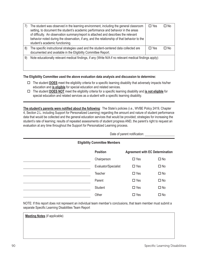|    | The student was observed in the learning environment, including the general classroom<br>setting, to document the student's academic performance and behavior in the areas<br>of difficulty. An observation summary/report is attached and describes the relevant<br>behavior noted during the observation, if any, and the relationship of that behavior to the<br>student's academic functioning. | $\square$ Yes | ΠNο  |  |
|----|-----------------------------------------------------------------------------------------------------------------------------------------------------------------------------------------------------------------------------------------------------------------------------------------------------------------------------------------------------------------------------------------------------|---------------|------|--|
| 8) | The specific instructional strategies used and the student-centered data collected are<br>documented and available in the Eligibility Committee Report.                                                                                                                                                                                                                                             | $\square$ Yes | ∩ No |  |
| 9) | Note educationally relevant medical findings, if any (Write N/A if no relevant medical findings apply):                                                                                                                                                                                                                                                                                             |               |      |  |

**The Eligibility Committee used the above evaluation data analysis and discussion to determine:**

- $\Box$  The student **DOES** meet the eligibility criteria for a specific learning disability that adversely impacts his/her education and **is eligible** for special education and related services.
- □ The student **DOES NOT** meet the eligibility criteria for a specific learning disability and *is not eligible* for special education and related services as a student with a specific learning disability.

The student's parents were notified about the following: The State's policies (i.e., WVBE Policy 2419, Chapter 4, Section 2.L. including Support for Personalized Learning) regarding the amount and nature of student performance data that would be collected and the general education services that would be provided; strategies for increasing the student's rate of learning; results of repeated assessments of student progress AND, the parent's right to request an evaluation at any time throughout the Support for Personalized Learning process.

Date of parent notification:

| <b>Eligibility Committee Members</b> |                      |                                        |              |  |  |  |  |  |
|--------------------------------------|----------------------|----------------------------------------|--------------|--|--|--|--|--|
|                                      | <b>Position</b>      | <b>Agreement with EC Determination</b> |              |  |  |  |  |  |
|                                      | Chairperson          | $\square$ Yes                          | $\square$ No |  |  |  |  |  |
|                                      | Evaluator/Specialist | $\Box$ Yes                             | $\square$ No |  |  |  |  |  |
|                                      | Teacher              | $\Box$ Yes                             | $\Box$ No    |  |  |  |  |  |
|                                      | Parent               | $\Box$ Yes                             | $\Box$ No    |  |  |  |  |  |
|                                      | Student              | $\Box$ Yes                             | $\Box$ No    |  |  |  |  |  |
|                                      | Other                | $\Box$ Yes                             | $\Box$ No    |  |  |  |  |  |

NOTE: If this report does not represent an individual team member's conclusions, that team member must submit a separate Specific Learning Disabilities Team Report

**Meeting Notes** (if applicable)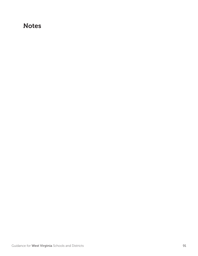# **Notes**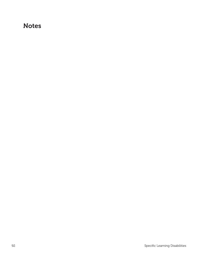# **Notes**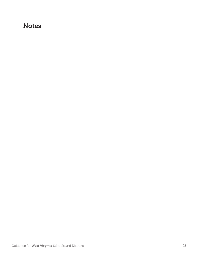# **Notes**